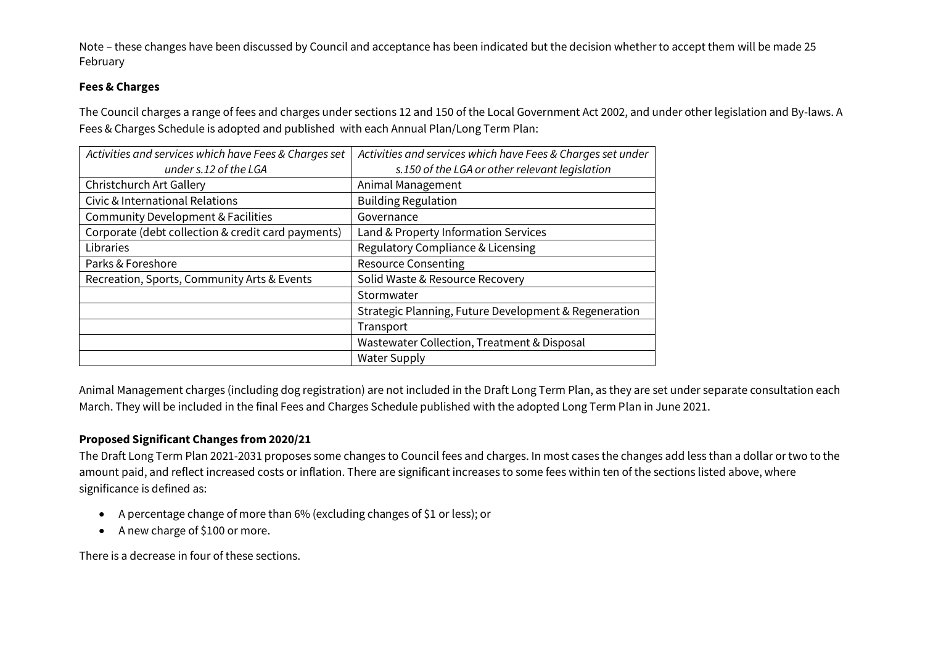## **Fees & Charges**

The Council charges a range of fees and charges under sections 12 and 150 of the Local Government Act 2002, and under other legislation and By-laws. A Fees & Charges Schedule is adopted and published with each Annual Plan/Long Term Plan:

| Activities and services which have Fees & Charges set | Activities and services which have Fees & Charges set under |
|-------------------------------------------------------|-------------------------------------------------------------|
| under s.12 of the LGA                                 | s.150 of the LGA or other relevant legislation              |
| Christchurch Art Gallery                              | Animal Management                                           |
| Civic & International Relations                       | <b>Building Regulation</b>                                  |
| Community Development & Facilities                    | Governance                                                  |
| Corporate (debt collection & credit card payments)    | Land & Property Information Services                        |
| Libraries                                             | Regulatory Compliance & Licensing                           |
| Parks & Foreshore                                     | <b>Resource Consenting</b>                                  |
| Recreation, Sports, Community Arts & Events           | Solid Waste & Resource Recovery                             |
|                                                       | Stormwater                                                  |
|                                                       | Strategic Planning, Future Development & Regeneration       |
|                                                       | Transport                                                   |
|                                                       | Wastewater Collection, Treatment & Disposal                 |
|                                                       | <b>Water Supply</b>                                         |

Animal Management charges (including dog registration) are not included in the Draft Long Term Plan, as they are set under separate consultation each March. They will be included in the final Fees and Charges Schedule published with the adopted Long Term Plan in June 2021.

## **Proposed Significant Changes from 2020/21**

The Draft Long Term Plan 2021-2031 proposes some changes to Council fees and charges. In most cases the changes add less than a dollar or two to the amount paid, and reflect increased costs or inflation. There are significant increases to some fees within ten of the sections listed above, where significance is defined as:

- A percentage change of more than 6% (excluding changes of \$1 or less); or
- A new charge of \$100 or more.

There is a decrease in four of these sections.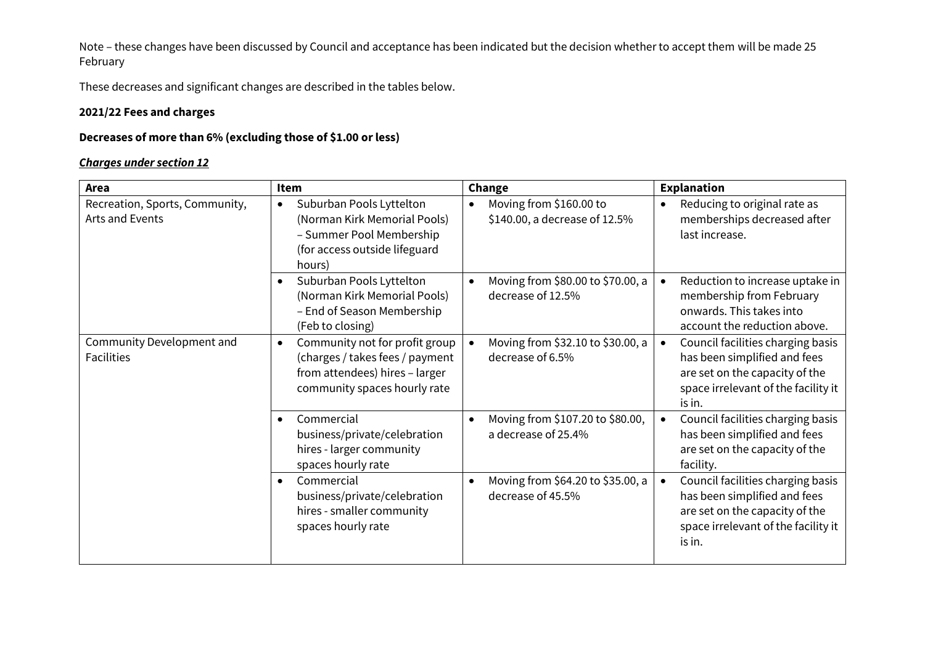These decreases and significant changes are described in the tables below.

#### **2021/22 Fees and charges**

#### **Decreases of more than 6% (excluding those of \$1.00 or less)**

| Area                                              | Item                                                                                                                                             | Change                                                                | <b>Explanation</b>                                                                                                                                   |
|---------------------------------------------------|--------------------------------------------------------------------------------------------------------------------------------------------------|-----------------------------------------------------------------------|------------------------------------------------------------------------------------------------------------------------------------------------------|
| Recreation, Sports, Community,<br>Arts and Events | Suburban Pools Lyttelton<br>$\bullet$<br>(Norman Kirk Memorial Pools)<br>- Summer Pool Membership<br>(for access outside lifeguard<br>hours)     | Moving from \$160.00 to<br>$\bullet$<br>\$140.00, a decrease of 12.5% | Reducing to original rate as<br>$\bullet$<br>memberships decreased after<br>last increase.                                                           |
|                                                   | Suburban Pools Lyttelton<br>$\bullet$<br>(Norman Kirk Memorial Pools)<br>- End of Season Membership<br>(Feb to closing)                          | Moving from \$80.00 to \$70.00, a<br>$\bullet$<br>decrease of 12.5%   | Reduction to increase uptake in<br>membership from February<br>onwards. This takes into<br>account the reduction above.                              |
| Community Development and<br><b>Facilities</b>    | Community not for profit group<br>$\bullet$<br>(charges / takes fees / payment<br>from attendees) hires - larger<br>community spaces hourly rate | Moving from \$32.10 to \$30.00, a<br>decrease of 6.5%                 | Council facilities charging basis<br>has been simplified and fees<br>are set on the capacity of the<br>space irrelevant of the facility it<br>is in. |
|                                                   | Commercial<br>$\bullet$<br>business/private/celebration<br>hires - larger community<br>spaces hourly rate                                        | Moving from \$107.20 to \$80.00,<br>$\bullet$<br>a decrease of 25.4%  | Council facilities charging basis<br>has been simplified and fees<br>are set on the capacity of the<br>facility.                                     |
|                                                   | Commercial<br>$\bullet$<br>business/private/celebration<br>hires - smaller community<br>spaces hourly rate                                       | Moving from \$64.20 to \$35.00, a<br>$\bullet$<br>decrease of 45.5%   | Council facilities charging basis<br>has been simplified and fees<br>are set on the capacity of the<br>space irrelevant of the facility it<br>is in. |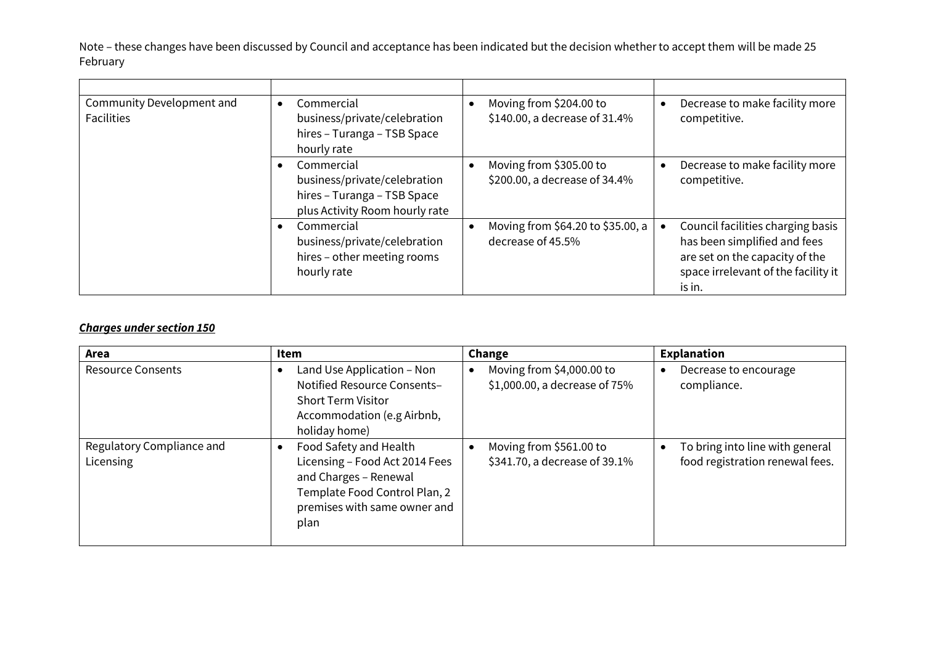| Community Development and<br><b>Facilities</b> | Commercial<br>٠<br>business/private/celebration<br>hires - Turanga - TSB Space<br>hourly rate               | Moving from \$204.00 to<br>\$140.00, a decrease of 31.4% | Decrease to make facility more<br>competitive.                                                                                                       |
|------------------------------------------------|-------------------------------------------------------------------------------------------------------------|----------------------------------------------------------|------------------------------------------------------------------------------------------------------------------------------------------------------|
|                                                | Commercial<br>business/private/celebration<br>hires - Turanga - TSB Space<br>plus Activity Room hourly rate | Moving from \$305.00 to<br>\$200.00, a decrease of 34.4% | Decrease to make facility more<br>competitive.                                                                                                       |
|                                                | Commercial<br>business/private/celebration<br>hires - other meeting rooms<br>hourly rate                    | Moving from \$64.20 to \$35.00, a<br>decrease of 45.5%   | Council facilities charging basis<br>has been simplified and fees<br>are set on the capacity of the<br>space irrelevant of the facility it<br>is in. |

| Area                                   | Item                                                                                                                                                       | Change                                                     | <b>Explanation</b>                                                 |
|----------------------------------------|------------------------------------------------------------------------------------------------------------------------------------------------------------|------------------------------------------------------------|--------------------------------------------------------------------|
| <b>Resource Consents</b>               | Land Use Application - Non<br>Notified Resource Consents-<br><b>Short Term Visitor</b><br>Accommodation (e.g Airbnb,<br>holiday home)                      | Moving from \$4,000.00 to<br>\$1,000.00, a decrease of 75% | Decrease to encourage<br>compliance.                               |
| Regulatory Compliance and<br>Licensing | Food Safety and Health<br>Licensing - Food Act 2014 Fees<br>and Charges - Renewal<br>Template Food Control Plan, 2<br>premises with same owner and<br>plan | Moving from \$561.00 to<br>\$341.70, a decrease of 39.1%   | To bring into line with general<br>food registration renewal fees. |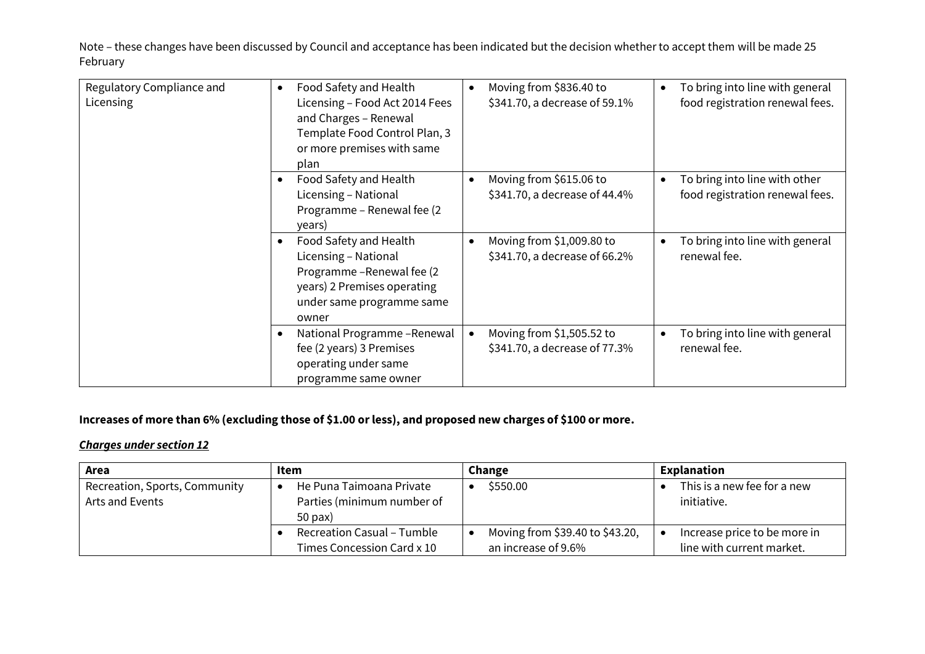| Regulatory Compliance and<br><b>Licensing</b> | Food Safety and Health<br>$\bullet$<br>Licensing - Food Act 2014 Fees<br>and Charges - Renewal<br>Template Food Control Plan, 3<br>or more premises with same<br>plan | Moving from \$836.40 to<br>$\bullet$<br>\$341.70, a decrease of 59.1%   | To bring into line with general<br>food registration renewal fees. |
|-----------------------------------------------|-----------------------------------------------------------------------------------------------------------------------------------------------------------------------|-------------------------------------------------------------------------|--------------------------------------------------------------------|
|                                               | Food Safety and Health<br>$\bullet$<br>Licensing - National<br>Programme - Renewal fee (2)<br>years)                                                                  | Moving from \$615.06 to<br>$\bullet$<br>\$341.70, a decrease of 44.4%   | To bring into line with other<br>food registration renewal fees.   |
|                                               | Food Safety and Health<br>$\bullet$<br>Licensing - National<br>Programme-Renewal fee (2)<br>years) 2 Premises operating<br>under same programme same<br>owner         | Moving from \$1,009.80 to<br>$\bullet$<br>\$341.70, a decrease of 66.2% | To bring into line with general<br>renewal fee.                    |
|                                               | National Programme - Renewal<br>$\bullet$<br>fee (2 years) 3 Premises<br>operating under same<br>programme same owner                                                 | Moving from \$1,505.52 to<br>$\bullet$<br>\$341.70, a decrease of 77.3% | To bring into line with general<br>renewal fee.                    |

## **Increases of more than 6% (excluding those of \$1.00 or less), and proposed new charges of \$100 or more.**

| Area                          | Item                                                     | Change                                                 | Explanation                                               |
|-------------------------------|----------------------------------------------------------|--------------------------------------------------------|-----------------------------------------------------------|
| Recreation, Sports, Community | He Puna Taimoana Private                                 | \$550.00                                               | This is a new fee for a new                               |
| Arts and Events               | Parties (minimum number of<br>50 pax)                    |                                                        | initiative.                                               |
|                               | Recreation Casual - Tumble<br>Times Concession Card x 10 | Moving from \$39.40 to \$43.20,<br>an increase of 9.6% | Increase price to be more in<br>line with current market. |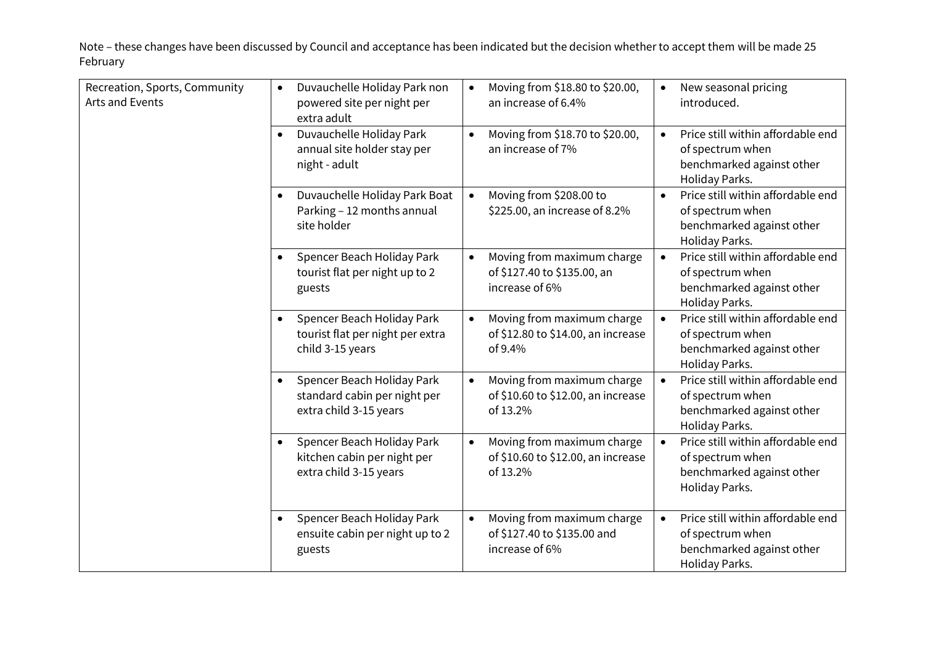| Recreation, Sports, Community<br>Arts and Events | Duvauchelle Holiday Park non<br>$\bullet$<br>powered site per night per<br>extra adult            | Moving from \$18.80 to \$20.00,<br>$\bullet$<br>an increase of 6.4%                       | New seasonal pricing<br>$\bullet$<br>introduced.                                                                  |
|--------------------------------------------------|---------------------------------------------------------------------------------------------------|-------------------------------------------------------------------------------------------|-------------------------------------------------------------------------------------------------------------------|
|                                                  | Duvauchelle Holiday Park<br>$\bullet$<br>annual site holder stay per<br>night - adult             | Moving from \$18.70 to \$20.00,<br>$\bullet$<br>an increase of 7%                         | Price still within affordable end<br>$\bullet$<br>of spectrum when<br>benchmarked against other<br>Holiday Parks. |
|                                                  | Duvauchelle Holiday Park Boat<br>$\bullet$<br>Parking - 12 months annual<br>site holder           | Moving from \$208.00 to<br>$\bullet$<br>\$225.00, an increase of 8.2%                     | Price still within affordable end<br>$\bullet$<br>of spectrum when<br>benchmarked against other<br>Holiday Parks. |
|                                                  | Spencer Beach Holiday Park<br>$\bullet$<br>tourist flat per night up to 2<br>guests               | Moving from maximum charge<br>$\bullet$<br>of \$127.40 to \$135.00, an<br>increase of 6%  | Price still within affordable end<br>of spectrum when<br>benchmarked against other<br>Holiday Parks.              |
|                                                  | Spencer Beach Holiday Park<br>$\bullet$<br>tourist flat per night per extra<br>child 3-15 years   | Moving from maximum charge<br>$\bullet$<br>of \$12.80 to \$14.00, an increase<br>of 9.4%  | Price still within affordable end<br>$\bullet$<br>of spectrum when<br>benchmarked against other<br>Holiday Parks. |
|                                                  | Spencer Beach Holiday Park<br>$\bullet$<br>standard cabin per night per<br>extra child 3-15 years | Moving from maximum charge<br>$\bullet$<br>of \$10.60 to \$12.00, an increase<br>of 13.2% | Price still within affordable end<br>$\bullet$<br>of spectrum when<br>benchmarked against other<br>Holiday Parks. |
|                                                  | Spencer Beach Holiday Park<br>$\bullet$<br>kitchen cabin per night per<br>extra child 3-15 years  | Moving from maximum charge<br>$\bullet$<br>of \$10.60 to \$12.00, an increase<br>of 13.2% | Price still within affordable end<br>of spectrum when<br>benchmarked against other<br>Holiday Parks.              |
|                                                  | Spencer Beach Holiday Park<br>$\bullet$<br>ensuite cabin per night up to 2<br>guests              | Moving from maximum charge<br>$\bullet$<br>of \$127.40 to \$135.00 and<br>increase of 6%  | Price still within affordable end<br>$\bullet$<br>of spectrum when<br>benchmarked against other<br>Holiday Parks. |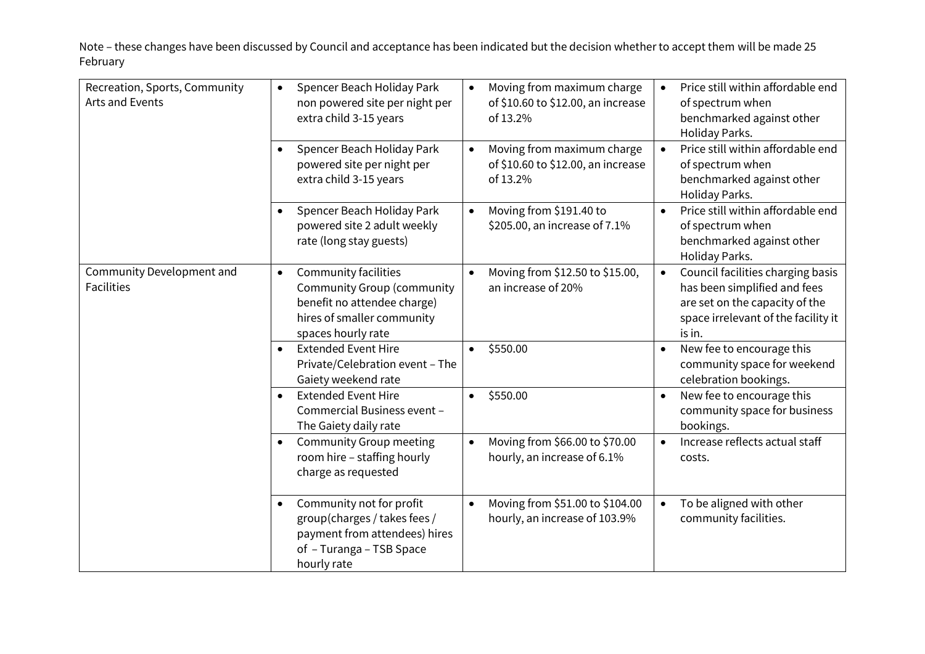| Recreation, Sports, Community<br>Arts and Events | Spencer Beach Holiday Park<br>$\bullet$<br>non powered site per night per<br>extra child 3-15 years                                                              | Moving from maximum charge<br>$\bullet$<br>of \$10.60 to \$12.00, an increase<br>of 13.2% | Price still within affordable end<br>of spectrum when<br>benchmarked against other<br>Holiday Parks.                                                              |
|--------------------------------------------------|------------------------------------------------------------------------------------------------------------------------------------------------------------------|-------------------------------------------------------------------------------------------|-------------------------------------------------------------------------------------------------------------------------------------------------------------------|
|                                                  | Spencer Beach Holiday Park<br>$\bullet$<br>powered site per night per<br>extra child 3-15 years                                                                  | Moving from maximum charge<br>$\bullet$<br>of \$10.60 to \$12.00, an increase<br>of 13.2% | Price still within affordable end<br>of spectrum when<br>benchmarked against other<br>Holiday Parks.                                                              |
|                                                  | Spencer Beach Holiday Park<br>$\bullet$<br>powered site 2 adult weekly<br>rate (long stay guests)                                                                | Moving from \$191.40 to<br>$\bullet$<br>\$205.00, an increase of 7.1%                     | Price still within affordable end<br>$\bullet$<br>of spectrum when<br>benchmarked against other<br>Holiday Parks.                                                 |
| Community Development and<br><b>Facilities</b>   | <b>Community facilities</b><br>$\bullet$<br><b>Community Group (community</b><br>benefit no attendee charge)<br>hires of smaller community<br>spaces hourly rate | Moving from \$12.50 to \$15.00,<br>$\bullet$<br>an increase of 20%                        | Council facilities charging basis<br>$\bullet$<br>has been simplified and fees<br>are set on the capacity of the<br>space irrelevant of the facility it<br>is in. |
|                                                  | <b>Extended Event Hire</b><br>$\bullet$<br>Private/Celebration event - The<br>Gaiety weekend rate                                                                | \$550.00<br>$\bullet$                                                                     | New fee to encourage this<br>community space for weekend<br>celebration bookings.                                                                                 |
|                                                  | <b>Extended Event Hire</b><br>$\bullet$<br>Commercial Business event -<br>The Gaiety daily rate                                                                  | \$550.00<br>$\bullet$                                                                     | New fee to encourage this<br>community space for business<br>bookings.                                                                                            |
|                                                  | <b>Community Group meeting</b><br>$\bullet$<br>room hire - staffing hourly<br>charge as requested                                                                | Moving from \$66.00 to \$70.00<br>$\bullet$<br>hourly, an increase of 6.1%                | Increase reflects actual staff<br>costs.                                                                                                                          |
|                                                  | Community not for profit<br>$\bullet$<br>group(charges / takes fees /<br>payment from attendees) hires<br>of - Turanga - TSB Space<br>hourly rate                | Moving from \$51.00 to \$104.00<br>$\bullet$<br>hourly, an increase of 103.9%             | To be aligned with other<br>$\bullet$<br>community facilities.                                                                                                    |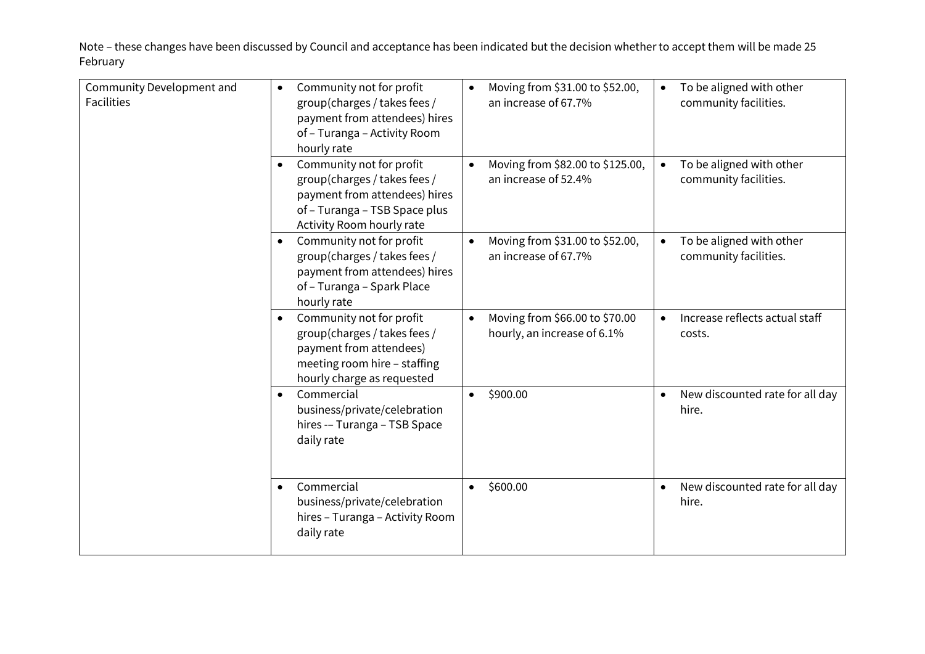| Community Development and<br><b>Facilities</b> | Community not for profit<br>$\bullet$<br>group(charges / takes fees /<br>payment from attendees) hires<br>of - Turanga - Activity Room<br>hourly rate                | Moving from \$31.00 to \$52.00,<br>an increase of 67.7%       | To be aligned with other<br>community facilities.     |
|------------------------------------------------|----------------------------------------------------------------------------------------------------------------------------------------------------------------------|---------------------------------------------------------------|-------------------------------------------------------|
|                                                | Community not for profit<br>$\bullet$<br>group(charges / takes fees /<br>payment from attendees) hires<br>of - Turanga - TSB Space plus<br>Activity Room hourly rate | Moving from \$82.00 to \$125.00,<br>an increase of 52.4%      | To be aligned with other<br>community facilities.     |
|                                                | Community not for profit<br>$\bullet$<br>group(charges / takes fees /<br>payment from attendees) hires<br>of - Turanga - Spark Place<br>hourly rate                  | Moving from \$31.00 to \$52.00,<br>an increase of 67.7%       | To be aligned with other<br>community facilities.     |
|                                                | Community not for profit<br>$\bullet$<br>group(charges / takes fees /<br>payment from attendees)<br>meeting room hire - staffing<br>hourly charge as requested       | Moving from \$66.00 to \$70.00<br>hourly, an increase of 6.1% | Increase reflects actual staff<br>costs.              |
|                                                | Commercial<br>$\bullet$<br>business/private/celebration<br>hires -- Turanga - TSB Space<br>daily rate                                                                | \$900.00<br>$\bullet$                                         | New discounted rate for all day<br>$\bullet$<br>hire. |
|                                                | Commercial<br>$\bullet$<br>business/private/celebration<br>hires - Turanga - Activity Room<br>daily rate                                                             | \$600.00<br>$\bullet$                                         | New discounted rate for all day<br>$\bullet$<br>hire. |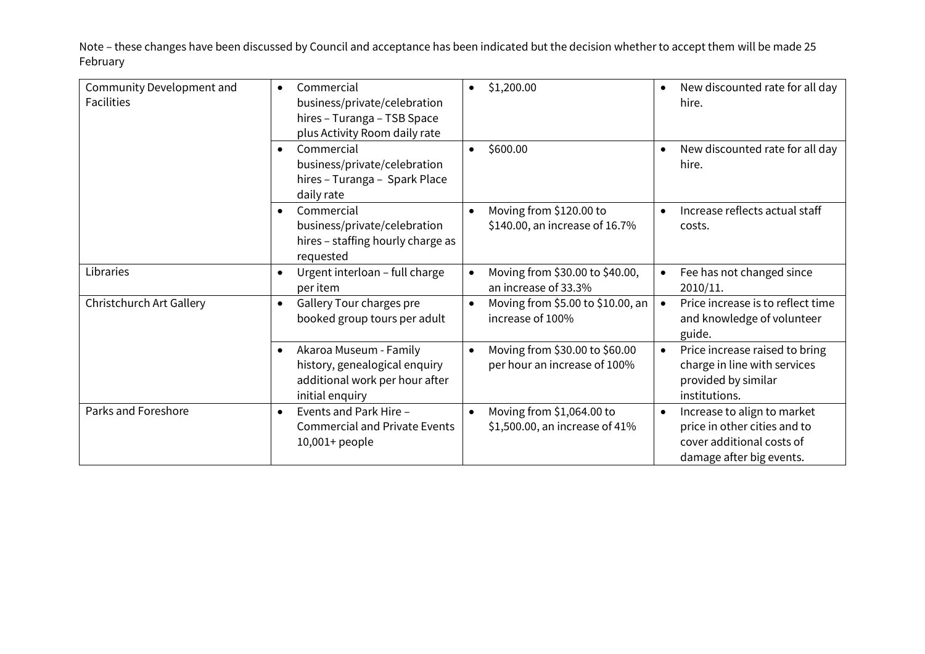| Community Development and<br><b>Facilities</b> | Commercial<br>$\bullet$<br>business/private/celebration<br>hires - Turanga - TSB Space<br>plus Activity Room daily rate   | \$1,200.00<br>$\bullet$                                                     | New discounted rate for all day<br>hire.                                                                             |
|------------------------------------------------|---------------------------------------------------------------------------------------------------------------------------|-----------------------------------------------------------------------------|----------------------------------------------------------------------------------------------------------------------|
|                                                | Commercial<br>$\bullet$<br>business/private/celebration<br>hires - Turanga - Spark Place<br>daily rate                    | \$600.00<br>$\bullet$                                                       | New discounted rate for all day<br>hire.                                                                             |
|                                                | Commercial<br>$\bullet$<br>business/private/celebration<br>hires - staffing hourly charge as<br>requested                 | Moving from \$120.00 to<br>$\bullet$<br>\$140.00, an increase of 16.7%      | Increase reflects actual staff<br>costs.                                                                             |
| Libraries                                      | Urgent interloan - full charge<br>$\bullet$<br>per item                                                                   | Moving from \$30.00 to \$40.00,<br>$\bullet$<br>an increase of 33.3%        | Fee has not changed since<br>2010/11.                                                                                |
| Christchurch Art Gallery                       | Gallery Tour charges pre<br>$\bullet$<br>booked group tours per adult                                                     | Moving from \$5.00 to \$10.00, an<br>$\bullet$<br>increase of 100%          | Price increase is to reflect time<br>and knowledge of volunteer<br>guide.                                            |
|                                                | Akaroa Museum - Family<br>$\bullet$<br>history, genealogical enquiry<br>additional work per hour after<br>initial enquiry | Moving from \$30.00 to \$60.00<br>$\bullet$<br>per hour an increase of 100% | Price increase raised to bring<br>charge in line with services<br>provided by similar<br>institutions.               |
| Parks and Foreshore                            | Events and Park Hire -<br>$\bullet$<br><b>Commercial and Private Events</b><br>$10,001+$ people                           | Moving from \$1,064.00 to<br>$\bullet$<br>\$1,500.00, an increase of 41%    | Increase to align to market<br>price in other cities and to<br>cover additional costs of<br>damage after big events. |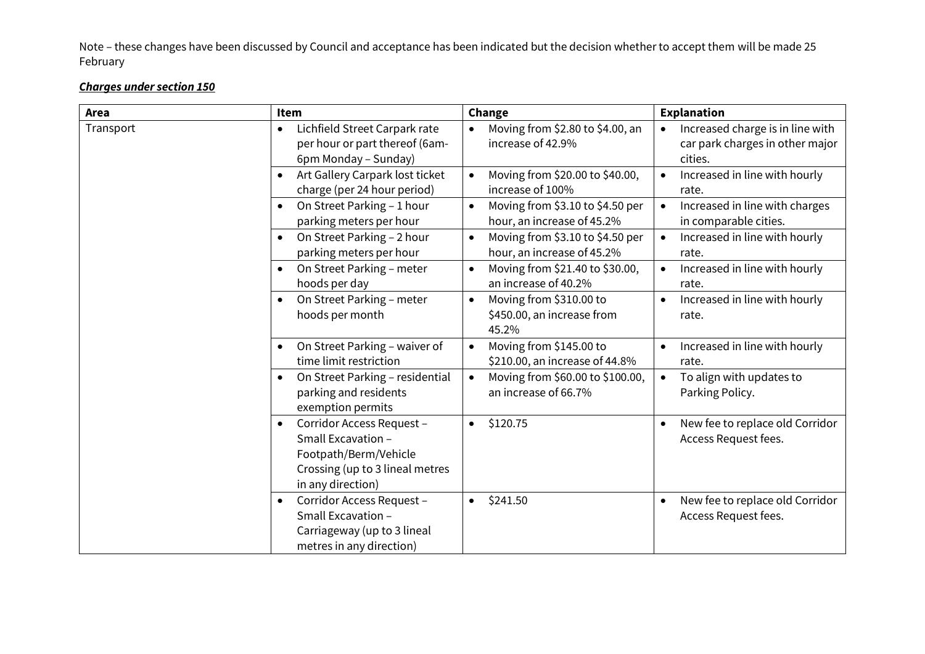| Area      | Item                                                                                                                                          | Change                                                                      | <b>Explanation</b>                                                             |
|-----------|-----------------------------------------------------------------------------------------------------------------------------------------------|-----------------------------------------------------------------------------|--------------------------------------------------------------------------------|
| Transport | Lichfield Street Carpark rate<br>$\bullet$<br>per hour or part thereof (6am-<br>6pm Monday - Sunday)                                          | Moving from \$2.80 to \$4.00, an<br>$\bullet$<br>increase of 42.9%          | Increased charge is in line with<br>car park charges in other major<br>cities. |
|           | Art Gallery Carpark lost ticket<br>$\bullet$<br>charge (per 24 hour period)                                                                   | Moving from \$20.00 to \$40.00,<br>$\bullet$<br>increase of 100%            | Increased in line with hourly<br>rate.                                         |
|           | On Street Parking - 1 hour<br>parking meters per hour                                                                                         | Moving from \$3.10 to \$4.50 per<br>$\bullet$<br>hour, an increase of 45.2% | Increased in line with charges<br>in comparable cities.                        |
|           | On Street Parking - 2 hour<br>$\bullet$<br>parking meters per hour                                                                            | Moving from \$3.10 to \$4.50 per<br>$\bullet$<br>hour, an increase of 45.2% | Increased in line with hourly<br>rate.                                         |
|           | On Street Parking - meter<br>$\bullet$<br>hoods per day                                                                                       | Moving from \$21.40 to \$30.00,<br>$\bullet$<br>an increase of 40.2%        | Increased in line with hourly<br>$\bullet$<br>rate.                            |
|           | On Street Parking - meter<br>$\bullet$<br>hoods per month                                                                                     | Moving from \$310.00 to<br>$\bullet$<br>\$450.00, an increase from<br>45.2% | Increased in line with hourly<br>$\bullet$<br>rate.                            |
|           | On Street Parking - waiver of<br>$\bullet$<br>time limit restriction                                                                          | Moving from \$145.00 to<br>$\bullet$<br>\$210.00, an increase of 44.8%      | Increased in line with hourly<br>$\bullet$<br>rate.                            |
|           | On Street Parking - residential<br>$\bullet$<br>parking and residents<br>exemption permits                                                    | Moving from \$60.00 to \$100.00,<br>$\bullet$<br>an increase of 66.7%       | To align with updates to<br>$\bullet$<br>Parking Policy.                       |
|           | Corridor Access Request -<br>$\bullet$<br>Small Excavation -<br>Footpath/Berm/Vehicle<br>Crossing (up to 3 lineal metres<br>in any direction) | \$120.75<br>$\bullet$                                                       | New fee to replace old Corridor<br>$\bullet$<br>Access Request fees.           |
|           | Corridor Access Request -<br>$\bullet$<br>Small Excavation -<br>Carriageway (up to 3 lineal<br>metres in any direction)                       | \$241.50<br>$\bullet$                                                       | New fee to replace old Corridor<br>$\bullet$<br>Access Request fees.           |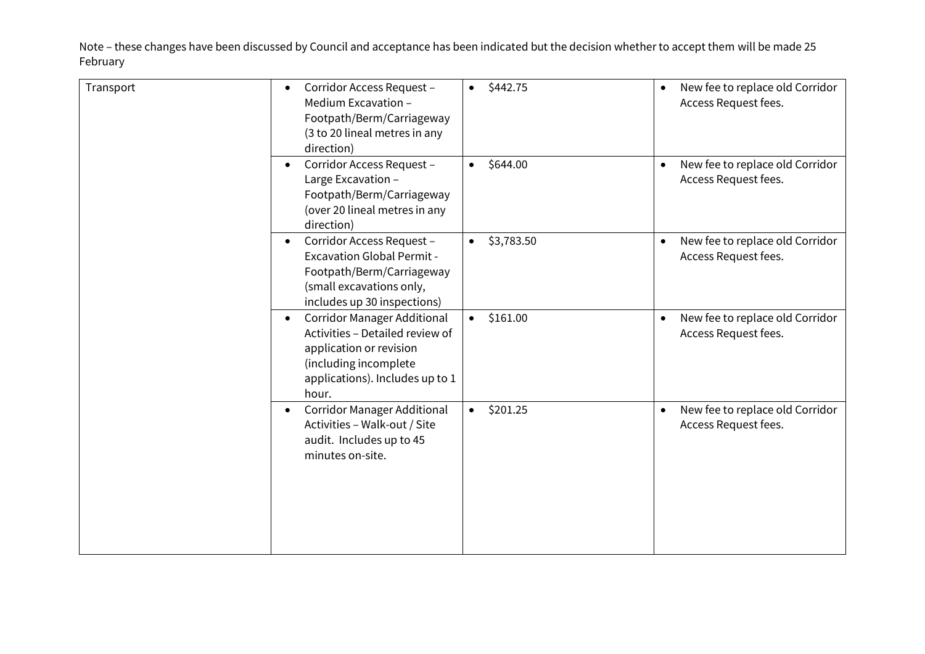| Corridor Access Request -<br>$\bullet$<br>Medium Excavation -<br>Footpath/Berm/Carriageway<br>(3 to 20 lineal metres in any<br>direction)                                          | \$442.75<br>$\bullet$   | New fee to replace old Corridor<br>Access Request fees.              |
|------------------------------------------------------------------------------------------------------------------------------------------------------------------------------------|-------------------------|----------------------------------------------------------------------|
| Corridor Access Request -<br>$\bullet$<br>Large Excavation -<br>Footpath/Berm/Carriageway<br>(over 20 lineal metres in any<br>direction)                                           | \$644.00<br>$\bullet$   | New fee to replace old Corridor<br>$\bullet$<br>Access Request fees. |
| Corridor Access Request -<br>$\bullet$<br><b>Excavation Global Permit -</b><br>Footpath/Berm/Carriageway<br>(small excavations only,<br>includes up 30 inspections)                | \$3,783.50<br>$\bullet$ | New fee to replace old Corridor<br>$\bullet$<br>Access Request fees. |
| <b>Corridor Manager Additional</b><br>$\bullet$<br>Activities - Detailed review of<br>application or revision<br>(including incomplete<br>applications). Includes up to 1<br>hour. | \$161.00<br>$\bullet$   | New fee to replace old Corridor<br>$\bullet$<br>Access Request fees. |
| <b>Corridor Manager Additional</b><br>$\bullet$<br>Activities - Walk-out / Site<br>audit. Includes up to 45<br>minutes on-site.                                                    | \$201.25<br>$\bullet$   | New fee to replace old Corridor<br>$\bullet$<br>Access Request fees. |
|                                                                                                                                                                                    |                         |                                                                      |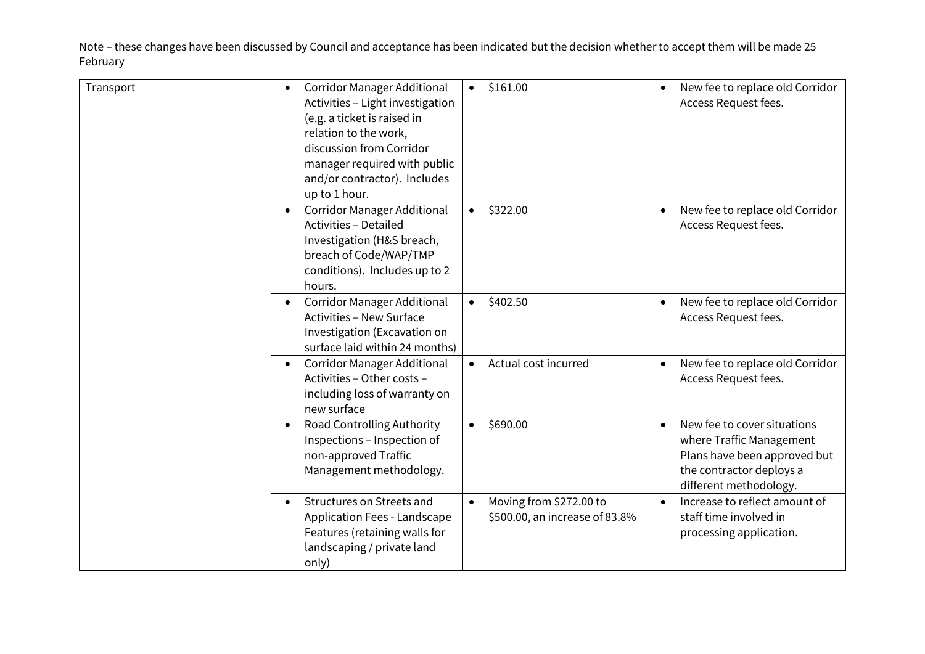| Transport | <b>Corridor Manager Additional</b><br>$\bullet$<br>Activities - Light investigation<br>(e.g. a ticket is raised in<br>relation to the work,<br>discussion from Corridor<br>manager required with public<br>and/or contractor). Includes<br>up to 1 hour. | \$161.00<br>$\bullet$                                                  | New fee to replace old Corridor<br>Access Request fees.                                                                                                    |
|-----------|----------------------------------------------------------------------------------------------------------------------------------------------------------------------------------------------------------------------------------------------------------|------------------------------------------------------------------------|------------------------------------------------------------------------------------------------------------------------------------------------------------|
|           | <b>Corridor Manager Additional</b><br>$\bullet$<br><b>Activities - Detailed</b><br>Investigation (H&S breach,<br>breach of Code/WAP/TMP<br>conditions). Includes up to 2<br>hours.                                                                       | \$322.00<br>$\bullet$                                                  | New fee to replace old Corridor<br>$\bullet$<br>Access Request fees.                                                                                       |
|           | <b>Corridor Manager Additional</b><br>$\bullet$<br><b>Activities - New Surface</b><br>Investigation (Excavation on<br>surface laid within 24 months)                                                                                                     | \$402.50<br>$\bullet$                                                  | New fee to replace old Corridor<br>$\bullet$<br>Access Request fees.                                                                                       |
|           | <b>Corridor Manager Additional</b><br>$\bullet$<br>Activities - Other costs -<br>including loss of warranty on<br>new surface                                                                                                                            | Actual cost incurred<br>$\bullet$                                      | New fee to replace old Corridor<br>$\bullet$<br>Access Request fees.                                                                                       |
|           | Road Controlling Authority<br>$\bullet$<br>Inspections - Inspection of<br>non-approved Traffic<br>Management methodology.                                                                                                                                | \$690.00<br>$\bullet$                                                  | New fee to cover situations<br>$\bullet$<br>where Traffic Management<br>Plans have been approved but<br>the contractor deploys a<br>different methodology. |
|           | Structures on Streets and<br>$\bullet$<br>Application Fees - Landscape<br>Features (retaining walls for<br>landscaping / private land<br>only)                                                                                                           | Moving from \$272.00 to<br>$\bullet$<br>\$500.00, an increase of 83.8% | Increase to reflect amount of<br>$\bullet$<br>staff time involved in<br>processing application.                                                            |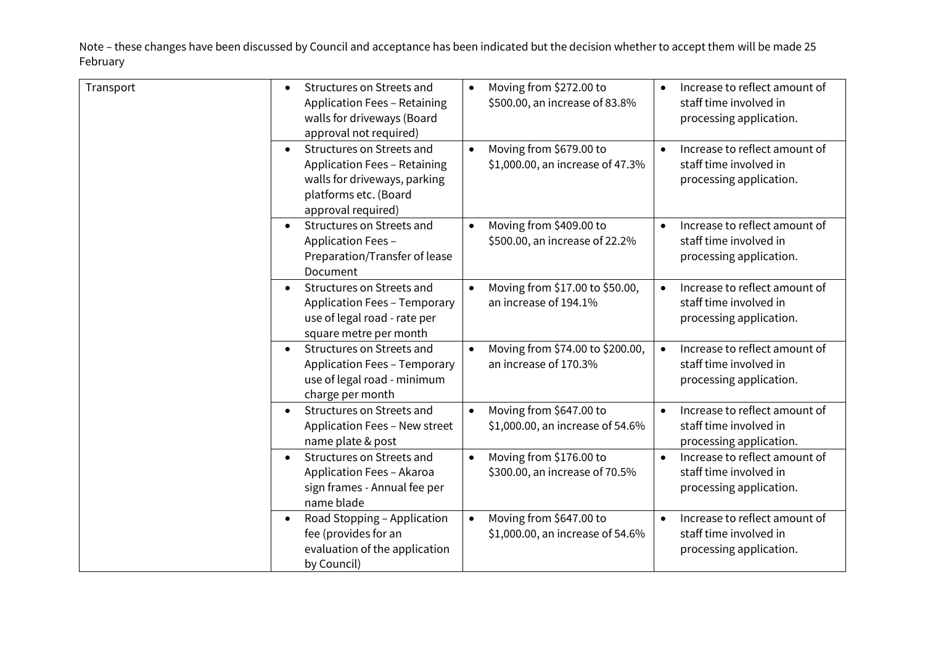| Transport | Structures on Streets and<br>$\bullet$<br><b>Application Fees - Retaining</b><br>walls for driveways (Board<br>approval not required)                        | Moving from \$272.00 to<br>$\bullet$<br>\$500.00, an increase of 83.8%   | Increase to reflect amount of<br>staff time involved in<br>processing application.              |
|-----------|--------------------------------------------------------------------------------------------------------------------------------------------------------------|--------------------------------------------------------------------------|-------------------------------------------------------------------------------------------------|
|           | Structures on Streets and<br>$\bullet$<br><b>Application Fees - Retaining</b><br>walls for driveways, parking<br>platforms etc. (Board<br>approval required) | Moving from \$679.00 to<br>$\bullet$<br>\$1,000.00, an increase of 47.3% | Increase to reflect amount of<br>$\bullet$<br>staff time involved in<br>processing application. |
|           | Structures on Streets and<br>$\bullet$<br>Application Fees -<br>Preparation/Transfer of lease<br>Document                                                    | Moving from \$409.00 to<br>$\bullet$<br>\$500.00, an increase of 22.2%   | Increase to reflect amount of<br>$\bullet$<br>staff time involved in<br>processing application. |
|           | Structures on Streets and<br>$\bullet$<br><b>Application Fees - Temporary</b><br>use of legal road - rate per<br>square metre per month                      | Moving from \$17.00 to \$50.00,<br>$\bullet$<br>an increase of 194.1%    | Increase to reflect amount of<br>$\bullet$<br>staff time involved in<br>processing application. |
|           | Structures on Streets and<br><b>Application Fees - Temporary</b><br>use of legal road - minimum<br>charge per month                                          | Moving from \$74.00 to \$200.00,<br>$\bullet$<br>an increase of 170.3%   | Increase to reflect amount of<br>staff time involved in<br>processing application.              |
|           | Structures on Streets and<br>$\bullet$<br>Application Fees - New street<br>name plate & post                                                                 | Moving from \$647.00 to<br>$\bullet$<br>\$1,000.00, an increase of 54.6% | Increase to reflect amount of<br>$\bullet$<br>staff time involved in<br>processing application. |
|           | Structures on Streets and<br>$\bullet$<br>Application Fees - Akaroa<br>sign frames - Annual fee per<br>name blade                                            | Moving from \$176.00 to<br>$\bullet$<br>\$300.00, an increase of 70.5%   | Increase to reflect amount of<br>$\bullet$<br>staff time involved in<br>processing application. |
|           | Road Stopping - Application<br>$\bullet$<br>fee (provides for an<br>evaluation of the application<br>by Council)                                             | Moving from \$647.00 to<br>$\bullet$<br>\$1,000.00, an increase of 54.6% | Increase to reflect amount of<br>$\bullet$<br>staff time involved in<br>processing application. |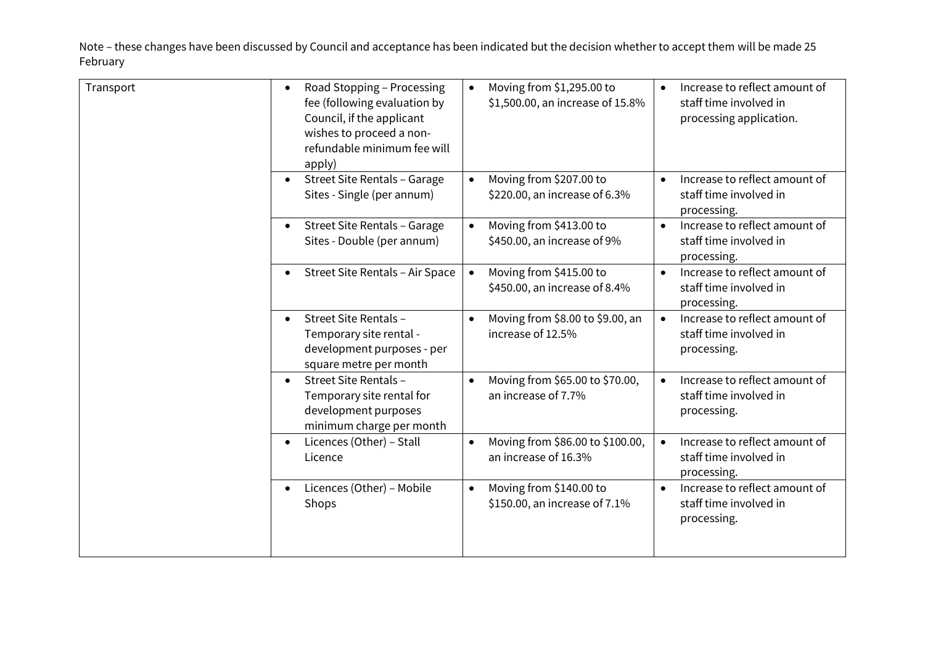| Transport | Road Stopping - Processing<br>$\bullet$<br>fee (following evaluation by<br>Council, if the applicant<br>wishes to proceed a non-<br>refundable minimum fee will<br>apply) | Moving from \$1,295.00 to<br>$\bullet$<br>\$1,500.00, an increase of 15.8% | Increase to reflect amount of<br>staff time involved in<br>processing application.  |
|-----------|---------------------------------------------------------------------------------------------------------------------------------------------------------------------------|----------------------------------------------------------------------------|-------------------------------------------------------------------------------------|
|           | Street Site Rentals - Garage<br>$\bullet$<br>Sites - Single (per annum)                                                                                                   | Moving from \$207.00 to<br>$\bullet$<br>\$220.00, an increase of 6.3%      | Increase to reflect amount of<br>$\bullet$<br>staff time involved in<br>processing. |
|           | Street Site Rentals - Garage<br>$\bullet$<br>Sites - Double (per annum)                                                                                                   | Moving from \$413.00 to<br>$\bullet$<br>\$450.00, an increase of 9%        | Increase to reflect amount of<br>$\bullet$<br>staff time involved in<br>processing. |
|           | Street Site Rentals - Air Space<br>$\bullet$                                                                                                                              | Moving from \$415.00 to<br>$\bullet$<br>\$450.00, an increase of 8.4%      | Increase to reflect amount of<br>$\bullet$<br>staff time involved in<br>processing. |
|           | Street Site Rentals -<br>$\bullet$<br>Temporary site rental -<br>development purposes - per<br>square metre per month                                                     | Moving from \$8.00 to \$9.00, an<br>increase of 12.5%                      | Increase to reflect amount of<br>$\bullet$<br>staff time involved in<br>processing. |
|           | Street Site Rentals -<br>$\bullet$<br>Temporary site rental for<br>development purposes<br>minimum charge per month                                                       | Moving from \$65.00 to \$70.00,<br>an increase of 7.7%                     | Increase to reflect amount of<br>staff time involved in<br>processing.              |
|           | Licences (Other) - Stall<br>٠<br>Licence                                                                                                                                  | Moving from \$86.00 to \$100.00,<br>$\bullet$<br>an increase of 16.3%      | Increase to reflect amount of<br>$\bullet$<br>staff time involved in<br>processing. |
|           | Licences (Other) - Mobile<br>$\bullet$<br>Shops                                                                                                                           | Moving from \$140.00 to<br>$\bullet$<br>\$150.00, an increase of 7.1%      | Increase to reflect amount of<br>$\bullet$<br>staff time involved in<br>processing. |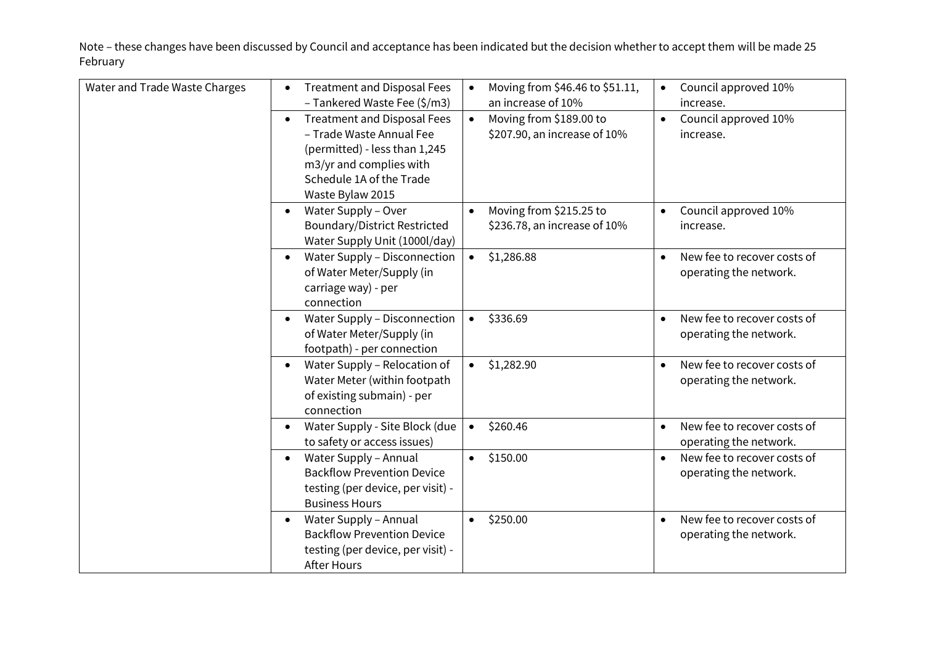| Water and Trade Waste Charges | <b>Treatment and Disposal Fees</b>              | Moving from \$46.46 to \$51.11,<br>$\bullet$ | Council approved 10%                     |
|-------------------------------|-------------------------------------------------|----------------------------------------------|------------------------------------------|
|                               | - Tankered Waste Fee (\$/m3)                    | an increase of 10%                           | increase.                                |
|                               | <b>Treatment and Disposal Fees</b><br>$\bullet$ | Moving from \$189.00 to<br>$\bullet$         | Council approved 10%                     |
|                               | - Trade Waste Annual Fee                        | \$207.90, an increase of 10%                 | increase.                                |
|                               | (permitted) - less than 1,245                   |                                              |                                          |
|                               | m3/yr and complies with                         |                                              |                                          |
|                               | Schedule 1A of the Trade                        |                                              |                                          |
|                               |                                                 |                                              |                                          |
|                               | Waste Bylaw 2015                                |                                              |                                          |
|                               | Water Supply - Over<br>$\bullet$                | Moving from \$215.25 to<br>$\bullet$         | Council approved 10%                     |
|                               | <b>Boundary/District Restricted</b>             | \$236.78, an increase of 10%                 | increase.                                |
|                               | Water Supply Unit (1000l/day)                   |                                              |                                          |
|                               | Water Supply - Disconnection<br>$\bullet$       | \$1,286.88<br>$\bullet$                      | New fee to recover costs of              |
|                               | of Water Meter/Supply (in                       |                                              | operating the network.                   |
|                               | carriage way) - per                             |                                              |                                          |
|                               | connection                                      |                                              |                                          |
|                               |                                                 |                                              |                                          |
|                               | Water Supply - Disconnection<br>$\bullet$       | \$336.69<br>$\bullet$                        | New fee to recover costs of<br>$\bullet$ |
|                               | of Water Meter/Supply (in                       |                                              | operating the network.                   |
|                               | footpath) - per connection                      |                                              |                                          |
|                               | Water Supply - Relocation of<br>$\bullet$       | \$1,282.90<br>$\bullet$                      | New fee to recover costs of<br>$\bullet$ |
|                               | Water Meter (within footpath                    |                                              | operating the network.                   |
|                               | of existing submain) - per                      |                                              |                                          |
|                               | connection                                      |                                              |                                          |
|                               | Water Supply - Site Block (due<br>$\bullet$     | \$260.46<br>$\bullet$                        | New fee to recover costs of<br>$\bullet$ |
|                               | to safety or access issues)                     |                                              | operating the network.                   |
|                               | Water Supply - Annual<br>$\bullet$              | \$150.00<br>$\bullet$                        | New fee to recover costs of<br>$\bullet$ |
|                               | <b>Backflow Prevention Device</b>               |                                              |                                          |
|                               |                                                 |                                              | operating the network.                   |
|                               | testing (per device, per visit) -               |                                              |                                          |
|                               | <b>Business Hours</b>                           |                                              |                                          |
|                               | Water Supply - Annual<br>$\bullet$              | \$250.00<br>$\bullet$                        | New fee to recover costs of<br>$\bullet$ |
|                               | <b>Backflow Prevention Device</b>               |                                              | operating the network.                   |
|                               | testing (per device, per visit) -               |                                              |                                          |
|                               | <b>After Hours</b>                              |                                              |                                          |
|                               |                                                 |                                              |                                          |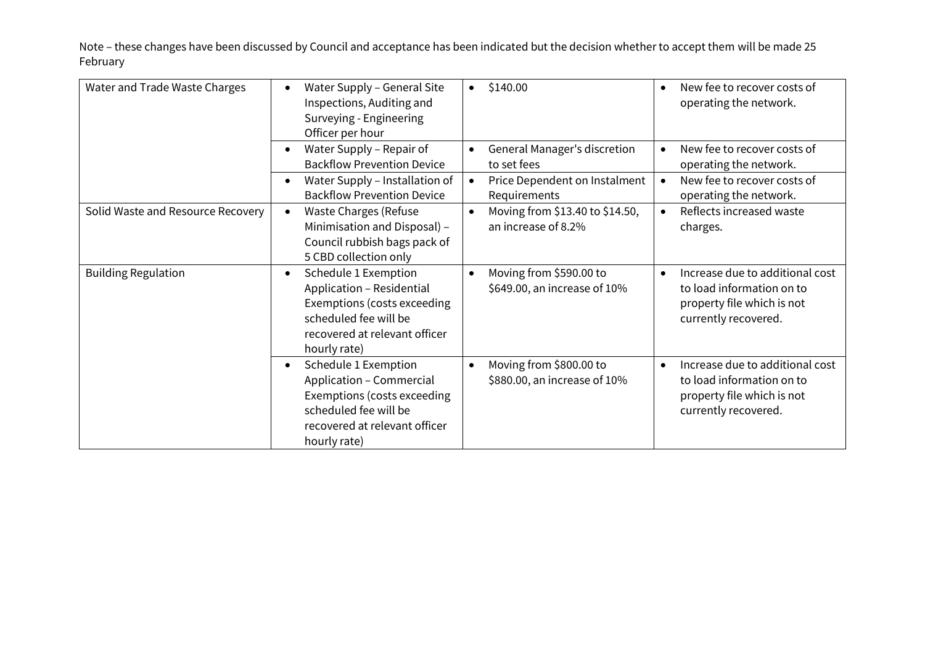| Water and Trade Waste Charges     | Water Supply - General Site<br>Inspections, Auditing and<br>Surveying - Engineering<br>Officer per hour                                                                 | \$140.00<br>$\bullet$                                                | New fee to recover costs of<br>operating the network.                                                              |
|-----------------------------------|-------------------------------------------------------------------------------------------------------------------------------------------------------------------------|----------------------------------------------------------------------|--------------------------------------------------------------------------------------------------------------------|
|                                   | Water Supply - Repair of<br>$\bullet$<br><b>Backflow Prevention Device</b>                                                                                              | General Manager's discretion<br>$\bullet$<br>to set fees             | New fee to recover costs of<br>$\bullet$<br>operating the network.                                                 |
|                                   | Water Supply - Installation of<br>$\bullet$<br><b>Backflow Prevention Device</b>                                                                                        | Price Dependent on Instalment<br>$\bullet$<br>Requirements           | New fee to recover costs of<br>operating the network.                                                              |
| Solid Waste and Resource Recovery | <b>Waste Charges (Refuse</b><br>$\bullet$<br>Minimisation and Disposal) -<br>Council rubbish bags pack of<br>5 CBD collection only                                      | Moving from \$13.40 to \$14.50,<br>$\bullet$<br>an increase of 8.2%  | Reflects increased waste<br>charges.                                                                               |
| <b>Building Regulation</b>        | Schedule 1 Exemption<br>$\bullet$<br>Application - Residential<br>Exemptions (costs exceeding<br>scheduled fee will be<br>recovered at relevant officer<br>hourly rate) | Moving from \$590.00 to<br>$\bullet$<br>\$649.00, an increase of 10% | Increase due to additional cost<br>to load information on to<br>property file which is not<br>currently recovered. |
|                                   | Schedule 1 Exemption<br>$\bullet$<br>Application - Commercial<br>Exemptions (costs exceeding<br>scheduled fee will be<br>recovered at relevant officer<br>hourly rate)  | Moving from \$800.00 to<br>$\bullet$<br>\$880.00, an increase of 10% | Increase due to additional cost<br>to load information on to<br>property file which is not<br>currently recovered. |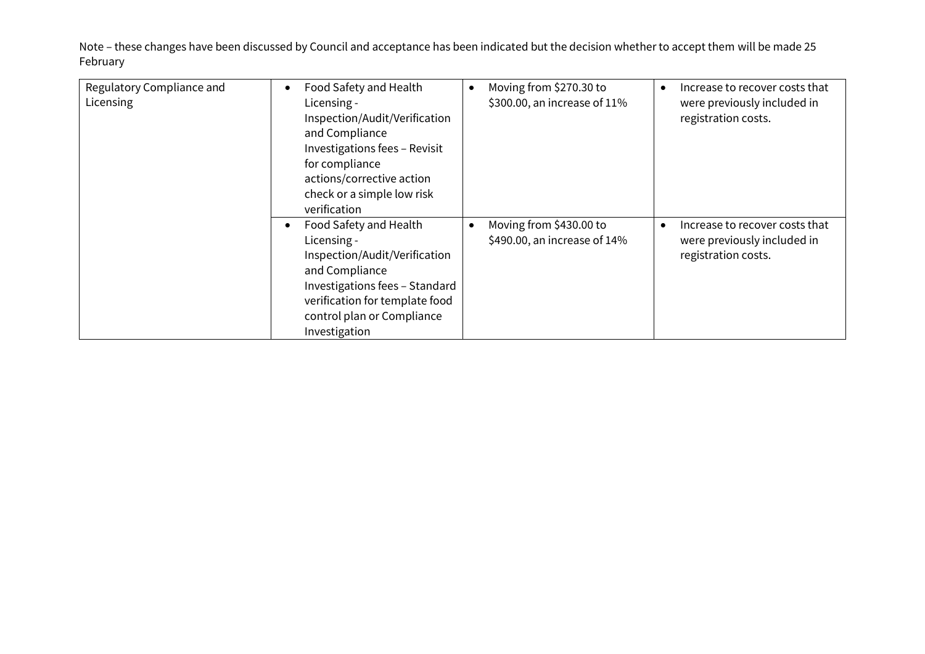| Regulatory Compliance and<br>Licensing | Food Safety and Health<br>$\bullet$<br>Licensing -<br>Inspection/Audit/Verification<br>and Compliance<br>Investigations fees - Revisit<br>for compliance<br>actions/corrective action<br>check or a simple low risk<br>verification | Moving from \$270.30 to<br>$\bullet$<br>\$300.00, an increase of 11% | Increase to recover costs that<br>were previously included in<br>registration costs.              |
|----------------------------------------|-------------------------------------------------------------------------------------------------------------------------------------------------------------------------------------------------------------------------------------|----------------------------------------------------------------------|---------------------------------------------------------------------------------------------------|
|                                        | Food Safety and Health<br>Licensing -<br>Inspection/Audit/Verification<br>and Compliance<br>Investigations fees - Standard<br>verification for template food<br>control plan or Compliance<br>Investigation                         | Moving from \$430.00 to<br>$\bullet$<br>\$490.00, an increase of 14% | Increase to recover costs that<br>$\bullet$<br>were previously included in<br>registration costs. |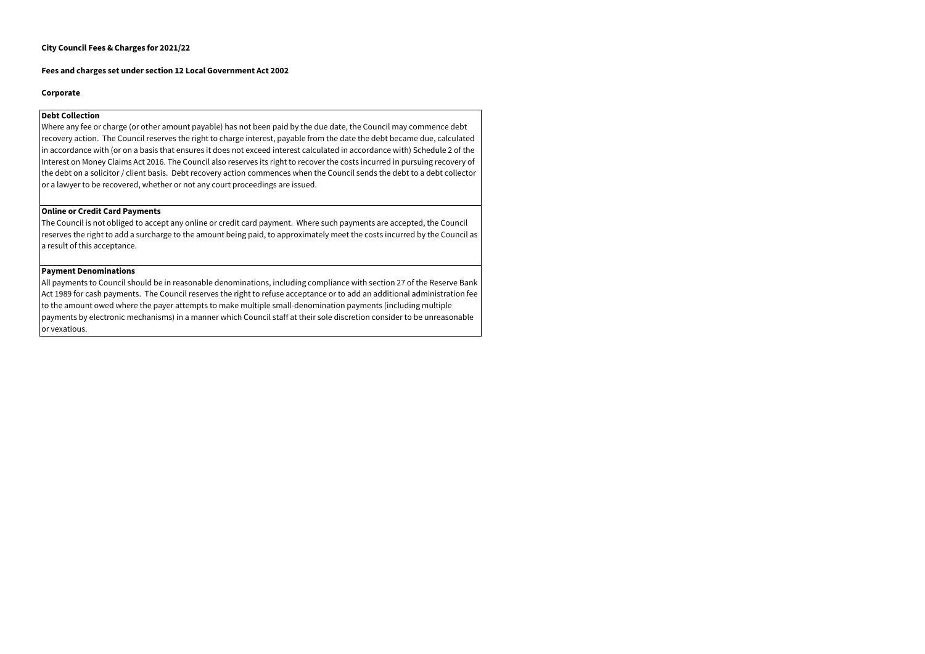#### **City Council Fees & Charges for 2021/22**

#### **Fees and charges set under section 12 Local Government Act 2002**

#### **Corporate**

#### **Debt Collection**

Where any fee or charge (or other amount payable) has not been paid by the due date, the Council may commence debt recovery action. The Council reserves the right to charge interest, payable from the date the debt became due, calculated in accordance with (or on a basis that ensures it does not exceed interest calculated in accordance with) Schedule 2 of the Interest on Money Claims Act 2016. The Council also reserves its right to recover the costs incurred in pursuing recovery of the debt on a solicitor / client basis. Debt recovery action commences when the Council sends the debt to a debt collector or a lawyer to be recovered, whether or not any court proceedings are issued.

#### **Online or Credit Card Payments**

The Council is not obliged to accept any online or credit card payment. Where such payments are accepted, the Council reserves the right to add a surcharge to the amount being paid, to approximately meet the costs incurred by the Council as a result of this acceptance.

#### **Payment Denominations**

All payments to Council should be in reasonable denominations, including compliance with section 27 of the Reserve Bank Act 1989 for cash payments. The Council reserves the right to refuse acceptance or to add an additional administration fee to the amount owed where the payer attempts to make multiple small-denomination payments (including multiple payments by electronic mechanisms) in a manner which Council staff at their sole discretion consider to be unreasonable or vexatious.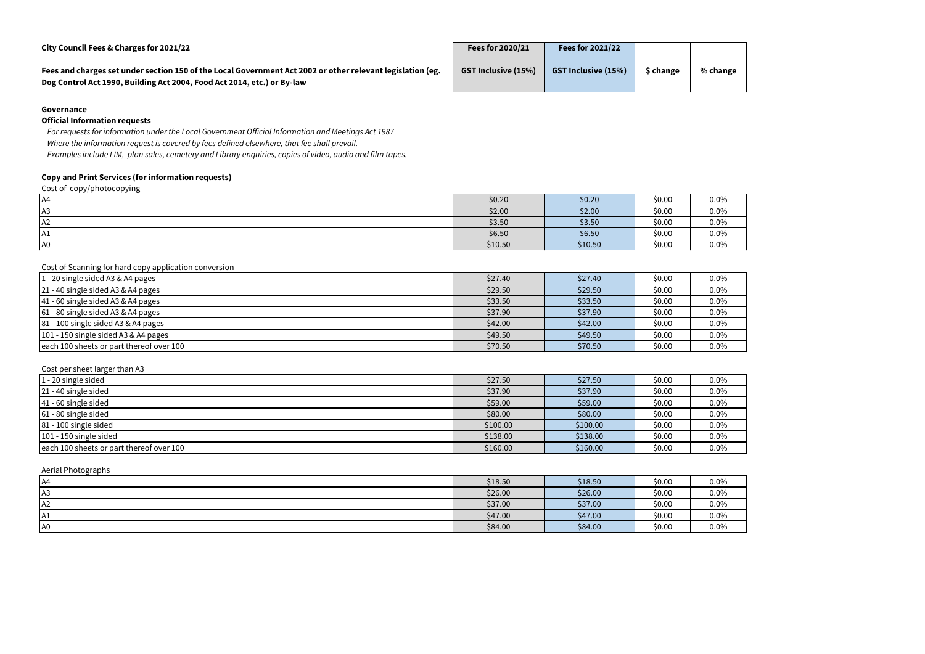| City Council Fees & Charges for 2021/22                                                                                                                                               | Fees for 2020/21           | <b>Fees for 2021/22</b>    |           |  |
|---------------------------------------------------------------------------------------------------------------------------------------------------------------------------------------|----------------------------|----------------------------|-----------|--|
| Fees and charges set under section 150 of the Local Government Act 2002 or other relevant legislation (eg.<br>Dog Control Act 1990, Building Act 2004, Food Act 2014, etc.) or By-law | <b>GST Inclusive (15%)</b> | <b>GST Inclusive (15%)</b> | \$ change |  |

### **Governance**

#### **Official Information requests**

*For requests for information under the Local Government Official Information and Meetings Act 1987 Where the information request is covered by fees defined elsewhere, that fee shall prevail. Examples include LIM, plan sales, cemetery and Library enquiries, copies of video, audio and film tapes.*

# **Copy and Print Services (for information requests)**

Cost of copy/photocopying

| .<br>. .<br>ັ  |         |         |        |         |
|----------------|---------|---------|--------|---------|
| $\mathsf{A}4$  | \$0.20  | \$0.20  | \$0.00 | $0.0\%$ |
| A <sub>3</sub> | \$2.00  | \$2.00  | \$0.00 | $0.0\%$ |
| A2             | \$3.50  | \$3.50  | \$0.00 | $0.0\%$ |
| A1             | \$6.50  | \$6.50  | \$0.00 | $0.0\%$ |
| A <sub>0</sub> | \$10.50 | \$10.50 | \$0.00 | $0.0\%$ |
|                |         |         |        |         |

Cost of Scanning for hard copy application conversion

| $1 - 20$ single sided A3 & A4 pages      | \$27.40 | \$27.40 | \$0.00 | 0.0% |
|------------------------------------------|---------|---------|--------|------|
| 21 - 40 single sided A3 & A4 pages       | \$29.50 | \$29.50 | \$0.00 | 0.0% |
| $ 41 - 60$ single sided A3 & A4 pages    | \$33.50 | \$33.50 | \$0.00 | 0.0% |
| $61 - 80$ single sided A3 & A4 pages     | \$37.90 | \$37.90 | \$0.00 | 0.0% |
| 81 - 100 single sided A3 & A4 pages      | \$42.00 | \$42.00 | \$0.00 | 0.0% |
| 101 - 150 single sided A3 & A4 pages     | \$49.50 | \$49.50 | \$0.00 | 0.0% |
| each 100 sheets or part thereof over 100 | \$70.50 | \$70.50 | \$0.00 | 0.0% |

| Cost per sheet larger than A3            |          |          |        |         |
|------------------------------------------|----------|----------|--------|---------|
| $1 - 20$ single sided                    | \$27.50  | \$27.50  | \$0.00 | $0.0\%$ |
| 21 - 40 single sided                     | \$37.90  | \$37.90  | \$0.00 | $0.0\%$ |
| $ 41 - 60$ single sided                  | \$59.00  | \$59.00  | \$0.00 | $0.0\%$ |
| 61 - 80 single sided                     | \$80.00  | \$80.00  | \$0.00 | $0.0\%$ |
| $81 - 100$ single sided                  | \$100.00 | \$100.00 | \$0.00 | $0.0\%$ |
| $101 - 150$ single sided                 | \$138.00 | \$138.00 | \$0.00 | $0.0\%$ |
| each 100 sheets or part thereof over 100 | \$160.00 | \$160.00 | \$0.00 | $0.0\%$ |

Aerial Photographs

| IA4 | \$18.50 | \$18.50 | \$0.00 | $0.0\%$ |
|-----|---------|---------|--------|---------|
| IA3 | \$26.00 | \$26.00 | \$0.00 | $0.0\%$ |
| IA2 | \$37.00 | \$37.00 | \$0.00 | $0.0\%$ |
| A1  | \$47.00 | \$47.00 | \$0.00 | $0.0\%$ |
| A0  | \$84.00 | \$84.00 | \$0.00 | $0.0\%$ |

#### $%$  change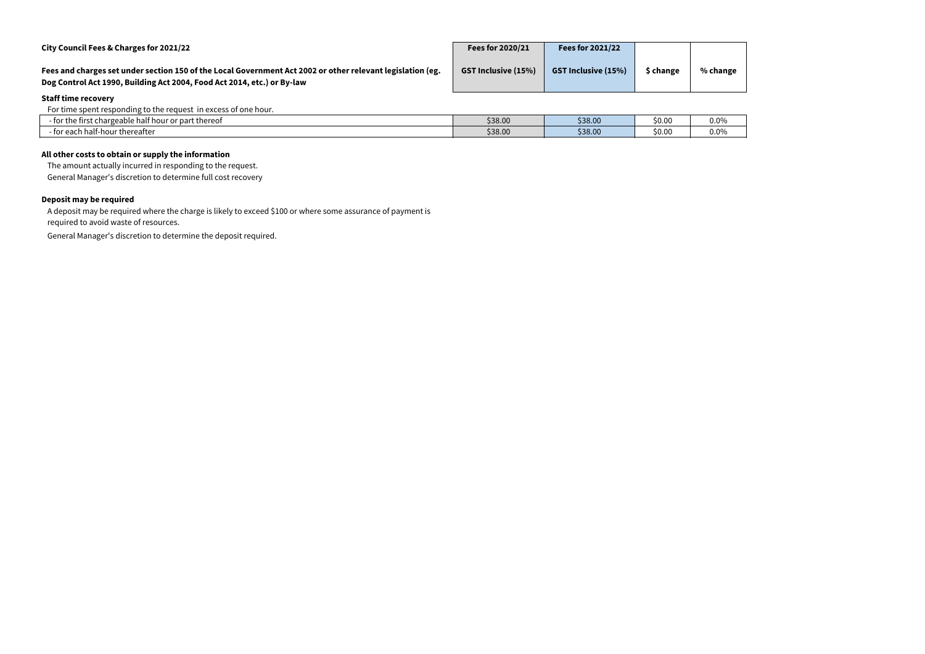| City Council Fees & Charges for 2021/22                                                                                                                                               | Fees for 2020/21           | <b>Fees for 2021/22</b>    |           |          |
|---------------------------------------------------------------------------------------------------------------------------------------------------------------------------------------|----------------------------|----------------------------|-----------|----------|
| Fees and charges set under section 150 of the Local Government Act 2002 or other relevant legislation (eg.<br>Dog Control Act 1990, Building Act 2004, Food Act 2014, etc.) or By-law | <b>GST Inclusive (15%)</b> | <b>GST Inclusive (15%)</b> | \$ change | % change |
| <b>Staff time recovery</b>                                                                                                                                                            |                            |                            |           |          |
| For time spent responding to the request in excess of one hour.                                                                                                                       |                            |                            |           |          |
| - for the first chargeable half hour or part thereof                                                                                                                                  | \$38.00                    | \$38.00                    | \$0.00    | $0.0\%$  |
| - for each half-hour thereafter                                                                                                                                                       | \$38.00                    | \$38.00                    | \$0.00    | $0.0\%$  |

| $\cdot$ $\cdot$<br>for part thereof :<br>for the first<br>chargeable<br>e half hour. | \$38.00 | \$38.00 | \$0.00 |  |
|--------------------------------------------------------------------------------------|---------|---------|--------|--|
| - for each half-hour thereafter                                                      | \$38.00 | \$38.00 | \$0.00 |  |

# **All other costs to obtain or supply the information**

The amount actually incurred in responding to the request.

General Manager's discretion to determine full cost recovery

## **Deposit may be required**

A deposit may be required where the charge is likely to exceed \$100 or where some assurance of payment is

required to avoid waste of resources.

General Manager's discretion to determine the deposit required.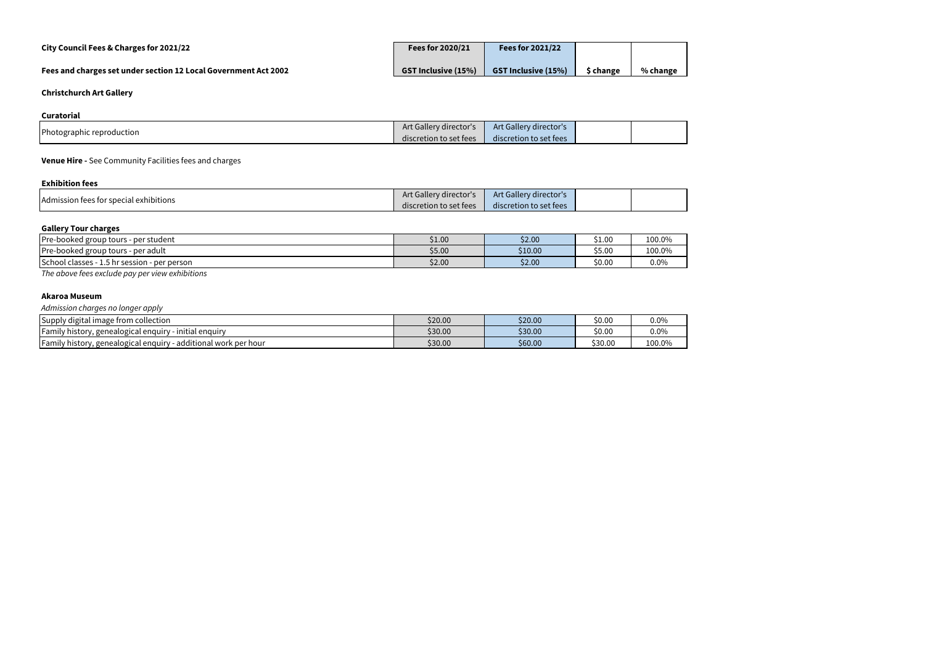# **City Council Fees & Charges for 2021/22 Fees for 2020/21 Fees for 2021/22**

# **Fees and charges set under section 12 Local Government Act 2002**

| <b>Fees for 2020/21</b>    | <b>Fees for 2021/22</b>    |           |          |
|----------------------------|----------------------------|-----------|----------|
| <b>GST Inclusive (15%)</b> | <b>GST Inclusive (15%)</b> | \$ change | % change |

# **Christchurch Art Gallery**

## **Curatorial**

|                           | Art Gallery director's | Art Gallery director's |  |
|---------------------------|------------------------|------------------------|--|
| Photographic reproduction | discretion to set fees | discretion to set fees |  |

# **Venue Hire -** See Community Facilities fees and charges

| <b>Exhibition fees</b>                 |                        |                        |  |
|----------------------------------------|------------------------|------------------------|--|
|                                        | Art Gallery director's | Art Gallery director's |  |
| Admission fees for special exhibitions | discretion to set fees | discretion to set fees |  |

## **Gallery Tour charges**

| <b>Pre-booked group</b><br>- per student<br>tours                | \$1.00 | \$2.00  | \$1.00 | 100.0%  |
|------------------------------------------------------------------|--------|---------|--------|---------|
| <b>Pre-booked group</b><br>tours<br>- per adult                  | \$5.00 | \$10.00 | \$5.00 | 100.0%  |
| <b>School</b><br>classes -<br>- per person<br>.5 hr session<br>ر | \$2.00 | \$2.00  | \$0.00 | $0.0\%$ |

*The above fees exclude pay per view exhibitions*

#### **Akaroa Museum**

| Admission charges no longer apply                               |         |         |         |         |
|-----------------------------------------------------------------|---------|---------|---------|---------|
| Supply digital image from collection                            | \$20.00 | \$20.00 | \$0.00  | $0.0\%$ |
| Family history, genealogical enquiry - initial enquiry          | \$30.00 | \$30.00 | \$0.00  | $0.0\%$ |
| Family history, genealogical enquiry - additional work per hour | \$30.00 | \$60.00 | \$30.00 | 100.0%  |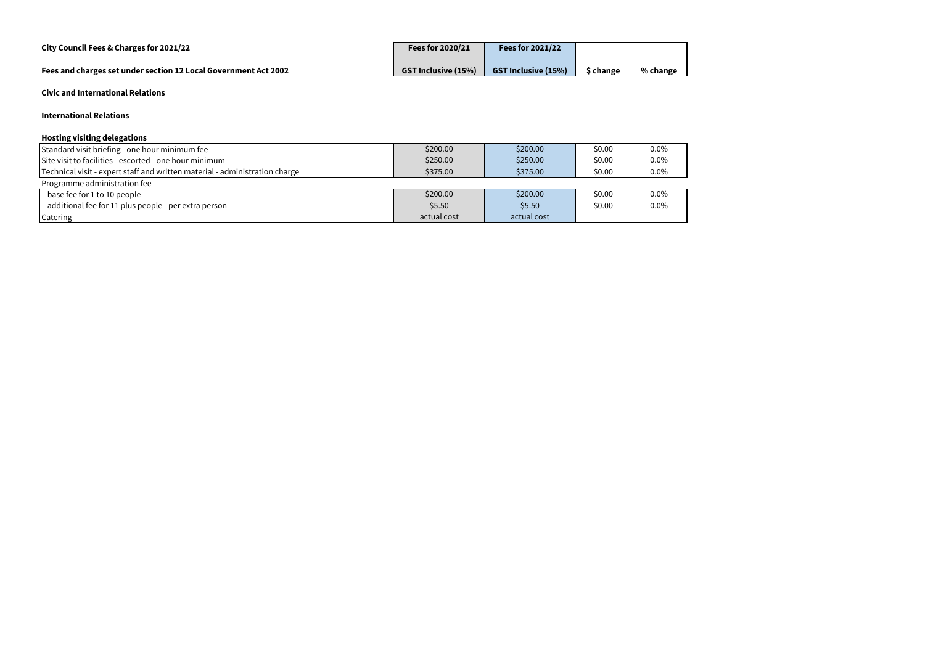# **City Council Fees & Charges for 2021/22 Fees for 2020/21 Fees for 2021/22**

**Fees and charges set under section 12 Local Government Act 2002** 

| <b>Fees for 2020/21</b>    | Fees for 2021/22           |           |          |
|----------------------------|----------------------------|-----------|----------|
| <b>GST Inclusive (15%)</b> | <b>GST Inclusive (15%)</b> | \$ change | % change |

**Civic and International Relations**

## **International Relations**

## **Hosting visiting delegations**

| Standard visit briefing - one hour minimum fee                              | \$200.00    | \$200.00    | \$0.00 | $0.0\%$ |
|-----------------------------------------------------------------------------|-------------|-------------|--------|---------|
| Site visit to facilities - escorted - one hour minimum                      | \$250.00    | \$250.00    | \$0.00 | $0.0\%$ |
| Technical visit - expert staff and written material - administration charge | \$375.00    | \$375.00    | \$0.00 | $0.0\%$ |
| Programme administration fee                                                |             |             |        |         |
| base fee for 1 to 10 people                                                 | \$200.00    | \$200.00    | \$0.00 | $0.0\%$ |
| additional fee for 11 plus people - per extra person                        | \$5.50      | \$5.50      | \$0.00 | $0.0\%$ |
| Catering                                                                    | actual cost | actual cost |        |         |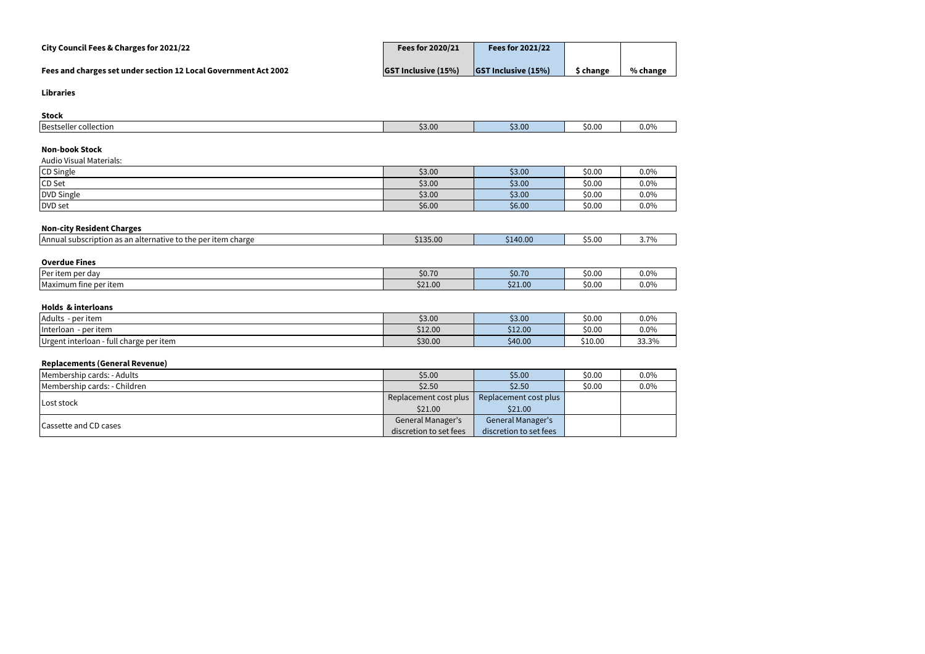# **Fees and charges set under section 12 Local Government Act 2002**

| City Council Fees & Charges for 2021/22                         | Fees for 2020/21           | Fees for $2021/22$         |                |          |
|-----------------------------------------------------------------|----------------------------|----------------------------|----------------|----------|
| Fees and charges set under section 12 Local Government Act 2002 | <b>GST Inclusive (15%)</b> | <b>GST Inclusive (15%)</b> | <b>Schange</b> | % change |

#### **Libraries**

| <b>Stock</b>                                                 |                               |           |                |         |
|--------------------------------------------------------------|-------------------------------|-----------|----------------|---------|
| Bestseller collection                                        | \$3.00                        | \$3.00    | \$0.00         | $0.0\%$ |
| <b>Non-book Stock</b><br><b>Audio Visual Materials:</b>      |                               |           |                |         |
| CD Single                                                    | \$3.00                        | \$3.00    | \$0.00         | $0.0\%$ |
| CD Set                                                       | \$3.00                        | \$3.00    | \$0.00         | $0.0\%$ |
| DVD Single                                                   | \$3.00                        | \$3.00    | \$0.00         | $0.0\%$ |
| DVD set                                                      | \$6.00                        | \$6.00    | \$0.00         | $0.0\%$ |
| <b>Non-city Resident Charges</b>                             |                               |           |                |         |
| Annual subscription as an alternative to the per item charge | \$135.00                      | \$140.00  | \$5.00         | 3.7%    |
| <b>Overdue Fines</b>                                         |                               |           |                |         |
| $\mathbf{I}$ , and the set of $\mathbf{I}$                   | $\lambda$ $\lambda$ $\lambda$ | $AA = 70$ | $\lambda$ 0.00 | 0.001   |

| <b>I</b> Per<br>per dav<br>ાલ્ટ   | \$0.70  | <b>CO 70</b><br>JU. | 50.00  | $0.00^\circ$ |
|-----------------------------------|---------|---------------------|--------|--------------|
| <b>Maximum</b><br>i fine per item | \$21.00 | \$21.00             | \$0.00 | 0.09         |

# **Holds & interloans**

| Adults<br>per item                                   | \$3.00  | \$3.00  | \$0.00  | $0.0\%$ |
|------------------------------------------------------|---------|---------|---------|---------|
| Interloan<br>per item                                | \$12.00 | \$12.00 | \$0.00  | $0.0\%$ |
| IUrgent interloan -<br>l charge per item<br>` - full | \$30.00 | \$40.00 | \$10.00 | 33.3%   |

# **Replacements (General Revenue)**

| Membership cards: - Adults   | \$5.00                   | \$5.00                   | \$0.00 | 0.0% |
|------------------------------|--------------------------|--------------------------|--------|------|
| Membership cards: - Children | \$2.50                   | \$2.50                   | \$0.00 | 0.0% |
| Lost stock                   | Replacement cost plus    | Replacement cost plus    |        |      |
|                              | \$21.00                  | \$21.00                  |        |      |
|                              | <b>General Manager's</b> | <b>General Manager's</b> |        |      |
| Cassette and CD cases        | discretion to set fees   | discretion to set fees   |        |      |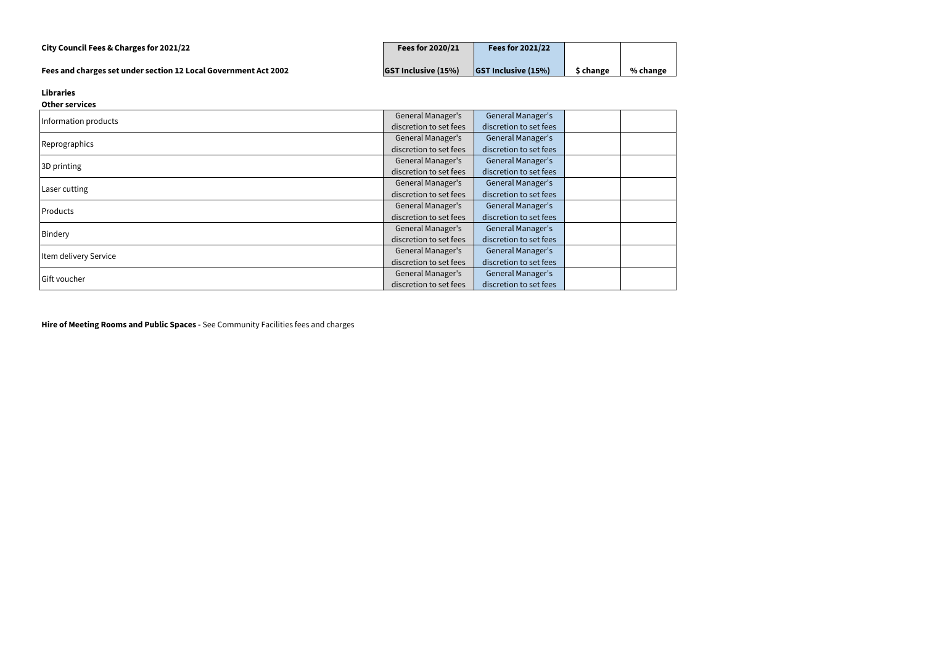|  |  |  | City Council Fees & Charges for 2021/22 |
|--|--|--|-----------------------------------------|
|--|--|--|-----------------------------------------|

| City Council Fees & Charges for 2021/22                         | Fees for 2020/21           | <b>Fees for 2021/22</b>  |          |          |
|-----------------------------------------------------------------|----------------------------|--------------------------|----------|----------|
| Fees and charges set under section 12 Local Government Act 2002 | <b>GST Inclusive (15%)</b> | $ GST$ Inclusive $(15%)$ | * change | % change |

## **Libraries**

| <b>Other services</b> |                          |                          |  |
|-----------------------|--------------------------|--------------------------|--|
| Information products  | General Manager's        | <b>General Manager's</b> |  |
|                       | discretion to set fees   | discretion to set fees   |  |
|                       | General Manager's        | General Manager's        |  |
| Reprographics         | discretion to set fees   | discretion to set fees   |  |
| 3D printing           | General Manager's        | General Manager's        |  |
|                       | discretion to set fees   | discretion to set fees   |  |
| Laser cutting         | <b>General Manager's</b> | General Manager's        |  |
|                       | discretion to set fees   | discretion to set fees   |  |
| Products              | General Manager's        | General Manager's        |  |
|                       | discretion to set fees   | discretion to set fees   |  |
|                       | <b>General Manager's</b> | General Manager's        |  |
| Bindery               | discretion to set fees   | discretion to set fees   |  |
| Item delivery Service | General Manager's        | General Manager's        |  |
|                       | discretion to set fees   | discretion to set fees   |  |
| Gift voucher          | General Manager's        | General Manager's        |  |
|                       | discretion to set fees   | discretion to set fees   |  |

**Hire of Meeting Rooms and Public Spaces -** See Community Facilities fees and charges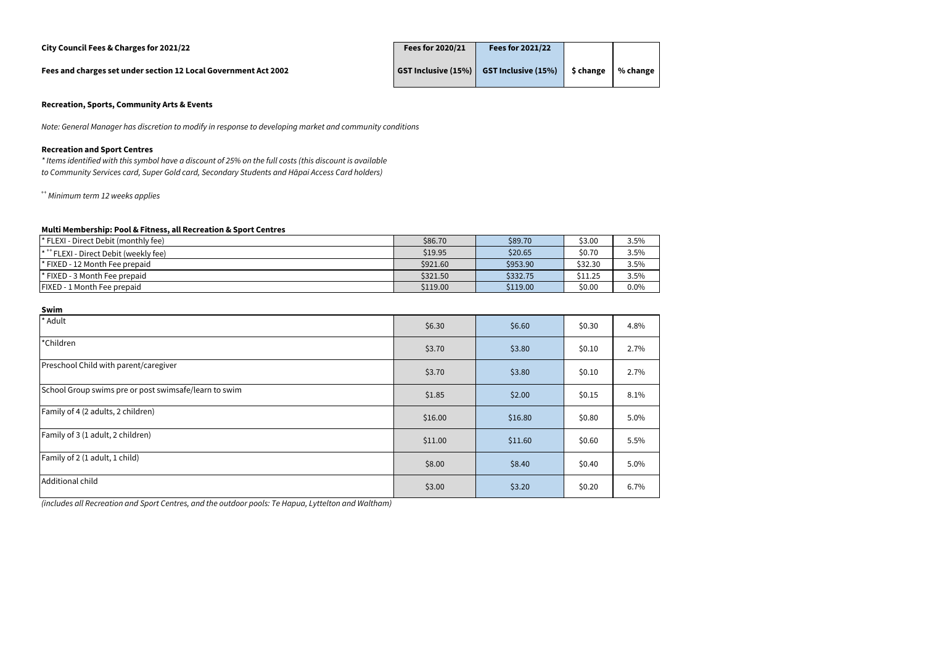#### **City Council Fees & Charges for 2021/22 Fees for 2020/21 Fees for 2021/22**

**Fees and charges set under section 12 Local Government Act 2002** 

| Fees for 2020/21 | <b>Fees for 2021/22</b>                 |                      |  |
|------------------|-----------------------------------------|----------------------|--|
|                  | GST Inclusive (15%) GST Inclusive (15%) | \$ change   % change |  |

## **Recreation, Sports, Community Arts & Events**

#### **Recreation and Sport Centres**

*\* Items identified with this symbol have a discount of 25% on the full costs (this discount is available to Community Services card, Super Gold card, Secondary Students and Hāpai Access Card holders)*

*++ Minimum term 12 weeks applies*

#### **Multi Membership: Pool & Fitness, all Recreation & Sport Centres**

| " FLEXI - Direct Debit (monthly fee)             | \$86.70  | \$89.70  | \$3.00  | 3.5% |
|--------------------------------------------------|----------|----------|---------|------|
| $\mathsf{I}^*$ FLEXI - Direct Debit (weekly fee) | \$19.95  | \$20.65  | \$0.70  | 3.5% |
| <sup>*</sup> FIXED - 12 Month Fee prepaid        | \$921.60 | \$953.90 | \$32.30 | 3.5% |
| <sup>*</sup> FIXED - 3 Month Fee prepaid         | \$321.50 | \$332.75 | \$11.25 | 3.5% |
| <b>FIXED - 1 Month Fee prepaid</b>               | \$119.00 | \$119.00 | \$0.00  | 0.0% |

#### **Swim**

| * Adult                                               | \$6.30  | \$6.60  | \$0.30 | 4.8% |
|-------------------------------------------------------|---------|---------|--------|------|
| *Children                                             | \$3.70  | \$3.80  | \$0.10 | 2.7% |
| Preschool Child with parent/caregiver                 | \$3.70  | \$3.80  | \$0.10 | 2.7% |
| School Group swims pre or post swimsafe/learn to swim | \$1.85  | \$2.00  | \$0.15 | 8.1% |
| Family of 4 (2 adults, 2 children)                    | \$16.00 | \$16.80 | \$0.80 | 5.0% |
| Family of 3 (1 adult, 2 children)                     | \$11.00 | \$11.60 | \$0.60 | 5.5% |
| Family of 2 (1 adult, 1 child)                        | \$8.00  | \$8.40  | \$0.40 | 5.0% |
| Additional child                                      | \$3.00  | \$3.20  | \$0.20 | 6.7% |

*Note: General Manager has discretion to modify in response to developing market and community conditions*

*(includes all Recreation and Sport Centres, and the outdoor pools: Te Hapua, Lyttelton and Waltham)*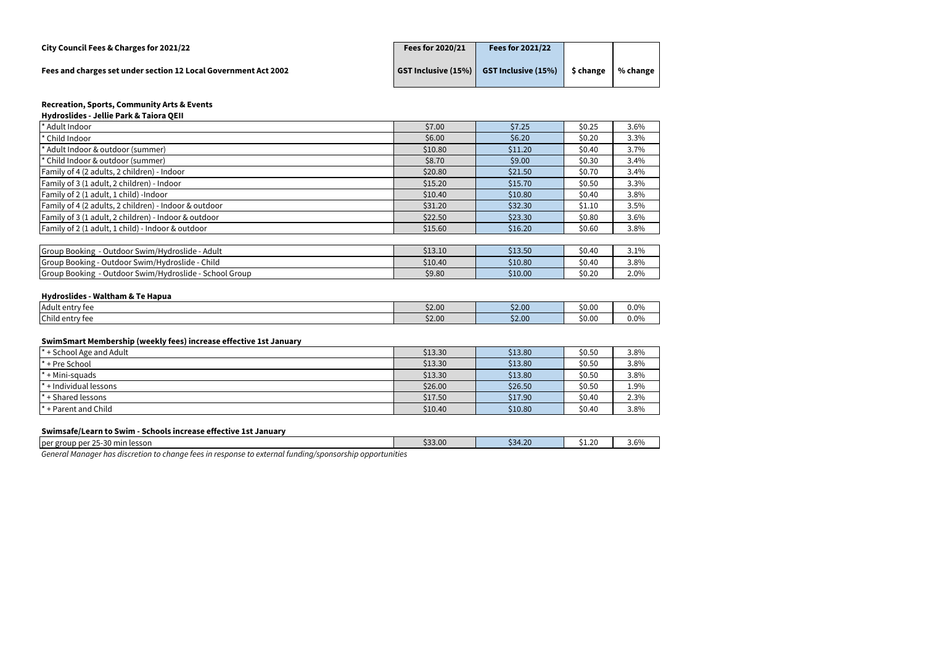| City Council Fees & Charges for 2021/22                         | Fees for 2020/21 | Fees for 2021/22                                             |           |              |
|-----------------------------------------------------------------|------------------|--------------------------------------------------------------|-----------|--------------|
| Fees and charges set under section 12 Local Government Act 2002 |                  | $\mid$ GST Inclusive (15%) $\mid$ GST Inclusive (15%) $\mid$ | \$ change | % change $ $ |

| * Adult Indoor                                         | \$7.00  | \$7.25  | \$0.25 | 3.6% |
|--------------------------------------------------------|---------|---------|--------|------|
| * Child Indoor                                         | \$6.00  | \$6.20  | \$0.20 | 3.3% |
| Adult Indoor & outdoor (summer)                        | \$10.80 | \$11.20 | \$0.40 | 3.7% |
| * Child Indoor & outdoor (summer)                      | \$8.70  | \$9.00  | \$0.30 | 3.4% |
| Family of 4 (2 adults, 2 children) - Indoor            | \$20.80 | \$21.50 | \$0.70 | 3.4% |
| Family of 3 (1 adult, 2 children) - Indoor             | \$15.20 | \$15.70 | \$0.50 | 3.3% |
| Family of 2 (1 adult, 1 child) -Indoor                 | \$10.40 | \$10.80 | \$0.40 | 3.8% |
| Family of 4 (2 adults, 2 children) - Indoor & outdoor  | \$31.20 | \$32.30 | \$1.10 | 3.5% |
| Family of 3 (1 adult, 2 children) - Indoor & outdoor   | \$22.50 | \$23.30 | \$0.80 | 3.6% |
| Family of 2 (1 adult, 1 child) - Indoor & outdoor      | \$15.60 | \$16.20 | \$0.60 | 3.8% |
|                                                        |         |         |        |      |
| Group Booking - Outdoor Swim/Hydroslide - Adult        | \$13.10 | \$13.50 | \$0.40 | 3.1% |
| Group Booking - Outdoor Swim/Hydroslide - Child        | \$10.40 | \$10.80 | \$0.40 | 3.8% |
| Group Booking - Outdoor Swim/Hydroslide - School Group | \$9.80  | \$10.00 | \$0.20 | 2.0% |

## **Hydroslides - Waltham & Te Hapua**

| Adult entry fee | \$2.00 | \$2.00 | \$0.00 | 0.0% |
|-----------------|--------|--------|--------|------|
| Child entry fee | \$2.00 | \$2.00 | \$0.00 | 0.0% |

## **SwimSmart Membership (weekly fees) increase effective 1st January**

| $\mathsf{I}^*$ + School Age and Adult | \$13.30 | \$13.80 | \$0.50 | 3.8% |
|---------------------------------------|---------|---------|--------|------|
| $\mathsf{I}^*$ + Pre School           | \$13.30 | \$13.80 | \$0.50 | 3.8% |
| $^*$ + Mini-squads                    | \$13.30 | \$13.80 | \$0.50 | 3.8% |
| $\mathsf{I}^*$ + Individual lessons   | \$26.00 | \$26.50 | \$0.50 | 1.9% |
| $\mathsf{I}^*$ + Shared lessons       | \$17.50 | \$17.90 | \$0.40 | 2.3% |
| I* + Parent and Child                 | \$10.40 | \$10.80 | \$0.40 | 3.8% |

# **Swimsafe/Learn to Swim - Schools increase effective 1st January**

| $-25-30$<br>per group<br>-30 min lesson<br>$n$ nar<br>. 20 | \$33.00 | \$34.20 | 20<br>- -<br>しょんい | 3.6% |
|------------------------------------------------------------|---------|---------|-------------------|------|
| ----                                                       | . .     |         |                   |      |

*General Manager has discretion to change fees in response to external funding/sponsorship opportunities*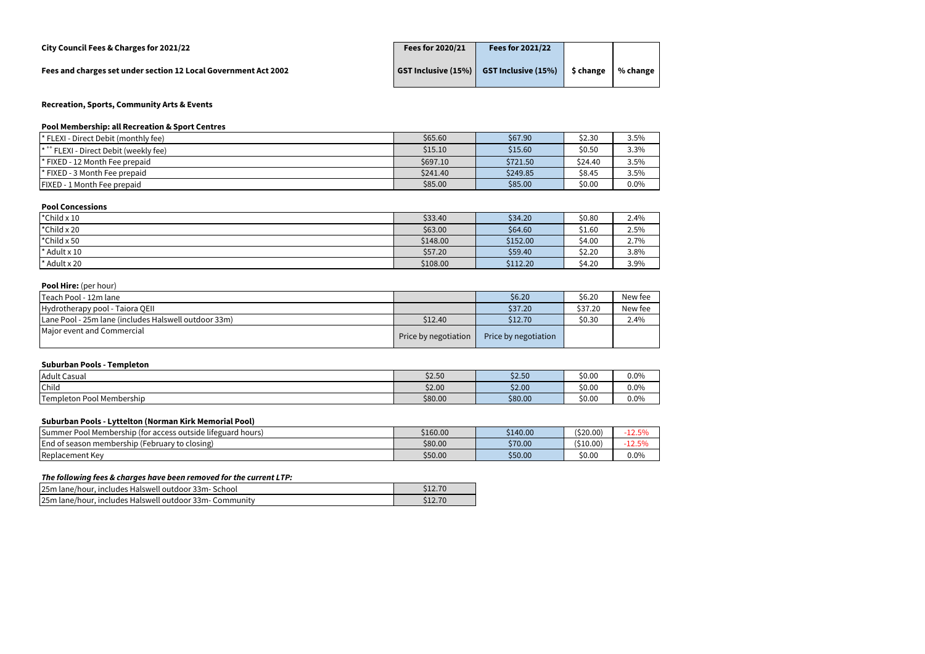| City Council Fees & Charges for 2021/22                         | Fees for 2020/21 | Fees for 2021/22                                             |           |              |
|-----------------------------------------------------------------|------------------|--------------------------------------------------------------|-----------|--------------|
| Fees and charges set under section 12 Local Government Act 2002 |                  | $\mid$ GST Inclusive (15%) $\mid$ GST Inclusive (15%) $\mid$ | \$ change | % change $ $ |

# **Pool Membership: all Recreation & Sport Centres**

| <sup>*</sup> FLEXI - Direct Debit (monthly fee)  | \$65.60  | \$67.90  | \$2.30  | 3.5% |
|--------------------------------------------------|----------|----------|---------|------|
| $\mathsf{I}^*$ FLEXI - Direct Debit (weekly fee) | \$15.10  | \$15.60  | \$0.50  | 3.3% |
| <sup>*</sup> FIXED - 12 Month Fee prepaid        | \$697.10 | \$721.50 | \$24.40 | 3.5% |
| <sup>*</sup> FIXED - 3 Month Fee prepaid         | \$241.40 | \$249.85 | \$8.45  | 3.5% |
| <b>FIXED - 1 Month Fee prepaid</b>               | \$85.00  | \$85.00  | \$0.00  | 0.0% |

## **Pool Concessions**

| <sup>*</sup> Child $\times$ 10 | \$33.40  | \$34.20  | \$0.80 | 2.4% |
|--------------------------------|----------|----------|--------|------|
| $\star$ Child x 20             | \$63.00  | \$64.60  | \$1.60 | 2.5% |
| $\cdot$ Child x 50             | \$148.00 | \$152.00 | \$4.00 | 2.7% |
| $\star$ Adult x 10             | \$57.20  | \$59.40  | \$2.20 | 3.8% |
| $\star$ Adult x 20             | \$108.00 | \$112.20 | \$4.20 | 3.9% |

# **Pool Hire:** (per hour)

| Teach Pool - 12m lane                                |                      | \$6.20\$             | \$6.20  | New fee |
|------------------------------------------------------|----------------------|----------------------|---------|---------|
| Hydrotherapy pool - Taiora QEII                      |                      | \$37.20              | \$37.20 | New fee |
| Lane Pool - 25m lane (includes Halswell outdoor 33m) | \$12.40              | \$12.70              | \$0.30  | 2.4%    |
| Major event and Commercial                           | Price by negotiation | Price by negotiation |         |         |

# **Suburban Pools - Templeton**

| Adult Casual              | \$2.50  | \$2.50  | \$0.00 | $0.0\%$ |
|---------------------------|---------|---------|--------|---------|
| Child                     | \$2.00  | \$2.00  | \$0.00 | $0.0\%$ |
| Templeton Pool Membership | \$80.00 | \$80.00 | \$0.00 | 0.0%    |

## **Suburban Pools - Lyttelton (Norman Kirk Memorial Pool)**

| Pool Membership (for access outside lifeguard hours)<br>1Summer | \$160.00 | 140.00  | (520.00) | $F^{\alpha}$<br>12.5Yr |
|-----------------------------------------------------------------|----------|---------|----------|------------------------|
| End of season membership (Fe<br>(February to closing)           | \$80.00  | \$70.00 | (510.00) | 1250<br>12.J           |
| Replacement Key                                                 | \$50.00  | \$50.00 | \$0.00   | $0.0\%$                |

#### *The following fees & charges have been removed for the current LTP:*

| 25m lane/hour, includes Halswell outdoor 33m- School    |  |
|---------------------------------------------------------|--|
| 25m lane/hour, includes Halswell outdoor 33m- Community |  |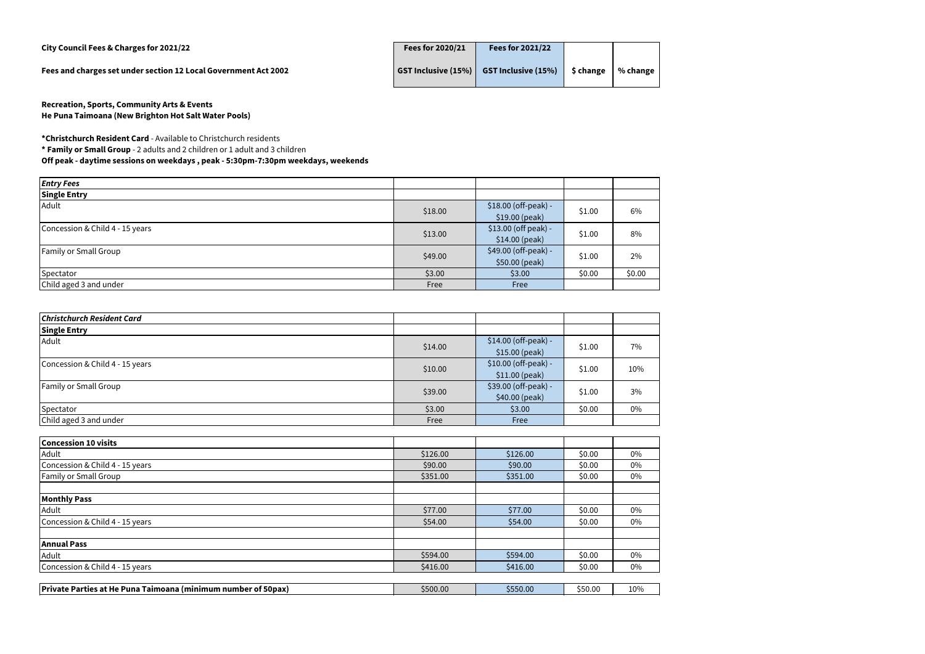**City Council Fees & Charges for 2021/22 Fees for 2020/21 Fees for 2021/22**

**Fees and charges set under section 12 Local Government Act 2002** 

| Fees for 2020/21    | <b>Fees for 2021/22</b>    |           |          |
|---------------------|----------------------------|-----------|----------|
| GST Inclusive (15%) | <b>GST Inclusive (15%)</b> | \$ change | % change |

**Recreation, Sports, Community Arts & Events He Puna Taimoana (New Brighton Hot Salt Water Pools)** 

**\*Christchurch Resident Card** - Available to Christchurch residents **\* Family or Small Group** - 2 adults and 2 children or 1 adult and 3 children **Off peak - daytime sessions on weekdays , peak - 5:30pm-7:30pm weekdays, weekends** 

| <b>Entry Fees</b>               |         |                                        |        |        |
|---------------------------------|---------|----------------------------------------|--------|--------|
| <b>Single Entry</b>             |         |                                        |        |        |
| Adult                           | \$18.00 | \$18.00 (off-peak) -<br>\$19.00 (peak) | \$1.00 | 6%     |
| Concession & Child 4 - 15 years | \$13.00 | \$13.00 (off peak) -<br>\$14.00 (peak) | \$1.00 | 8%     |
| <b>Family or Small Group</b>    | \$49.00 | \$49.00 (off-peak) -<br>\$50.00 (peak) | \$1.00 | 2%     |
| Spectator                       | \$3.00  | \$3.00                                 | \$0.00 | \$0.00 |
| Child aged 3 and under          | Free    | Free                                   |        |        |

| <b>Christchurch Resident Card</b> |         |                                         |        |     |
|-----------------------------------|---------|-----------------------------------------|--------|-----|
| <b>Single Entry</b>               |         |                                         |        |     |
| Adult                             | \$14.00 | \$14.00 (off-peak) -<br>\$15.00 (peak)  | \$1.00 | 7%  |
| Concession & Child 4 - 15 years   | \$10.00 | \$10.00 (off-peak) -<br>$$11.00$ (peak) | \$1.00 | 10% |
| <b>Family or Small Group</b>      | \$39.00 | \$39.00 (off-peak) -<br>\$40.00 (peak)  | \$1.00 | 3%  |
| Spectator                         | \$3.00  | \$3.00                                  | \$0.00 | 0%  |
| Child aged 3 and under            | Free    | Free                                    |        |     |

| \$126.00<br>\$90.00<br>\$351.00 | \$126.00<br>\$90.00 | \$0.00<br>\$0.00 | 0%<br>0% |
|---------------------------------|---------------------|------------------|----------|
|                                 |                     |                  |          |
|                                 |                     |                  |          |
|                                 | \$351.00            | \$0.00           | 0%       |
|                                 |                     |                  |          |
|                                 |                     |                  |          |
| \$77.00                         | \$77.00             | \$0.00           | 0%       |
| \$54.00                         | \$54.00             | \$0.00           | 0%       |
|                                 |                     |                  |          |
|                                 |                     |                  |          |
| \$594.00                        | \$594.00            | \$0.00           | 0%       |
| \$416.00                        | \$416.00            | \$0.00           | 0%       |
|                                 |                     |                  |          |

|  | <b>Private</b><br>、Parties at He Puna<br>Taimoana (minimum number of 50pax) | \$500.00 | $-550.00$ | 550.0C | 10% |
|--|-----------------------------------------------------------------------------|----------|-----------|--------|-----|
|--|-----------------------------------------------------------------------------|----------|-----------|--------|-----|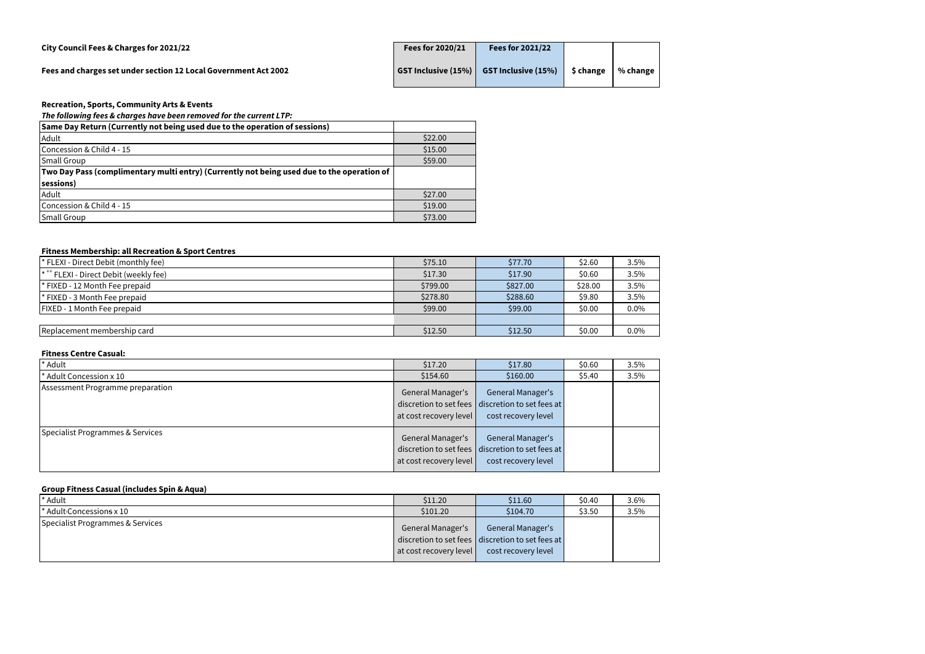| Fees and charges set under section 12 Local Government Act 2002 | $\mid$ GST Inclusive (15%) $\mid$ GST Inclusive (15%) $\mid$ | \$ change | % change |
|-----------------------------------------------------------------|--------------------------------------------------------------|-----------|----------|

# *The following fees & charges have been removed for the current LTP:*

| <b>Same Day Return (Currently not being used due to the operation of sessions)</b>         |         |
|--------------------------------------------------------------------------------------------|---------|
| Adult                                                                                      | \$22.00 |
| Concession & Child 4 - 15                                                                  | \$15.00 |
| <b>Small Group</b>                                                                         | \$59.00 |
| Two Day Pass (complimentary multi entry) (Currently not being used due to the operation of |         |
| sessions)                                                                                  |         |
| Adult                                                                                      | \$27.00 |
| Concession & Child 4 - 15                                                                  | \$19.00 |
| <b>Small Group</b>                                                                         | \$73.00 |

## **Fitness Membership: all Recreation & Sport Centres**

| * FLEXI - Direct Debit (monthly fee)             | \$75.10  | \$77.70  | \$2.60  | 3.5% |
|--------------------------------------------------|----------|----------|---------|------|
| $\mathsf{I}^*$ FLEXI - Direct Debit (weekly fee) | \$17.30  | \$17.90  | \$0.60  | 3.5% |
| * FIXED - 12 Month Fee prepaid                   | \$799.00 | \$827.00 | \$28.00 | 3.5% |
| * FIXED - 3 Month Fee prepaid                    | \$278.80 | \$288.60 | \$9.80  | 3.5% |
| <b>FIXED - 1 Month Fee prepaid</b>               | \$99.00  | \$99.00  | \$0.00  | 0.0% |
|                                                  |          |          |         |      |
| Replacement membership card                      | \$12.50  | \$12.50  | \$0.00  | 0.0% |

## **Fitness Centre Casual:**

| * Adult                          | \$17.20                                     | \$17.80                                                                                             | \$0.60 | 3.5% |
|----------------------------------|---------------------------------------------|-----------------------------------------------------------------------------------------------------|--------|------|
| * Adult Concession x 10          | \$154.60                                    | \$160.00                                                                                            | \$5.40 | 3.5% |
| Assessment Programme preparation | General Manager's<br>at cost recovery level | <b>General Manager's</b><br>discretion to set fees discretion to set fees at<br>cost recovery level |        |      |
| Specialist Programmes & Services | General Manager's<br>at cost recovery level | <b>General Manager's</b><br>discretion to set fees discretion to set fees at<br>cost recovery level |        |      |

# **Group Fitness Casual (includes Spin & Aqua)**

| * Adult                              | \$11.20                                            | \$11.60                                                                                             | \$0.40 | 3.6% |
|--------------------------------------|----------------------------------------------------|-----------------------------------------------------------------------------------------------------|--------|------|
| * Adult-Concession <del>s</del> x 10 | \$101.20                                           | \$104.70                                                                                            | \$3.50 | 3.5% |
| Specialist Programmes & Services     | <b>General Manager's</b><br>at cost recovery level | <b>General Manager's</b><br>discretion to set fees discretion to set fees at<br>cost recovery level |        |      |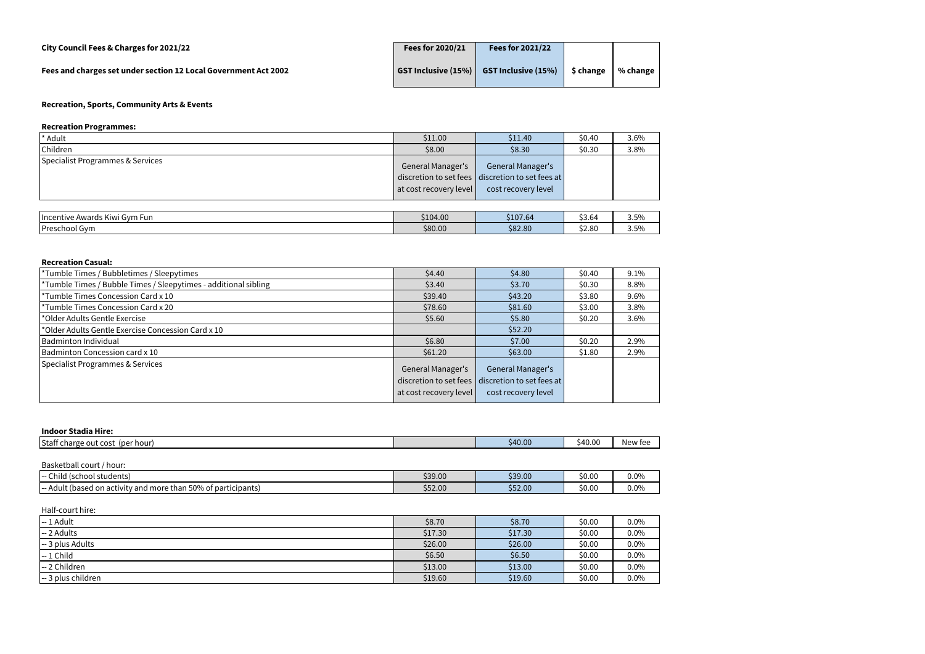| City Council Fees & Charges for 2021/22                         | Fees for 2020/21 | <b>Fees for 2021/22</b>                                         |           |          |
|-----------------------------------------------------------------|------------------|-----------------------------------------------------------------|-----------|----------|
| Fees and charges set under section 12 Local Government Act 2002 |                  | $\vert$ GST Inclusive (15%) $\vert$ GST Inclusive (15%) $\vert$ | \$ change | % change |

# **Recreation Programmes:**

| * Adult                          | \$11.00                                            | \$11.40                                                                                             | \$0.40 | 3.6% |
|----------------------------------|----------------------------------------------------|-----------------------------------------------------------------------------------------------------|--------|------|
| Children                         | \$8.00                                             | \$8.30                                                                                              | \$0.30 | 3.8% |
| Specialist Programmes & Services | <b>General Manager's</b><br>at cost recovery level | <b>General Manager's</b><br>discretion to set fees discretion to set fees at<br>cost recovery level |        |      |
| Incentive Awards Kiwi Gym Fun    | \$104.00                                           | \$107.64                                                                                            | \$3.64 | 3.5% |
| Preschool Gym                    | \$80.00                                            | \$82.80                                                                                             | \$2.80 | 3.5% |

#### **Recreation Casual:**

| Tumble Times / Bubbletimes / Sleepytimes                        | \$4.40                                                                | \$4.80                                                                | \$0.40 | 9.1% |
|-----------------------------------------------------------------|-----------------------------------------------------------------------|-----------------------------------------------------------------------|--------|------|
| *Tumble Times / Bubble Times / Sleepytimes - additional sibling | \$3.40                                                                | \$3.70                                                                | \$0.30 | 8.8% |
| *Tumble Times Concession Card x 10                              | \$39.40                                                               | \$43.20                                                               | \$3.80 | 9.6% |
| *Tumble Times Concession Card x 20                              | \$78.60                                                               | \$81.60                                                               | \$3.00 | 3.8% |
| *Older Adults Gentle Exercise                                   | \$5.60                                                                | \$5.80                                                                | \$0.20 | 3.6% |
| *Older Adults Gentle Exercise Concession Card x 10              |                                                                       | \$52.20                                                               |        |      |
| Badminton Individual                                            | \$6.80                                                                | \$7.00                                                                | \$0.20 | 2.9% |
| Badminton Concession card x 10                                  | \$61.20                                                               | \$63.00                                                               | \$1.80 | 2.9% |
| Specialist Programmes & Services                                | General Manager's<br>discretion to set fees<br>at cost recovery level | General Manager's<br>discretion to set fees at<br>cost recovery level |        |      |

# **Indoor Stadia Hire:**

| \$40.00<br>\$40.00<br>lStafi<br>(per hour<br>. charge<br>. out cost |
|---------------------------------------------------------------------|
|---------------------------------------------------------------------|

| Basketball court<br>/ hour:                                           |         |         |        |         |
|-----------------------------------------------------------------------|---------|---------|--------|---------|
| Child (school students)<br>.                                          | \$39.00 | \$39.00 | \$0.00 | 0.0%    |
| t (based on activity and more than 50% of participants)<br>Adult<br>. | \$52.00 | \$52.00 | \$0.00 | $0.0\%$ |

# Half-court hire:

| $-1$ Adult                           | \$8.70  | \$8.70  | \$0.00 | 0.0% |
|--------------------------------------|---------|---------|--------|------|
| $-2$ Adults                          | \$17.30 | \$17.30 | \$0.00 | 0.0% |
| $\left  \cdot \right $ 3 plus Adults | \$26.00 | \$26.00 | \$0.00 | 0.0% |
| $-1$ Child                           | \$6.50  | \$6.50  | \$0.00 | 0.0% |
| -- 2 Children                        | \$13.00 | \$13.00 | \$0.00 | 0.0% |
| $-3$ plus children                   | \$19.60 | \$19.60 | \$0.00 | 0.0% |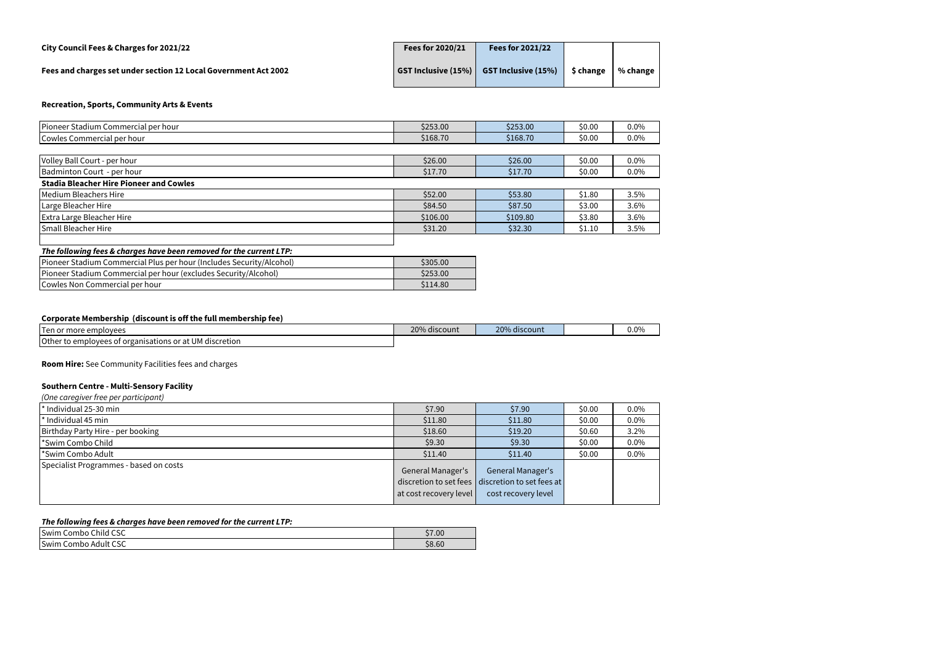| City Council Fees & Charges for 2021/22                         | Fees for 2020/21 | Fees for 2021/22                              |           |              |
|-----------------------------------------------------------------|------------------|-----------------------------------------------|-----------|--------------|
| Fees and charges set under section 12 Local Government Act 2002 |                  | GST Inclusive $(15\%)$ GST Inclusive $(15\%)$ | \$ change | % change $ $ |

| Pioneer Stadium Commercial per hour                                  | \$253.00 | \$253.00 | \$0.00 | 0.0%    |
|----------------------------------------------------------------------|----------|----------|--------|---------|
| Cowles Commercial per hour                                           | \$168.70 | \$168.70 | \$0.00 | $0.0\%$ |
|                                                                      |          |          |        |         |
| Volley Ball Court - per hour                                         | \$26.00  | \$26.00  | \$0.00 | $0.0\%$ |
| Badminton Court - per hour                                           | \$17.70  | \$17.70  | \$0.00 | $0.0\%$ |
| <b>Stadia Bleacher Hire Pioneer and Cowles</b>                       |          |          |        |         |
| Medium Bleachers Hire                                                | \$52.00  | \$53.80  | \$1.80 | $3.5\%$ |
| Large Bleacher Hire                                                  | \$84.50  | \$87.50  | \$3.00 | 3.6%    |
| <b>Extra Large Bleacher Hire</b>                                     | \$106.00 | \$109.80 | \$3.80 | 3.6%    |
| <b>Small Bleacher Hire</b>                                           | \$31.20  | \$32.30  | \$1.10 | 3.5%    |
|                                                                      |          |          |        |         |
| The following fees & charges have been removed for the current LTP:  |          |          |        |         |
| Pioneer Stadium Commercial Plus per hour (Includes Security/Alcohol) | \$305.00 |          |        |         |
| Pioneer Stadium Commercial per hour (excludes Security/Alcohol)      | \$253.00 |          |        |         |
| Cowles Non Commercial per hour                                       | \$114.80 |          |        |         |

## **Corporate Membership (discount is off the full membership fee)**

| Ten or more employees                                                 | 20% discount | 20%<br>% discount | $0.0\%$ |
|-----------------------------------------------------------------------|--------------|-------------------|---------|
| Other to employees<br>ees of organisations or at UM (<br>l discretion |              |                   |         |

**Room Hire:** See Community Facilities fees and charges

# **Southern Centre - Multi-Sensory Facility**

#### *(One caregiver free per participant)*

| $\mid$ * Individual 25-30 min          | \$7.90                                             | \$7.90                                                                                              | \$0.00 | $0.0\%$ |
|----------------------------------------|----------------------------------------------------|-----------------------------------------------------------------------------------------------------|--------|---------|
| * Individual 45 min                    | \$11.80                                            | \$11.80                                                                                             | \$0.00 | $0.0\%$ |
| Birthday Party Hire - per booking      | \$18.60                                            | \$19.20                                                                                             | \$0.60 | 3.2%    |
| <sup>*</sup> Swim Combo Child          | \$9.30                                             | \$9.30                                                                                              | \$0.00 | $0.0\%$ |
| <sup>*</sup> Swim Combo Adult          | \$11.40                                            | \$11.40                                                                                             | \$0.00 | $0.0\%$ |
| Specialist Programmes - based on costs | <b>General Manager's</b><br>at cost recovery level | <b>General Manager's</b><br>discretion to set fees discretion to set fees at<br>cost recovery level |        |         |

#### *The following fees & charges have been removed for the current LTP:*

| Combo Child CSC<br>Swim                   | \$7.00 |
|-------------------------------------------|--------|
| Swim<br>$\sim$ $\sim$<br>⊦Combo Adult CSC | \$8.60 |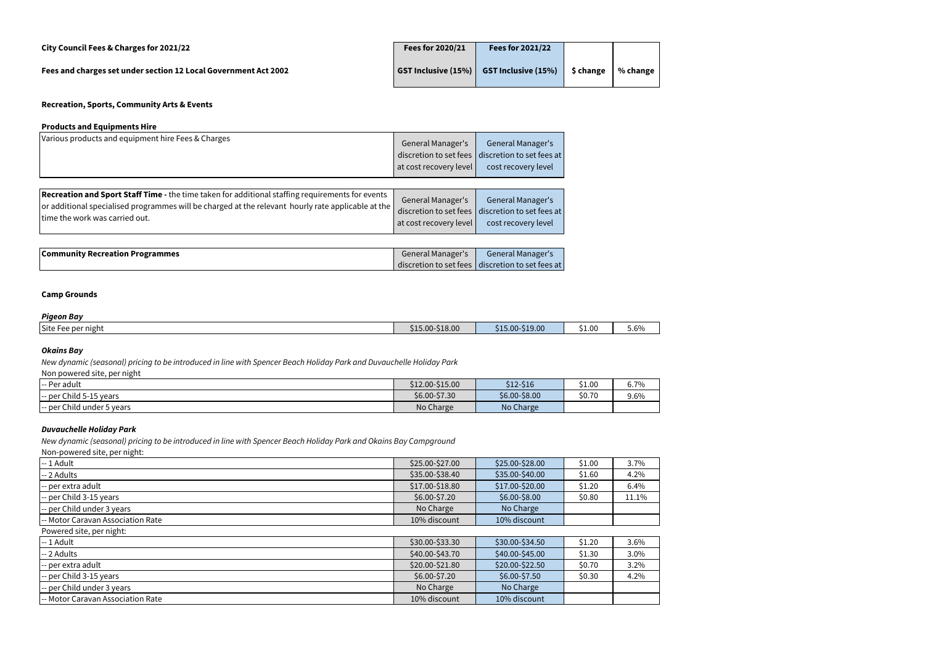| City Council Fees & Charges for 2021/22                         | Fees for 2020/21 | <b>Fees for 2021/22</b>                       |           |                |
|-----------------------------------------------------------------|------------------|-----------------------------------------------|-----------|----------------|
| Fees and charges set under section 12 Local Government Act 2002 |                  | GST Inclusive $(15\%)$ GST Inclusive $(15\%)$ | \$ change | $%$ change $ $ |

#### **Products and Equipments Hire**

| Various products and equipment hire Fees & Charges                                                                                                                                                                                              | General Manager's<br>discretion to set fees<br>at cost recovery level | <b>General Manager's</b><br>discretion to set fees at<br>cost recovery level                        |
|-------------------------------------------------------------------------------------------------------------------------------------------------------------------------------------------------------------------------------------------------|-----------------------------------------------------------------------|-----------------------------------------------------------------------------------------------------|
| <b>Recreation and Sport Staff Time -</b> the time taken for additional staffing requirements for events<br>or additional specialised programmes will be charged at the relevant hourly rate applicable at the<br>time the work was carried out. | General Manager's<br>at cost recovery level                           | <b>General Manager's</b><br>discretion to set fees discretion to set fees at<br>cost recovery level |
| <b>Community Recreation Programmes</b>                                                                                                                                                                                                          | <b>General Manager's</b>                                              | General Manager's<br>discretion to set fees discretion to set fees at                               |

# **Camp Grounds**

## *Pigeon Bay*

| ____<br>Site Fee per night | \$15.00-\$18.00 | $$15.00-S19.00$ | \$1.00 | $\sim$ $\sim$ $\sim$<br>$5.6\%$ |
|----------------------------|-----------------|-----------------|--------|---------------------------------|
|                            |                 |                 |        |                                 |

# *Okains Bay*

Non powered site, per night

| -- Per adult               | \$12.00-\$15.00 | $$12-$16$     | \$1.00 | 6.7% |
|----------------------------|-----------------|---------------|--------|------|
| -- per Child 5-15 years    | \$6.00-\$7.30   | \$6.00-\$8.00 | \$0.70 | 9.6% |
| -- per Child under 5 years | No Charge       | No Charge     |        |      |

## *Duvauchelle Holiday Park*

Non-powered site, per night:

| $-1$ Adult                        | \$25.00-\$27.00 | \$25.00-\$28.00 | \$1.00 | 3.7%    |
|-----------------------------------|-----------------|-----------------|--------|---------|
| -- 2 Adults                       | \$35.00-\$38.40 | \$35.00-\$40.00 | \$1.60 | 4.2%    |
| -- per extra adult                | \$17.00-\$18.80 | \$17.00-\$20.00 | \$1.20 | 6.4%    |
| -- per Child 3-15 years           | \$6.00-\$7.20   | \$6.00-\$8.00   | \$0.80 | 11.1%   |
| -- per Child under 3 years        | No Charge       | No Charge       |        |         |
| -- Motor Caravan Association Rate | 10% discount    | 10% discount    |        |         |
| Powered site, per night:          |                 |                 |        |         |
| -- 1 Adult                        | \$30.00-\$33.30 | \$30.00-\$34.50 | \$1.20 | 3.6%    |
| $-2$ Adults                       | \$40.00-\$43.70 | \$40.00-\$45.00 | \$1.30 | $3.0\%$ |
| -- per extra adult                | \$20.00-\$21.80 | \$20.00-\$22.50 | \$0.70 | 3.2%    |
| -- per Child 3-15 years           | \$6.00-\$7.20   | \$6.00-\$7.50   | \$0.30 | 4.2%    |
| -- per Child under 3 years        | No Charge       | No Charge       |        |         |
| -- Motor Caravan Association Rate | 10% discount    | 10% discount    |        |         |

*New dynamic (seasonal) pricing to be introduced in line with Spencer Beach Holiday Park and Okains Bay Campground*

*New dynamic (seasonal) pricing to be introduced in line with Spencer Beach Holiday Park and Duvauchelle Holiday Park*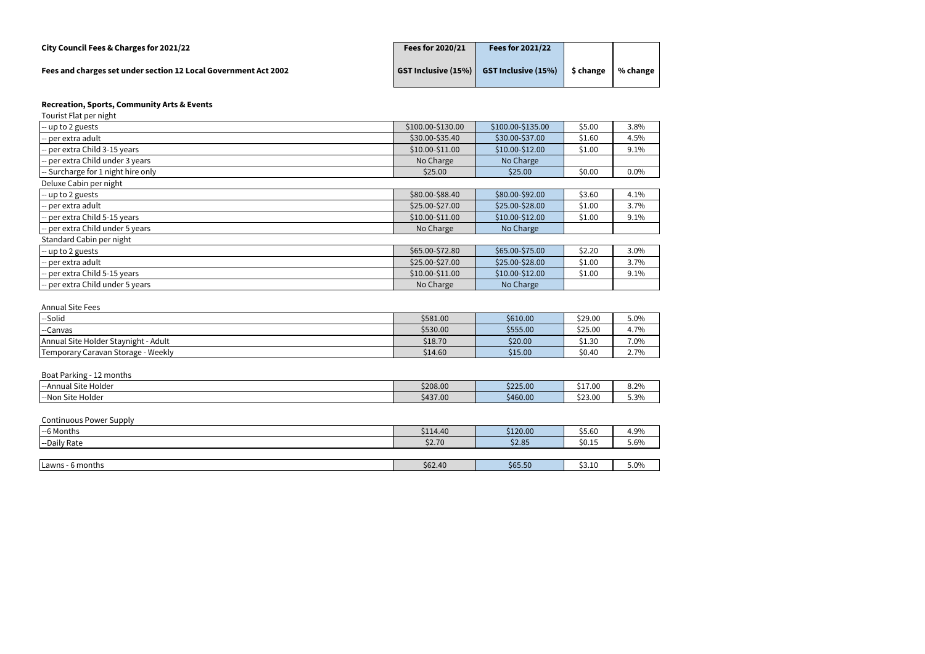| City Council Fees & Charges for 2021/22                         | Fees for 2020/21 | <b>Fees for 2021/22</b>                       |           |              |
|-----------------------------------------------------------------|------------------|-----------------------------------------------|-----------|--------------|
| Fees and charges set under section 12 Local Government Act 2002 |                  | GST Inclusive $(15\%)$ GST Inclusive $(15\%)$ | \$ change | % change $ $ |

| Tourist Flat per night             |                   |                   |        |         |
|------------------------------------|-------------------|-------------------|--------|---------|
| -- up to 2 guests                  | \$100.00-\$130.00 | \$100.00-\$135.00 | \$5.00 | 3.8%    |
| -- per extra adult                 | \$30.00-\$35.40   | \$30.00-\$37.00   | \$1.60 | 4.5%    |
| -- per extra Child 3-15 years      | $$10.00-\$11.00$  | \$10.00-\$12.00   | \$1.00 | 9.1%    |
| -- per extra Child under 3 years   | No Charge         | No Charge         |        |         |
| -- Surcharge for 1 night hire only | \$25.00           | \$25.00           | \$0.00 | $0.0\%$ |
| Deluxe Cabin per night             |                   |                   |        |         |
| $-$ up to 2 guests                 | \$80.00-\$88.40   | \$80.00-\$92.00   | \$3.60 | 4.1%    |
| -- per extra adult                 | \$25.00-\$27.00   | \$25.00-\$28.00   | \$1.00 | 3.7%    |
| -- per extra Child 5-15 years      | \$10.00-\$11.00   | \$10.00-\$12.00   | \$1.00 | 9.1%    |
| -- per extra Child under 5 years   | No Charge         | No Charge         |        |         |
| Standard Cabin per night           |                   |                   |        |         |
| $-$ up to 2 guests                 | \$65.00-\$72.80   | \$65.00-\$75.00   | \$2.20 | 3.0%    |
| -- per extra adult                 | \$25.00-\$27.00   | \$25.00-\$28.00   | \$1.00 | 3.7%    |
| -- per extra Child 5-15 years      | \$10.00-\$11.00   | \$10.00-\$12.00   | \$1.00 | 9.1%    |
| -- per extra Child under 5 years   | No Charge         | No Charge         |        |         |

#### Annual Site Fees

| --Solid                                        | \$581.00 | \$610.00 | \$29.00 | 5.0% |
|------------------------------------------------|----------|----------|---------|------|
| Canvas<br>$--$                                 | \$530.00 | \$555.00 | \$25.00 | 4.7% |
| Annual Site Holder Staynight - Adult           | \$18.70  | \$20.00  | \$1.30  | 7.0% |
| - Weekly<br><b>Temporary Caravan Storage -</b> | \$14.60  | \$15.00  | \$0.40  | 2.7% |

# Boat Parking - 12 months

| .<br><b>I</b> --Annual Site Holder       | \$208.00 | \$225.00 | 1700<br><b>JII.UU</b> | 8.2% |
|------------------------------------------|----------|----------|-----------------------|------|
| $\sim$ .<br>--Non<br>. .<br>⊦Site Holder | \$437.00 | \$460.00 | $\lambda$<br>523.UU   | 5.3% |

#### Continuous Power Supply

| --6 Months       | \$114.40 | \$120.00 | \$5.60 | 4.9% |
|------------------|----------|----------|--------|------|
| --Daily Rate     | \$2.70   | \$2.85   | \$0.15 | 5.6% |
|                  |          |          |        |      |
| Lawns - 6 months | \$62.40  | \$65.50  | \$3.10 | 5.0% |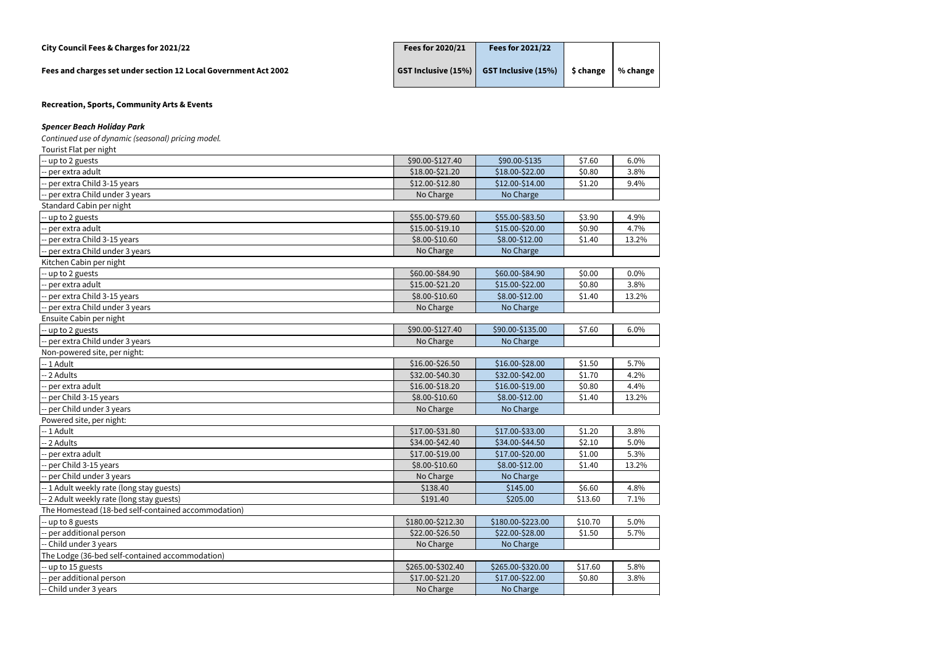# **City Council Fees & Charges for 2021/22 Fees for 2020/21 Fees for 2021/22**

**Fees and charges set under section 12 Local Government Act 2002** 

| Fees for 2020/21 | <b>Fees for 2021/22</b>                     |           |                        |
|------------------|---------------------------------------------|-----------|------------------------|
|                  | GST Inclusive $(15%)$ GST Inclusive $(15%)$ | \$ change | $\frac{1}{2}$ % change |

**Recreation, Sports, Community Arts & Events**

# *Spencer Beach Holiday Park*

*Continued use of dynamic (seasonal) pricing model.*

| Tourist Flat per night                              |                   |                   |         |       |
|-----------------------------------------------------|-------------------|-------------------|---------|-------|
| up to 2 guests                                      | \$90.00-\$127.40  | \$90.00-\$135     | \$7.60  | 6.0%  |
| per extra adult                                     | \$18.00-\$21.20   | \$18.00-\$22.00   | \$0.80  | 3.8%  |
| per extra Child 3-15 years                          | \$12.00-\$12.80   | \$12.00-\$14.00   | \$1.20  | 9.4%  |
| per extra Child under 3 years                       | No Charge         | No Charge         |         |       |
| Standard Cabin per night                            |                   |                   |         |       |
| - up to 2 guests                                    | \$55.00-\$79.60   | \$55.00-\$83.50   | \$3.90  | 4.9%  |
| per extra adult                                     | \$15.00-\$19.10   | \$15.00-\$20.00   | \$0.90  | 4.7%  |
| per extra Child 3-15 years                          | \$8.00-\$10.60    | \$8.00-\$12.00    | \$1.40  | 13.2% |
| per extra Child under 3 years                       | No Charge         | No Charge         |         |       |
| Kitchen Cabin per night                             |                   |                   |         |       |
| -- up to 2 guests                                   | \$60.00-\$84.90   | \$60.00-\$84.90   | \$0.00  | 0.0%  |
| per extra adult                                     | \$15.00-\$21.20   | \$15.00-\$22.00   | \$0.80  | 3.8%  |
| per extra Child 3-15 years                          | \$8.00-\$10.60    | \$8.00-\$12.00    | \$1.40  | 13.2% |
| per extra Child under 3 years                       | No Charge         | No Charge         |         |       |
| Ensuite Cabin per night                             |                   |                   |         |       |
| up to 2 guests                                      | \$90.00-\$127.40  | \$90.00-\$135.00  | \$7.60  | 6.0%  |
| -- per extra Child under 3 years                    | No Charge         | No Charge         |         |       |
| Non-powered site, per night:                        |                   |                   |         |       |
| -- 1 Adult                                          | \$16.00-\$26.50   | \$16.00-\$28.00   | \$1.50  | 5.7%  |
| 2 Adults                                            | \$32.00-\$40.30   | \$32.00-\$42.00   | \$1.70  | 4.2%  |
| per extra adult                                     | \$16.00-\$18.20   | \$16.00-\$19.00   | \$0.80  | 4.4%  |
| per Child 3-15 years                                | \$8.00-\$10.60    | \$8.00-\$12.00    | \$1.40  | 13.2% |
| per Child under 3 years                             | No Charge         | No Charge         |         |       |
| Powered site, per night:                            |                   |                   |         |       |
| -- 1 Adult                                          | \$17.00-\$31.80   | \$17.00-\$33.00   | \$1.20  | 3.8%  |
| 2 Adults                                            | \$34.00-\$42.40   | \$34.00-\$44.50   | \$2.10  | 5.0%  |
| per extra adult                                     | \$17.00-\$19.00   | \$17.00-\$20.00   | \$1.00  | 5.3%  |
| per Child 3-15 years                                | \$8.00-\$10.60    | \$8.00-\$12.00    | \$1.40  | 13.2% |
| per Child under 3 years                             | No Charge         | No Charge         |         |       |
| -- 1 Adult weekly rate (long stay guests)           | \$138.40          | \$145.00          | \$6.60  | 4.8%  |
| -- 2 Adult weekly rate (long stay guests)           | \$191.40          | \$205.00          | \$13.60 | 7.1%  |
| The Homestead (18-bed self-contained accommodation) |                   |                   |         |       |
| up to 8 guests                                      | \$180.00-\$212.30 | \$180.00-\$223.00 | \$10.70 | 5.0%  |
| per additional person                               | \$22.00-\$26.50   | \$22.00-\$28.00   | \$1.50  | 5.7%  |
| Child under 3 years                                 | No Charge         | No Charge         |         |       |
| The Lodge (36-bed self-contained accommodation)     |                   |                   |         |       |
| -- up to 15 guests                                  | \$265.00-\$302.40 | \$265.00-\$320.00 | \$17.60 | 5.8%  |
| per additional person                               | \$17.00-\$21.20   | \$17.00-\$22.00   | \$0.80  | 3.8%  |
| Child under 3 years                                 | No Charge         | No Charge         |         |       |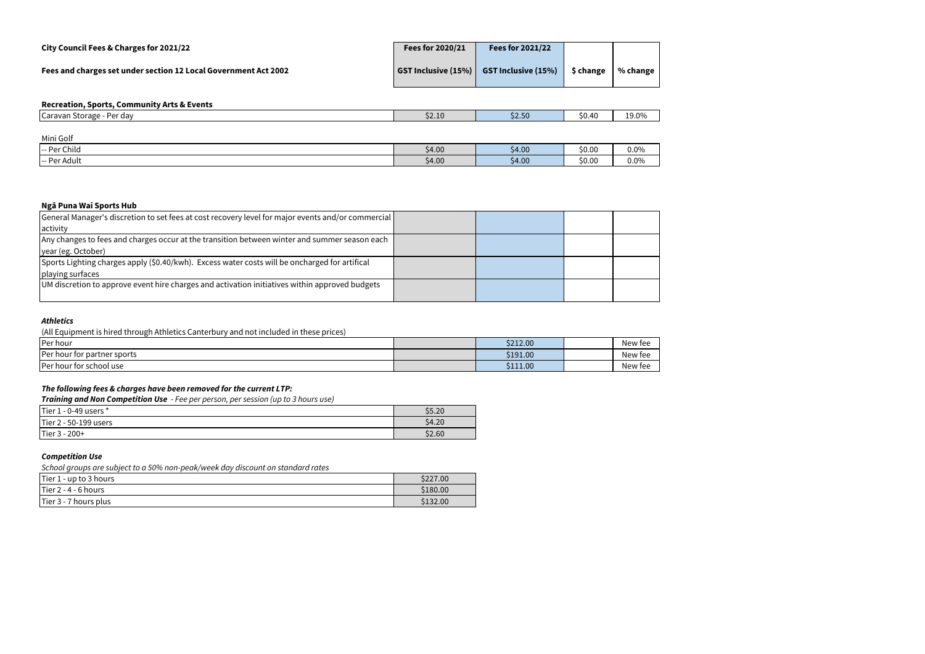| City Council Fees & Charges for 2021/22                         | Fees for 2020/21    | <b>Fees for 2021/22</b>    |           |                |
|-----------------------------------------------------------------|---------------------|----------------------------|-----------|----------------|
| Fees and charges set under section 12 Local Government Act 2002 | GST Inclusive (15%) | <b>GST Inclusive (15%)</b> | \$ change | $%$ change $ $ |
| <b>Recreation Sports Community Arts &amp; Events</b>            |                     |                            |           |                |

| <u>RECI CALIDII, JPULO, CUMMULUI, ALGUS CEILG</u> |        |             |        |       |
|---------------------------------------------------|--------|-------------|--------|-------|
| Per day<br>TCaravan Storage                       | \$2.10 | co co<br>ںں | \$0.40 | 19.0% |
|                                                   |        |             |        |       |

| Mini Golf            |        |        |        |         |
|----------------------|--------|--------|--------|---------|
| - Per Child<br>$- -$ | \$4.00 | \$4.00 | \$0.00 | $0.0\%$ |
| Per Adult            | \$4.00 | \$4.00 | \$0.00 | $0.0\%$ |

## **Ngā Puna Wai Sports Hub**

| General Manager's discretion to set fees at cost recovery level for major events and/or commercial |  |  |
|----------------------------------------------------------------------------------------------------|--|--|
| activity                                                                                           |  |  |
| Any changes to fees and charges occur at the transition between winter and summer season each      |  |  |
| year (eg. October)                                                                                 |  |  |
| Sports Lighting charges apply (\$0.40/kwh). Excess water costs will be oncharged for artifical     |  |  |
| playing surfaces                                                                                   |  |  |
| UM discretion to approve event hire charges and activation initiatives within approved budgets     |  |  |
|                                                                                                    |  |  |

## *Athletics*

(All Equipment is hired through Athletics Canterbury and not included in these prices)

| <b>Per hour</b>                | \$212.00 | New fee |
|--------------------------------|----------|---------|
| IPer hour for partner sports   | \$191.00 | New fee |
| <b>Per hour for school use</b> | \$111.00 | New fee |

#### *The following fees & charges have been removed for the current LTP:*

*Training and Non Competition Use - Fee per person, per session (up to 3 hours use)*

| Tier 1<br>$\sim$ - 0-49 users $^{\star}$ | \$5.20 |
|------------------------------------------|--------|
| Tier 2 - 50-199 users                    | \$4.20 |
| $Tier3 - 1$<br>$200+$                    | \$2.60 |

# *Competition Use*

*School groups are subject to a 50% non-peak/week day discount on standard rates* 

| <b>Tier 1</b><br>. - up to 3 hours | \$227.00 |
|------------------------------------|----------|
| Tier $2 - 4 - 6$ hours             | \$180.00 |
| 7 hours plus<br>ITier $3 -$        | \$132.00 |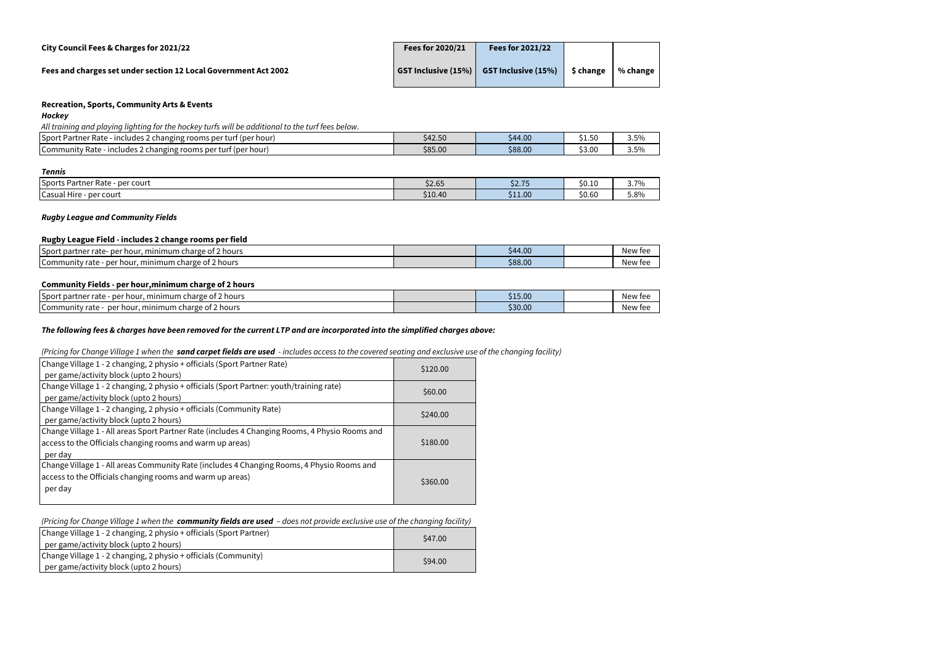| City Council Fees & Charges for 2021/22                         | Fees for 2020/21 | <b>Fees for 2021/22</b>                                         |           |          |
|-----------------------------------------------------------------|------------------|-----------------------------------------------------------------|-----------|----------|
| Fees and charges set under section 12 Local Government Act 2002 |                  | $\vert$ GST Inclusive (15%) $\vert$ GST Inclusive (15%) $\vert$ | \$ change | % change |

#### *Hockey*

*All training and playing lighting for the hockey turfs will be additional to the turf fees below.* 

| Sport<br>Rate<br>- includes 2 changing rooms per turf (per hour)<br>. Partner                  | <b>CAD 50</b><br>\$42.50 | \$44.00 | $\sim$<br>◡-∙◡ | 3.5% |
|------------------------------------------------------------------------------------------------|--------------------------|---------|----------------|------|
| Rate<br>ludes 2 changing rooms.<br>; per turf<br>t (per hour<br><b>I</b> Community<br>$-$ Inc. | \$85.00                  | \$88.00 | \$3.00         | 3.5% |

#### *Tennis*

| .                                   |                                          |                   |        |      |
|-------------------------------------|------------------------------------------|-------------------|--------|------|
| Sports<br>per court<br>Partner Rate | $\lambda$ $\sim$ $\sim$ $\sim$<br>\$2.65 | ぐつ フロ<br>ں ، ، ےر | \$0.1  | 3.7% |
| Casual<br>- per court<br>Hire       | \$10.40                                  | \$11.00           | \$0.60 | 5.8% |

## *Rugby League and Community Fields*

#### **Rugby League Field - includes 2 change rooms per field**

| Sport<br>minimum<br>$-1$<br>' hours<br>per<br>partner rate-<br>charge of 3<br>hour | \$44.00 | IN TAF<br>IM 1<br>. |
|------------------------------------------------------------------------------------|---------|---------------------|
| . mınımum<br>r charge of a<br>per<br>[Community rate]<br>f 2 hours<br>hour         | \$88.00 | ۱۸۱ می<br>.<br>.    |

## **Community Fields - per hour,minimum charge of 2 hours**

| Sport<br>, minimum charge of 2 hours .<br>per hour.<br>: partner rate | \$15.00 | W TAF<br><b>NEW</b> |
|-----------------------------------------------------------------------|---------|---------------------|
| min<br>Community rate<br>imum charge of<br>e of 2 hours<br>per houl   | \$30.00 | W TAF<br><b>NEW</b> |

## *The following fees & charges have been removed for the current LTP and are incorporated into the simplified charges above:*

*(Pricing for Change Village 1 when the sand carpet fields are used - includes access to the covered seating and exclusive use of the changing facility)*

| Change Village 1 - 2 changing, 2 physio + officials (Sport Partner Rate)<br>per game/activity block (upto 2 hours)                                                     | \$120.00 |
|------------------------------------------------------------------------------------------------------------------------------------------------------------------------|----------|
| Change Village 1 - 2 changing, 2 physio + officials (Sport Partner: youth/training rate)<br>per game/activity block (upto 2 hours)                                     | \$60.00  |
| Change Village 1 - 2 changing, 2 physio + officials (Community Rate)<br>per game/activity block (upto 2 hours)                                                         | \$240.00 |
| Change Village 1 - All areas Sport Partner Rate (includes 4 Changing Rooms, 4 Physio Rooms and<br>access to the Officials changing rooms and warm up areas)<br>per day | \$180.00 |
| Change Village 1 - All areas Community Rate (includes 4 Changing Rooms, 4 Physio Rooms and<br>access to the Officials changing rooms and warm up areas)<br>per day     | \$360.00 |

## *(Pricing for Change Village 1 when the community fields are used – does not provide exclusive use of the changing facility)*

| Change Village 1 - 2 changing, 2 physio + officials (Sport Partner)<br>per game/activity block (upto 2 hours) | S <sub>47.00</sub> |
|---------------------------------------------------------------------------------------------------------------|--------------------|
| Change Village 1 - 2 changing, 2 physio + officials (Community)                                               | \$94.00            |
| per game/activity block (upto 2 hours)                                                                        |                    |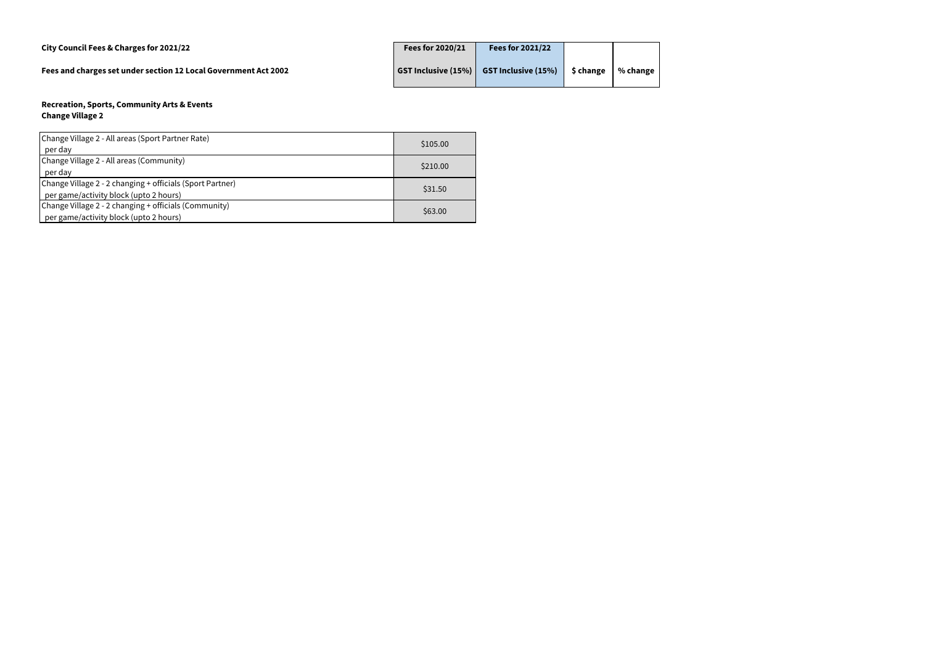| City Council Fees & Charges for 2021/22                         | Fees for 2020/21 | Fees for 2021/22                              |           |              |
|-----------------------------------------------------------------|------------------|-----------------------------------------------|-----------|--------------|
| Fees and charges set under section 12 Local Government Act 2002 |                  | GST Inclusive $(15\%)$ GST Inclusive $(15\%)$ | \$ change | % change $ $ |

#### **Recreation, Sports, Community Arts & Events Change Village 2**

| Change Village 2 - All areas (Sport Partner Rate)         | \$105.00 |
|-----------------------------------------------------------|----------|
| per day                                                   |          |
| Change Village 2 - All areas (Community)                  | \$210.00 |
| per day                                                   |          |
| Change Village 2 - 2 changing + officials (Sport Partner) | \$31.50  |
| per game/activity block (upto 2 hours)                    |          |
| Change Village 2 - 2 changing + officials (Community)     |          |
| per game/activity block (upto 2 hours)                    | \$63.00  |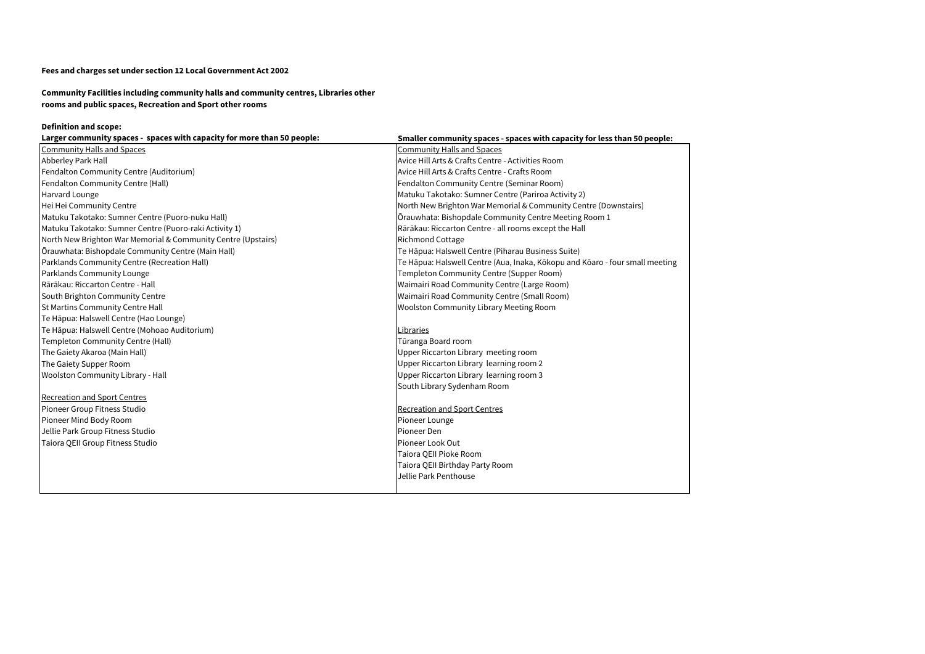**Community Facilities including community halls and community centres, Libraries other rooms and public spaces, Recreation and Sport other rooms** 

# **Definition and scope:**

| Larger community spaces - spaces with capacity for more than 50 people: | Smaller community spaces - spaces with capacity for less than 50 people:     |
|-------------------------------------------------------------------------|------------------------------------------------------------------------------|
| Community Halls and Spaces                                              | <b>Community Halls and Spaces</b>                                            |
| Abberley Park Hall                                                      | Avice Hill Arts & Crafts Centre - Activities Room                            |
| Fendalton Community Centre (Auditorium)                                 | Avice Hill Arts & Crafts Centre - Crafts Room                                |
| Fendalton Community Centre (Hall)                                       | Fendalton Community Centre (Seminar Room)                                    |
| Harvard Lounge                                                          | Matuku Takotako: Sumner Centre (Pariroa Activity 2)                          |
| Hei Hei Community Centre                                                | North New Brighton War Memorial & Community Centre (Downstairs)              |
| Matuku Takotako: Sumner Centre (Puoro-nuku Hall)                        | Orauwhata: Bishopdale Community Centre Meeting Room 1                        |
| Matuku Takotako: Sumner Centre (Puoro-raki Activity 1)                  | Rārākau: Riccarton Centre - all rooms except the Hall                        |
| North New Brighton War Memorial & Community Centre (Upstairs)           | <b>Richmond Cottage</b>                                                      |
| Ōrauwhata: Bishopdale Community Centre (Main Hall)                      | Te Hāpua: Halswell Centre (Piharau Business Suite)                           |
| Parklands Community Centre (Recreation Hall)                            | Te Hāpua: Halswell Centre (Aua, Inaka, Kōkopu and Kōaro - four small meeting |
| Parklands Community Lounge                                              | Templeton Community Centre (Supper Room)                                     |
| Rārākau: Riccarton Centre - Hall                                        | Waimairi Road Community Centre (Large Room)                                  |
| South Brighton Community Centre                                         | Waimairi Road Community Centre (Small Room)                                  |
| <b>St Martins Community Centre Hall</b>                                 | <b>Woolston Community Library Meeting Room</b>                               |
| Te Hāpua: Halswell Centre (Hao Lounge)                                  |                                                                              |
| Te Hāpua: Halswell Centre (Mohoao Auditorium)                           | Libraries                                                                    |
| Templeton Community Centre (Hall)                                       | Tūranga Board room                                                           |
| The Gaiety Akaroa (Main Hall)                                           | Upper Riccarton Library meeting room                                         |
| The Gaiety Supper Room                                                  | Upper Riccarton Library learning room 2                                      |
| <b>Woolston Community Library - Hall</b>                                | Upper Riccarton Library learning room 3                                      |
|                                                                         | South Library Sydenham Room                                                  |
| <b>Recreation and Sport Centres</b>                                     |                                                                              |
| Pioneer Group Fitness Studio                                            | <b>Recreation and Sport Centres</b>                                          |
| Pioneer Mind Body Room                                                  | Pioneer Lounge                                                               |
| Jellie Park Group Fitness Studio                                        | Pioneer Den                                                                  |
| Taiora QEII Group Fitness Studio                                        | Pioneer Look Out                                                             |
|                                                                         | Taiora QEII Pioke Room                                                       |
|                                                                         | Taiora QEII Birthday Party Room                                              |
|                                                                         | Jellie Park Penthouse                                                        |
|                                                                         |                                                                              |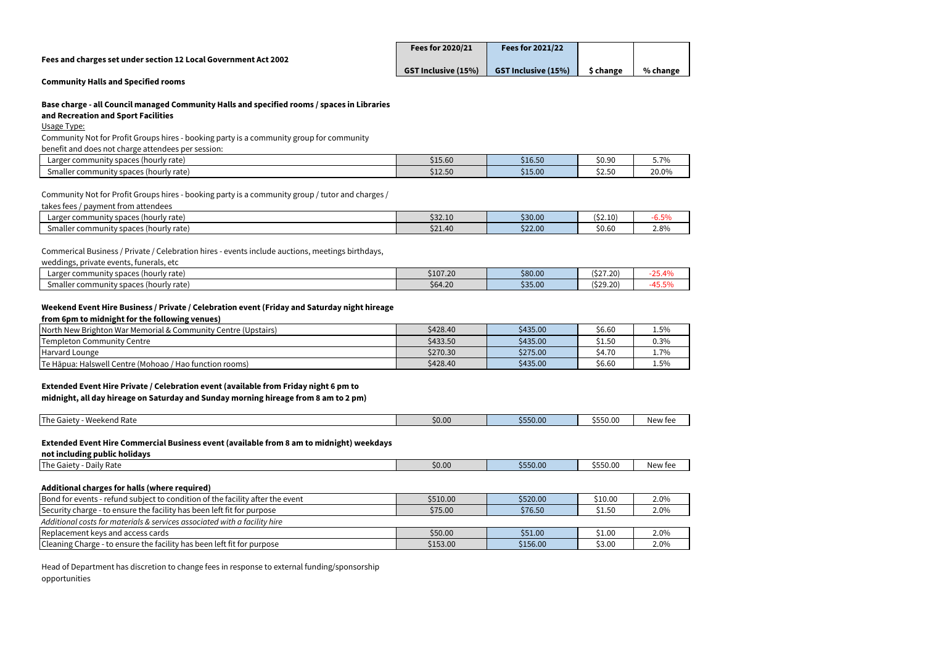| Fees for 2020/21           | <b>Fees for 2021/22</b>    |           |          |
|----------------------------|----------------------------|-----------|----------|
| <b>GST Inclusive (15%)</b> | <b>GST Inclusive (15%)</b> | \$ change | % change |

#### **Community Halls and Specified rooms**

#### **Base charge - all Council managed Community Halls and specified rooms / spaces in Libraries**

### **and Recreation and Sport Facilities**

Usage Type:

Community Not for Profit Groups hires - booking party is a community group for community

benefit and does not charge attendees per session:

| Larger community spaces<br>: (hourly rate) :               | \$15.60 | \$16.50 | \$0.90        | $\sim$ $\sim$ $\sim$<br>$\sim$ |
|------------------------------------------------------------|---------|---------|---------------|--------------------------------|
| spaces<br>l (hourly rate<br>Smalle<br>r community:<br>۱۱۵۲ | \$12.50 | \$15.00 | - -<br>ັນ∠.ວ∪ | 20.0%                          |

Community Not for Profit Groups hires - booking party is a community group / tutor and charges /

takes fees / payment from attendees

| ∟arger community<br>: (hourly rate) :<br>snaces !<br>spaces | \$32.10          | \$30.00 | .<br>$\sim$<br>, ∪2.L∪. | $-0/$<br>-0.3% |
|-------------------------------------------------------------|------------------|---------|-------------------------|----------------|
| er community spaces (hourly rate).<br>Smalle<br>וראו        | . م م<br>\$21.40 | \$22.00 | $\sim$<br>-S0.6C        | 2.8%           |

#### Commerical Business / Private / Celebration hires - events include auctions, meetings birthdays,

| weddings,<br>, funerals, etc<br>. private events. |          |         |          |           |
|---------------------------------------------------|----------|---------|----------|-----------|
| Larger community spaces (hourly rate)             | \$107.20 | \$80.00 | (527.20) | $DE$ $AD$ |
| Smaller community spaces (hourly rate)            | \$64.20  | \$35.00 | (529.20) | ט/ טיט    |

#### **Weekend Event Hire Business / Private / Celebration event (Friday and Saturday night hireage**

#### **from 6pm to midnight for the following venues)**

| North New Brighton War Memorial & Community Centre (Upstairs) | \$428.40 | \$435.00 | \$6.60       | 1.5% |
|---------------------------------------------------------------|----------|----------|--------------|------|
| Templeton Community Centre                                    | \$433.50 | \$435.00 | 51.50        | 0.3% |
| Harvard Lounge                                                | \$270.30 | \$275.00 | 170<br>54.IU | 1.7% |
| Te Hāpua: Halswell Centre (Mohoao / Hao function rooms)       | \$428.40 | \$435.00 | \$6.60       | 1.5% |

#### **Extended Event Hire Private / Celebration event (available from Friday night 6 pm to**

**midnight, all day hireage on Saturday and Sunday morning hireage from 8 am to 2 pm)**

| Weekend Rate<br> The Gaiet <sub>\</sub> | \$0.00 | \$550.00 | JJJU.U | New fee |
|-----------------------------------------|--------|----------|--------|---------|

#### **Extended Event Hire Commercial Business event (available from 8 am to midnight) weekdays**

**not including public holidays**

| <b>The Gaiety</b><br>Daily Rate | \$0.00 | \$550.00 | .<br>-<br>ww.uccc | New fee |
|---------------------------------|--------|----------|-------------------|---------|
|                                 |        |          |                   |         |

#### **Additional charges for halls (where required)**

| Bond for events - refund subject to condition of the facility after the event | \$510.00 | \$520.00 | \$10.00 | 2.0% |
|-------------------------------------------------------------------------------|----------|----------|---------|------|
| Security charge - to ensure the facility has been left fit for purpose        | \$75.00  | \$76.50  | \$1.50  | 2.0% |
| Additional costs for materials & services associated with a facility hire     |          |          |         |      |
| Replacement keys and access cards                                             | \$50.00  | \$51.00  | \$1.00  | 2.0% |
| Cleaning Charge - to ensure the facility has been left fit for purpose        | \$153.00 | \$156.00 | \$3.00  | 2.0% |

Head of Department has discretion to change fees in response to external funding/sponsorship opportunities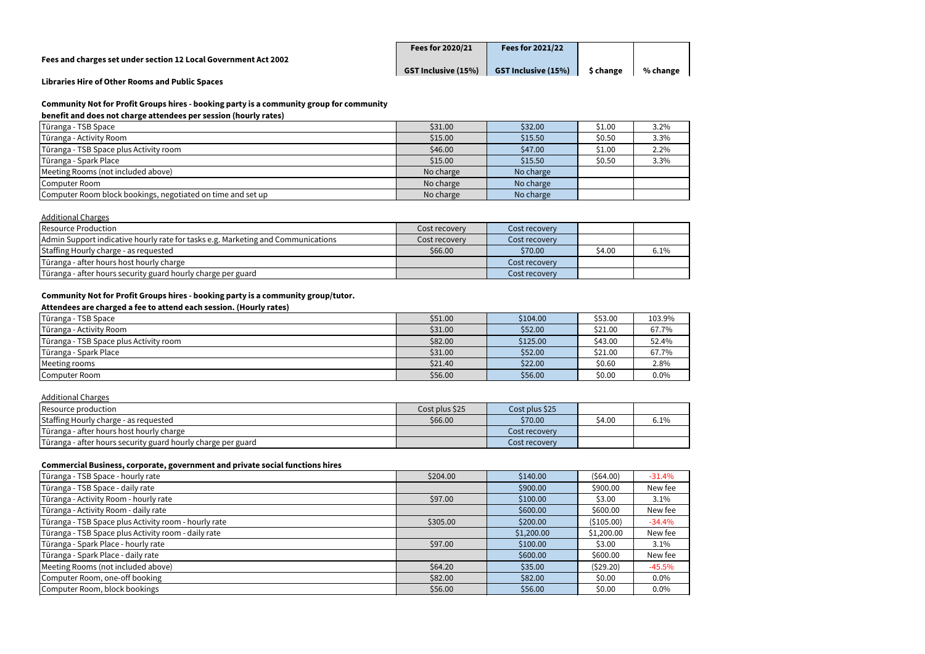| <b>Fees for 2020/21</b>    | <b>Fees for 2021/22</b>    |           |          |
|----------------------------|----------------------------|-----------|----------|
| <b>GST Inclusive (15%)</b> | <b>GST Inclusive (15%)</b> | \$ change | % change |

**Libraries Hire of Other Rooms and Public Spaces** 

# **Community Not for Profit Groups hires - booking party is a community group for community**

# **benefit and does not charge attendees per session (hourly rates)**

| Tūranga - TSB Space                                         | \$31.00   | \$32.00   | \$1.00 | 3.2% |
|-------------------------------------------------------------|-----------|-----------|--------|------|
| Tūranga - Activity Room                                     | \$15.00   | \$15.50   | \$0.50 | 3.3% |
| Tūranga - TSB Space plus Activity room                      | \$46.00   | \$47.00   | \$1.00 | 2.2% |
| Tūranga - Spark Place                                       | \$15.00   | \$15.50   | \$0.50 | 3.3% |
| Meeting Rooms (not included above)                          | No charge | No charge |        |      |
| Computer Room                                               | No charge | No charge |        |      |
| Computer Room block bookings, negotiated on time and set up | No charge | No charge |        |      |

# Additional Charges

| Resource Production                                                              | Cost recovery | Cost recovery |        |      |
|----------------------------------------------------------------------------------|---------------|---------------|--------|------|
| Admin Support indicative hourly rate for tasks e.g. Marketing and Communications | Cost recovery | Cost recovery |        |      |
| Staffing Hourly charge - as requested                                            | \$66.00       | \$70.00       | \$4.00 | 6.1% |
| Tūranga - after hours host hourly charge                                         |               | Cost recovery |        |      |
| Tūranga - after hours security guard hourly charge per guard                     |               | Cost recovery |        |      |

# **Community Not for Profit Groups hires - booking party is a community group/tutor.**

# **Attendees are charged a fee to attend each session. (Hourly rates)**

| Tūranga - TSB Space                    | \$51.00 | \$104.00 | \$53.00 | 103.9% |
|----------------------------------------|---------|----------|---------|--------|
| Tūranga - Activity Room                | \$31.00 | \$52.00  | \$21.00 | 67.7%  |
| Tūranga - TSB Space plus Activity room | \$82.00 | \$125.00 | \$43.00 | 52.4%  |
| Tūranga - Spark Place                  | \$31.00 | \$52.00  | \$21.00 | 67.7%  |
| Meeting rooms                          | \$21.40 | \$22.00  | \$0.60  | 2.8%   |
| Computer Room                          | \$56.00 | \$56.00  | \$0.00  | 0.0%   |

# Additional Charges

| Resource production                                          | Cost plus \$25 | Cost plus \$25 |        |      |
|--------------------------------------------------------------|----------------|----------------|--------|------|
| Staffing Hourly charge - as requested                        | \$66.00        | \$70.00        | \$4.00 | 6.1% |
| Tūranga - after hours host hourly charge                     |                | Cost recoverv  |        |      |
| Tūranga - after hours security guard hourly charge per guard |                | Cost recoverv  |        |      |

#### **Commercial Business, corporate, government and private social functions hires**

| Tūranga - TSB Space - hourly rate                    | \$204.00 | \$140.00   | (564.00)    | $-31.4%$ |
|------------------------------------------------------|----------|------------|-------------|----------|
| Tūranga - TSB Space - daily rate                     |          | \$900.00   | \$900.00    | New fee  |
| Tūranga - Activity Room - hourly rate                | \$97.00  | \$100.00   | \$3.00      | 3.1%     |
| Tūranga - Activity Room - daily rate                 |          | \$600.00   | \$600.00    | New fee  |
| Tūranga - TSB Space plus Activity room - hourly rate | \$305.00 | \$200.00   | ( \$105.00) | $-34.4%$ |
| Tūranga - TSB Space plus Activity room - daily rate  |          | \$1,200.00 | \$1,200.00  | New fee  |
| Tūranga - Spark Place - hourly rate                  | \$97.00  | \$100.00   | \$3.00      | 3.1%     |
| Tūranga - Spark Place - daily rate                   |          | \$600.00   | \$600.00    | New fee  |
| Meeting Rooms (not included above)                   | \$64.20  | \$35.00    | (529.20)    | $-45.5%$ |
| Computer Room, one-off booking                       | \$82.00  | \$82.00    | \$0.00      | $0.0\%$  |
| Computer Room, block bookings                        | \$56.00  | \$56.00    | \$0.00      | $0.0\%$  |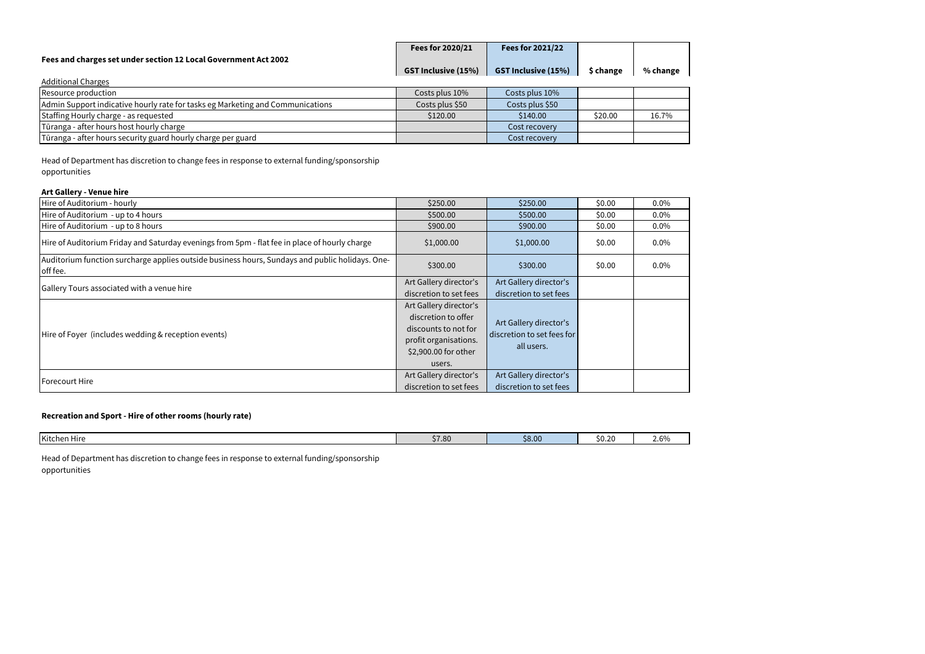|                                                                                | Fees for 2020/21           | Fees for 2021/22           |           |          |
|--------------------------------------------------------------------------------|----------------------------|----------------------------|-----------|----------|
| Fees and charges set under section 12 Local Government Act 2002                |                            |                            |           |          |
|                                                                                | <b>GST Inclusive (15%)</b> | <b>GST Inclusive (15%)</b> | \$ change | % change |
| <b>Additional Charges</b>                                                      |                            |                            |           |          |
| Resource production                                                            | Costs plus 10%             | Costs plus 10%             |           |          |
| Admin Support indicative hourly rate for tasks eg Marketing and Communications | Costs plus \$50            | Costs plus \$50            |           |          |
| Staffing Hourly charge - as requested                                          | \$120.00                   | \$140.00                   | \$20.00   | 16.7%    |
| Tūranga - after hours host hourly charge                                       |                            | Cost recovery              |           |          |
| Tūranga - after hours security guard hourly charge per guard                   |                            | Cost recovery              |           |          |

Head of Department has discretion to change fees in response to external funding/sponsorship opportunities

# **Art Gallery - Venue hire**

| Hire of Auditorium - hourly                                                                                 | \$250.00                                                                                                                         | \$250.00                                                           | \$0.00 | $0.0\%$ |
|-------------------------------------------------------------------------------------------------------------|----------------------------------------------------------------------------------------------------------------------------------|--------------------------------------------------------------------|--------|---------|
| Hire of Auditorium - up to 4 hours                                                                          | \$500.00<br>\$500.00                                                                                                             |                                                                    | \$0.00 | $0.0\%$ |
| Hire of Auditorium - up to 8 hours                                                                          | \$900.00                                                                                                                         | \$900.00                                                           | \$0.00 | $0.0\%$ |
| Hire of Auditorium Friday and Saturday evenings from 5pm - flat fee in place of hourly charge               | \$1,000.00                                                                                                                       | \$1,000.00                                                         | \$0.00 | $0.0\%$ |
| Auditorium function surcharge applies outside business hours, Sundays and public holidays. One-<br>off fee. | \$300.00                                                                                                                         | \$300.00                                                           | \$0.00 | $0.0\%$ |
| Gallery Tours associated with a venue hire                                                                  | Art Gallery director's<br>discretion to set fees                                                                                 | Art Gallery director's<br>discretion to set fees                   |        |         |
| Hire of Foyer (includes wedding & reception events)                                                         | Art Gallery director's<br>discretion to offer<br>discounts to not for<br>profit organisations.<br>\$2,900.00 for other<br>users. | Art Gallery director's<br>discretion to set fees for<br>all users. |        |         |
| Forecourt Hire                                                                                              | Art Gallery director's<br>discretion to set fees                                                                                 | Art Gallery director's<br>discretion to set fees                   |        |         |

# **Recreation and Sport - Hire of other rooms (hourly rate)**

| ________<br>\$8.00<br>Kitchen Hire<br>\$0.20<br>$\sim$<br>W<br>80. ا ڊ<br>Z.V |  |  |  |
|-------------------------------------------------------------------------------|--|--|--|
|                                                                               |  |  |  |

Head of Department has discretion to change fees in response to external funding/sponsorship opportunities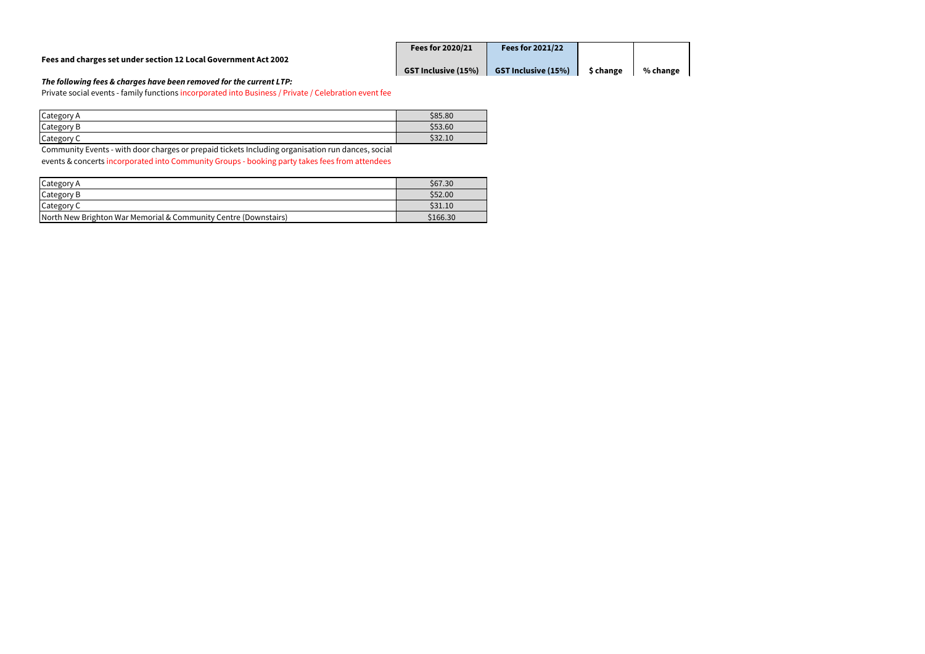| <b>Fees for 2020/21</b>    | <b>Fees for 2021/22</b>    |           |          |
|----------------------------|----------------------------|-----------|----------|
| <b>GST Inclusive (15%)</b> | <b>GST Inclusive (15%)</b> | \$ change | % change |

# *The following fees & charges have been removed for the current LTP:*

Private social events - family functions incorporated into Business / Private / Celebration event fee

| Category<br>A | \$85.80 |
|---------------|---------|
| Category B    | \$53.60 |
| Category<br>╰ | \$32.10 |

Community Events - with door charges or prepaid tickets Including organisation run dances, social events & concerts incorporated into Community Groups - booking party takes fees from attendees

| Category A                                                      | \$67.30  |
|-----------------------------------------------------------------|----------|
| Category B                                                      | \$52.00  |
| Category C                                                      | \$31.10  |
| North New Brighton War Memorial & Community Centre (Downstairs) | \$166.30 |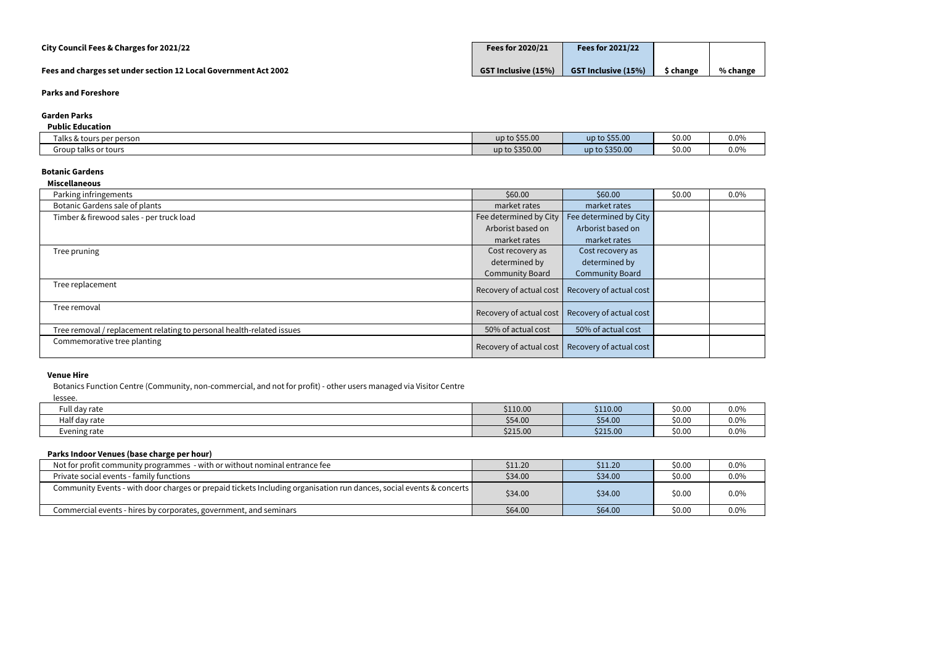#### **Garden Parks**

#### **Public Education**

| . abus Eaucación                 |                |                |        |         |
|----------------------------------|----------------|----------------|--------|---------|
| ener person to<br>l alks & tours | up to \$55.00  | up to \$55.00  | \$0.0  | $0.0\%$ |
| Group talks or tours             | up to \$350.00 | up to \$350.00 | \$0.00 | $0.0\%$ |

#### **Botanic Gardens**

| <b>Miscellaneous</b>                                                  |                         |                                                   |        |         |
|-----------------------------------------------------------------------|-------------------------|---------------------------------------------------|--------|---------|
| Parking infringements                                                 | \$60.00                 | \$60.00                                           | \$0.00 | $0.0\%$ |
| Botanic Gardens sale of plants                                        | market rates            | market rates                                      |        |         |
| Timber & firewood sales - per truck load                              | Fee determined by City  | Fee determined by City                            |        |         |
|                                                                       | Arborist based on       | Arborist based on                                 |        |         |
|                                                                       | market rates            | market rates                                      |        |         |
| Tree pruning                                                          | Cost recovery as        | Cost recovery as                                  |        |         |
|                                                                       | determined by           | determined by                                     |        |         |
|                                                                       | <b>Community Board</b>  | <b>Community Board</b>                            |        |         |
| Tree replacement                                                      | Recovery of actual cost | Recovery of actual cost                           |        |         |
| Tree removal                                                          |                         | Recovery of actual cost   Recovery of actual cost |        |         |
| Tree removal / replacement relating to personal health-related issues | 50% of actual cost      | 50% of actual cost                                |        |         |
| Commemorative tree planting                                           | Recovery of actual cost | Recovery of actual cost                           |        |         |

#### **Venue Hire**

Botanics Function Centre (Community, non-commercial, and not for profit) - other users managed via Visitor Centre

lessee.

| Full day rate      | \$110.00 | \$110.00 | \$0.00 | 0.0% |
|--------------------|----------|----------|--------|------|
| .<br>Half day rate | \$54.00  | \$54.00  | \$0.00 | 0.0% |
| Evening rate       | \$215.00 | \$215.00 | \$0.00 | 0.0% |

#### **Parks Indoor Venues (base charge per hour)**

| Not for profit community programmes - with or without nominal entrance fee                                          | \$11.20 | \$11.20 | \$0.00 | $0.0\%$ |
|---------------------------------------------------------------------------------------------------------------------|---------|---------|--------|---------|
| Private social events - family functions                                                                            | \$34.00 | \$34.00 | \$0.00 | $0.0\%$ |
| Community Events - with door charges or prepaid tickets Including organisation run dances, social events & concerts | \$34.00 | \$34.00 | \$0.00 | $0.0\%$ |
| Commercial events - hires by corporates, government, and seminars                                                   | \$64.00 | \$64.00 | \$0.00 | $0.0\%$ |

| % change |
|----------|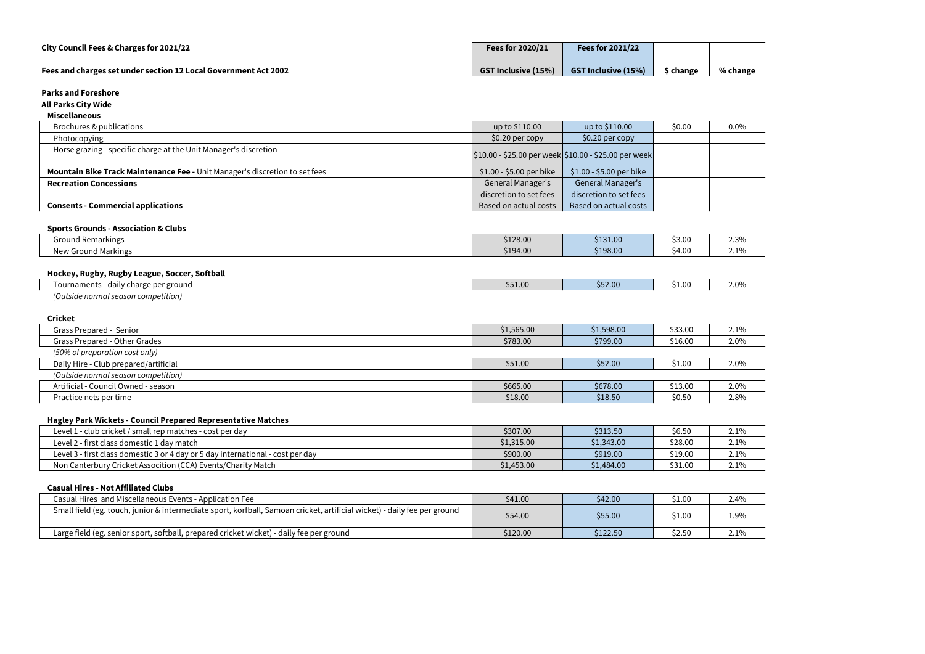# **All Parks City Wide**

### **Miscellaneous**

| Brochures & publications                                                    | up to \$110.00                                                            | up to \$110.00                    | \$0.00 | 0.0% |
|-----------------------------------------------------------------------------|---------------------------------------------------------------------------|-----------------------------------|--------|------|
| Photocopying                                                                | \$0.20 per copy                                                           | \$0.20 per copy                   |        |      |
| Horse grazing - specific charge at the Unit Manager's discretion            | $\frac{1}{2}10.00 - $25.00$ per week $\frac{1}{2}10.00 - $25.00$ per week |                                   |        |      |
| Mountain Bike Track Maintenance Fee - Unit Manager's discretion to set fees | \$1.00 - \$5.00 per bike                                                  | \$1.00 - \$5.00 per bike          |        |      |
| <b>Recreation Concessions</b>                                               | <b>General Manager's</b>                                                  | General Manager's                 |        |      |
|                                                                             | discretion to set fees                                                    | discretion to set fees            |        |      |
| <b>Consents - Commercial applications</b>                                   | Based on actual costs                                                     | Based on actual costs             |        |      |
|                                                                             |                                                                           |                                   |        |      |
| <b>Sports Grounds - Association &amp; Clubs</b>                             |                                                                           |                                   |        |      |
|                                                                             | and the contract of the con-                                              | the company's company's company's |        |      |

| -<br>Grou<br><b>July Remarkings</b> | \$128.00 | \$131.00 | \$3.00 | 7.20 <sub>o</sub><br>2.J/V    |
|-------------------------------------|----------|----------|--------|-------------------------------|
| Ground Markings /<br>New            | \$194.00 | \$198.00 | \$4.00 | 10 <sub>k</sub><br><u>. 7</u> |
|                                     |          |          |        |                               |

# **Hockey, Rugby, Rugby League, Soccer, Softball**

| TIVERCY, RUSDY, RUSDY ECUSUC, JOCCCI, JORDUN |         |         |        |      |
|----------------------------------------------|---------|---------|--------|------|
| - daily charge per ground<br>Tournaments     | \$51.00 | \$52.00 | \$1.00 | 2.0% |
| (Outside normal season competition)          |         |         |        |      |

## **Cricket**

| <b>CIILNEL</b>                        |            |            |         |      |
|---------------------------------------|------------|------------|---------|------|
| Grass Prepared - Senior               | \$1,565.00 | \$1,598.00 | \$33.00 | 2.1% |
| Grass Prepared - Other Grades         | \$783.00   | \$799.00   | \$16.00 | 2.0% |
| (50% of preparation cost only)        |            |            |         |      |
| Daily Hire - Club prepared/artificial | \$51.00    | \$52.00    | \$1.00  | 2.0% |
| (Outside normal season competition)   |            |            |         |      |
| Artificial - Council Owned - season   | \$665.00   | \$678.00   | \$13.00 | 2.0% |
| Practice nets per time                | \$18.00    | \$18.50    | \$0.50  | 2.8% |
|                                       |            |            |         |      |

#### **Hagley Park Wickets - Council Prepared Representative Matches**

| - -                                                                             |            |            |         |      |
|---------------------------------------------------------------------------------|------------|------------|---------|------|
| Level 1 - club cricket / small rep matches - cost per day                       | \$307.00   | \$313.50   | \$6.50  | 2.1% |
| Level 2 - first class domestic 1 day match                                      | \$1,315.00 | \$1,343.00 | \$28.00 | 2.1% |
| Level 3 - first class domestic 3 or 4 day or 5 day international - cost per day | \$900.00   | \$919.00   | \$19.00 | 2.1% |
| Non Canterbury Cricket Assocition (CCA) Events/Charity Match                    | \$1,453.00 | \$1,484.00 | \$31.00 | 2.1% |
|                                                                                 |            |            |         |      |

#### **Casual Hires - Not Affiliated Clubs**

| Casual Hires and Miscellaneous Events - Application Fee                                                                  | \$41.00  | \$42.00  | \$1.00 | 2.4% |
|--------------------------------------------------------------------------------------------------------------------------|----------|----------|--------|------|
| Small field (eg. touch, junior & intermediate sport, korfball, Samoan cricket, artificial wicket) - daily fee per ground | \$54.00  | \$55.00  | \$1.00 | 1.9% |
| Large field (eg. senior sport, softball, prepared cricket wicket) - daily fee per ground                                 | \$120.00 | \$122.50 | \$2.50 | 2.1% |

| % change |
|----------|

| 0.0% |
|------|
|      |
|      |
|      |
|      |
|      |
|      |
|      |

| 2.3% |
|------|
| 2.1% |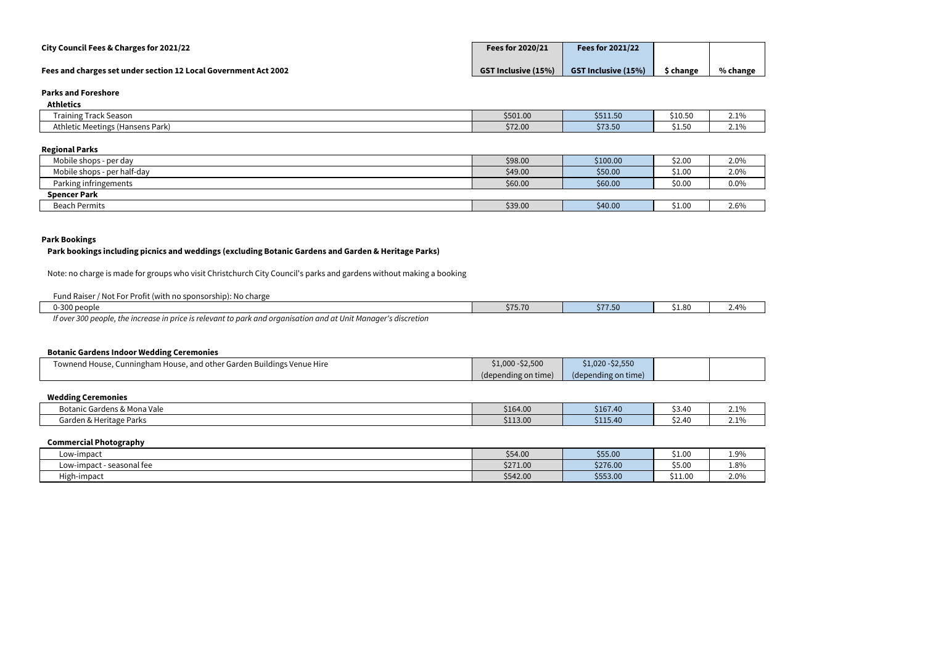| City Council Fees & Charges for 2021/22                         | Fees for 2020/21           | <b>Fees for 2021/22</b>    |                |          |
|-----------------------------------------------------------------|----------------------------|----------------------------|----------------|----------|
| Fees and charges set under section 12 Local Government Act 2002 | <b>GST Inclusive (15%)</b> | <b>GST Inclusive (15%)</b> | <b>Schange</b> | % change |

| <b>Athletics</b>                      |          |          |         |                           |
|---------------------------------------|----------|----------|---------|---------------------------|
| <b>Training Track Season</b>          | \$501.00 | \$511.50 | \$10.50 | 210/<br>$\sim$ . $\sim$ / |
| Athletic Meetings (<br>(Hansens Park) | \$72.00  | \$73.50  | \$1.50  | 210/<br>$\sim$ . $\sim$ / |

# **Regional Parks**

| Mobile shops - per day      | \$98.00 | \$100.00 | \$2.00 | 2.0% |
|-----------------------------|---------|----------|--------|------|
| Mobile shops - per half-day | \$49.00 | \$50.00  | \$1.00 | 2.0% |
| Parking infringements       | \$60.00 | \$60.00  | \$0.00 | 0.0% |
| <b>Spencer Park</b>         |         |          |        |      |
| <b>Beach Permits</b>        | \$39.00 | \$40.00  | \$1.00 | 2.6% |

# **Park Bookings**

#### **Park bookings including picnics and weddings (excluding Botanic Gardens and Garden & Heritage Parks)**

Note: no charge is made for groups who visit Christchurch City Council's parks and gardens without making a booking

| Fund Raiser / Not For Profit (with no sponsorship): No charge                                                   |         |                  |        |      |
|-----------------------------------------------------------------------------------------------------------------|---------|------------------|--------|------|
| 0-300 people                                                                                                    | \$75.70 | トララ こへ<br>211.5t | \$1.80 | 2.4% |
| If over 300 people, the increase in price is relevant to park and organisation and at Unit Manager's discretion |         |                  |        |      |

#### **Botanic Gardens Indoor Wedding Ceremonies**

| Townend House, Cunningham House, and other Garden Buildings Venue Hire | \$1,000 - \$2,500   | $-$2,550$<br>$1,020 -$ |  |
|------------------------------------------------------------------------|---------------------|------------------------|--|
|                                                                        | (depending on time) | (depending on time)    |  |

# **Wedding Ceremonies**

| ic Gardens & Mona Vale<br><b>Botanic</b> | \$164.00 | \$167.40                          | <b>. .</b><br>\$3.40        | 10 <sub>h</sub><br><b><i>L.L/</i></b> |
|------------------------------------------|----------|-----------------------------------|-----------------------------|---------------------------------------|
| Garden & Heritage Parks                  | \$113.00 | C 11<br>$\overline{ }$<br>5115.40 | ) 4Ր<br><b>. .</b><br>りム・エロ | $\degree$ 1 $0\prime$<br><u>2.1/1</u> |

#### **Commercial Photography**

| Low-impaci                  | \$54.00  | \$55.00  | \$1.00  | 1.9% |
|-----------------------------|----------|----------|---------|------|
| - seasonal fee<br>Low-impac | \$271.00 | \$276.00 | \$5.00  | 1.8% |
| High-impact                 | \$542.00 | \$553.00 | \$11.00 | 2.0% |

|  | % change |
|--|----------|

| 2.1% |
|------|
| 2.1% |
|      |

| 2.0%    |
|---------|
| 2.0%    |
| $0.0\%$ |
|         |
| 2.6%    |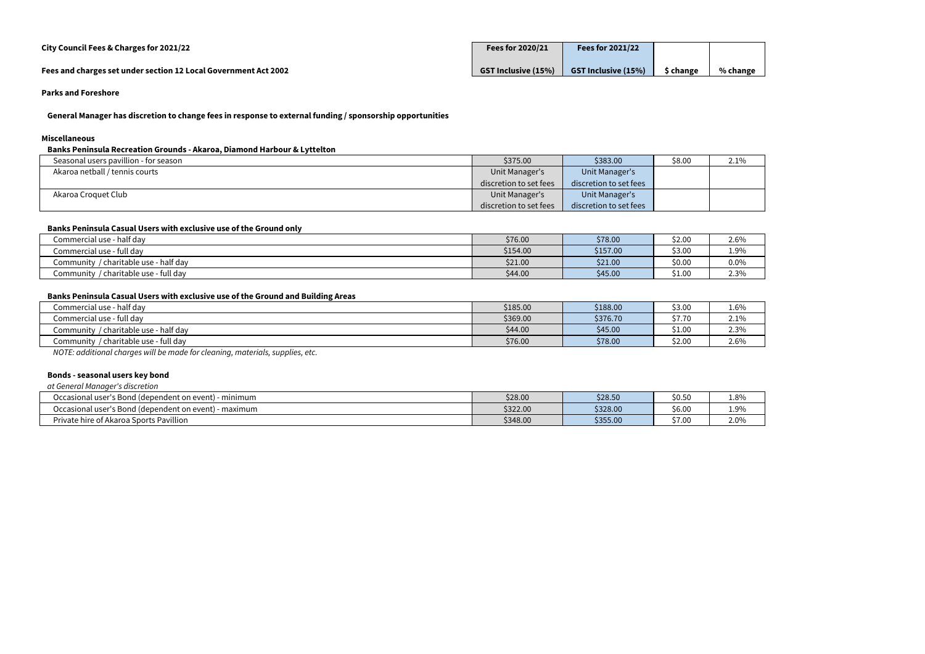| City Council Fees & Charges for 2021/22                         | Fees for 2020/21           | <b>Fees for 2021/22</b>    |               |          |
|-----------------------------------------------------------------|----------------------------|----------------------------|---------------|----------|
| Fees and charges set under section 12 Local Government Act 2002 | <b>GST Inclusive (15%)</b> | <b>GST Inclusive (15%)</b> | <b>change</b> | % change |

**General Manager has discretion to change fees in response to external funding / sponsorship opportunities**

#### **Miscellaneous**

**Banks Peninsula Recreation Grounds - Akaroa, Diamond Harbour & Lyttelton**

| Seasonal users pavillion - for season | \$375.00               | \$383.00               | \$8.00 | 2.1% |
|---------------------------------------|------------------------|------------------------|--------|------|
| Akaroa netball / tennis courts        | Unit Manager's         | Unit Manager's         |        |      |
|                                       | discretion to set fees | discretion to set fees |        |      |
| Akaroa Croquet Club                   | Unit Manager's         | Unit Manager's         |        |      |
|                                       | discretion to set fees | discretion to set fees |        |      |

### **Banks Peninsula Casual Users with exclusive use of the Ground only**

| <u>sailite i sillilevitu suovut sosio IIItii sitsiveito visu ol tiis si vullu viiti</u> |          |          |        |      |
|-----------------------------------------------------------------------------------------|----------|----------|--------|------|
| Commercial use - half day                                                               | \$76.00  | \$78.00  | \$2.00 | 2.6% |
| Commercial use - full day                                                               | \$154.00 | \$157.00 | \$3.00 | 1.9% |
| / charitable use - half day<br>community                                                | \$21.00  | \$21.00  | \$0.00 | 0.0% |
| / charitable use - full day<br>community                                                | \$44.00  | \$45.00  | \$1.00 | 2.3% |
|                                                                                         |          |          |        |      |

# **Banks Peninsula Casual Users with exclusive use of the Ground and Building Areas**

| Commercial use - half day                | \$185.00 | \$188.00 | \$3.00              | 1.6% |
|------------------------------------------|----------|----------|---------------------|------|
| Commercial use - full day                | \$369.00 | \$376.70 | トー つへ<br>۔ ۱۰، ۱۰ ب | 2.1% |
| / charitable use - half day<br>Community | \$44.00  | \$45.00  | \$1.00              | 2.3% |
| / charitable use - full day<br>Community | \$76.00  | \$78.00  | \$2.00              | 2.6% |
| .<br>$\sim$                              |          |          |                     |      |

*NOTE: additional charges will be made for cleaning, materials, supplies, etc.*

#### **Bonds - seasonal users key bond**

*at General Manager's discretion*

| l user's Bond (dependent on event)<br>Occasional<br>minimum | \$28.00  | \$28.50  | \$0.50 | 1.8% |
|-------------------------------------------------------------|----------|----------|--------|------|
| luser's Bond (dependent on event)<br>Occasional<br>maximum  | \$322.00 | \$328.00 | \$6.00 | 1.9% |
| Private hire of Akaroa Sports Pavillion                     | \$348.00 | \$355.00 | \$7.00 | 2.0% |

| 2.1% |
|------|
|      |
|      |
|      |
|      |

| 1.8% |
|------|
| 1.9% |
| 2.0% |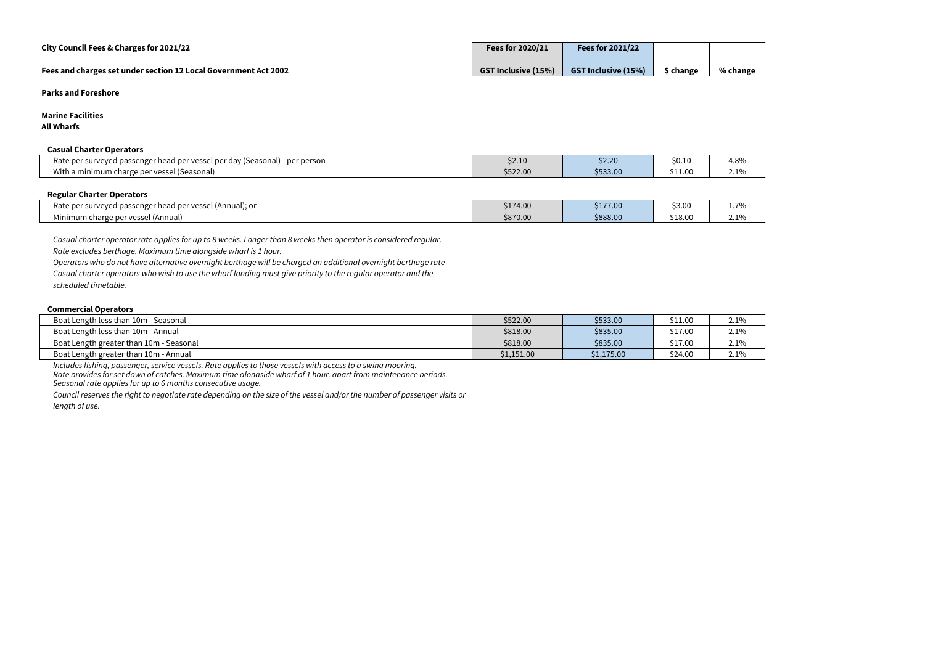| City Council Fees & Charges for 2021/22                         | <b>Fees for 2020/21</b>    | <b>Fees for 2021/22</b>    |                |          |
|-----------------------------------------------------------------|----------------------------|----------------------------|----------------|----------|
| Fees and charges set under section 12 Local Government Act 2002 | <b>GST Inclusive (15%)</b> | <b>GST Inclusive (15%)</b> | <b>Schange</b> | % change |

**Marine Facilities**

**All Wharfs**

#### **Casual Charter Operators**

| SUSUUL SIIUI LEI SPEIULSIS                                                                          |          |                                   |         |                               |
|-----------------------------------------------------------------------------------------------------|----------|-----------------------------------|---------|-------------------------------|
| Rate per surveyed passenger<br>per person •<br>: (Seasonal) ·<br>a vessel per day?<br>per :<br>ieau | \$2.10   | $\sim$ 0.0 $\sim$ $\sim$<br>JZ.ZU | \$0.10  | 4.8%                          |
| With a minimum charge per vo<br>l (Seasonal)<br>vessel                                              | \$522.00 | \$533.00                          | \$11.00 | 10 <sub>h</sub><br><u>. 7</u> |
|                                                                                                     |          |                                   |         |                               |

#### **Regular Charter Operators**

| Rate<br>per surveved passenger !<br>l ner vessel i<br>' head<br>\nnual): or<br>'−veu .<br>IJc<br>,ujj<br>ハーコール | 617100<br>\$174.00 | \$177.00 | 3.00    | 70                          |
|----------------------------------------------------------------------------------------------------------------|--------------------|----------|---------|-----------------------------|
| charge per vessel<br>(Annual<br>Mınımum<br>. .                                                                 | \$870.00           | \$888.00 | \$18.00 | 10 <sub>u</sub><br><u>.</u> |

*Casual charter operator rate applies for up to 8 weeks. Longer than 8 weeks then operator is considered regular.*

*Rate excludes berthage. Maximum time alongside wharf is 1 hour.*

*Operators who do not have alternative overnight berthage will be charged an additional overnight berthage rate Casual charter operators who wish to use the wharf landing must give priority to the regular operator and the scheduled timetable.*

#### **Commercial Operators**

| Boat Length less than 10m - Seasonal     | \$522.00   | \$533.00   | \$11.00 | 2.1% |
|------------------------------------------|------------|------------|---------|------|
| Boat Length less than 10m - Annual       | \$818.00   | \$835.00   | \$17.00 | 2.1% |
| Boat Length greater than 10m - Seasonal  | \$818.00   | \$835.00   | \$17.00 | 2.1% |
| Boat Length greater than 10m -<br>Annual | \$1,151.00 | \$1,175.00 | \$24.00 | 2.1% |

*Includes fishing, passenger, service vessels. Rate applies to those vessels with access to a swing mooring.*

*Rate provides for set down of catches. Maximum time alongside wharf of 1 hour, apart from maintenance periods.*

*Seasonal rate applies for up to 6 months consecutive usage.*

*Council reserves the right to negotiate rate depending on the size of the vessel and/or the number of passenger visits or length of use.*

| 4.8% |
|------|
| 1%   |

| .7%  |
|------|
| 2.1% |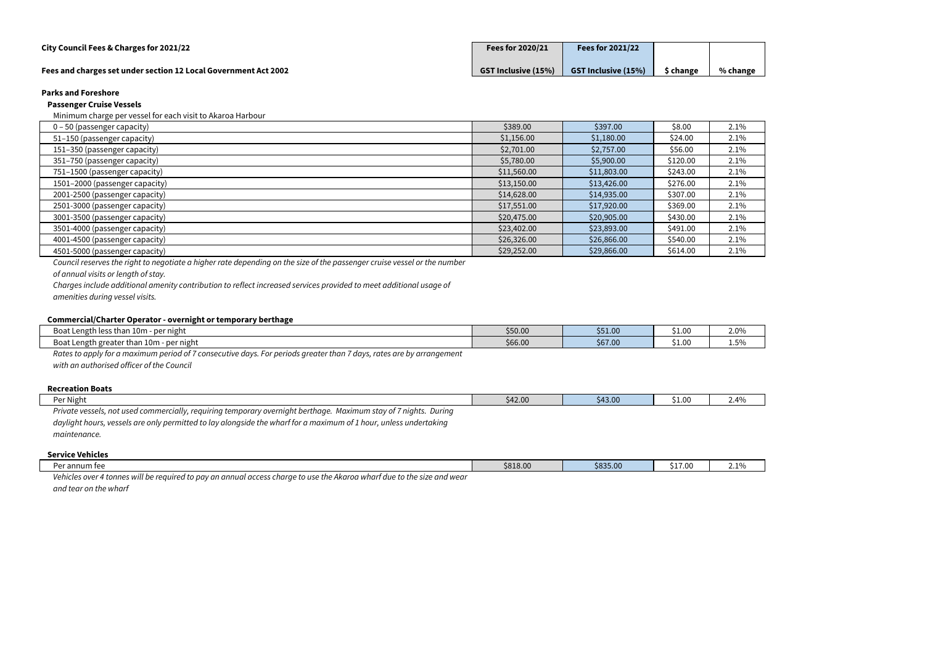| City Council Fees & Charges for 2021/22                         | <b>Fees for 2020/21</b>    | <b>Fees for 2021/22</b>    |           |          |
|-----------------------------------------------------------------|----------------------------|----------------------------|-----------|----------|
| Fees and charges set under section 12 Local Government Act 2002 | <b>GST Inclusive (15%)</b> | <b>GST Inclusive (15%)</b> | \$ change | % change |

#### **Passenger Cruise Vessels**

Minimum charge per vessel for each visit to Akaroa Harbour

| $0 - 50$ (passenger capacity)  | \$389.00    | \$397.00    | \$8.00   | 2.1% |
|--------------------------------|-------------|-------------|----------|------|
| 51-150 (passenger capacity)    | \$1,156.00  | \$1,180.00  | \$24.00  | 2.1% |
| 151-350 (passenger capacity)   | \$2,701.00  | \$2,757.00  | \$56.00  | 2.1% |
| 351-750 (passenger capacity)   | \$5,780.00  | \$5,900.00  | \$120.00 | 2.1% |
| 751-1500 (passenger capacity)  | \$11,560.00 | \$11,803.00 | \$243.00 | 2.1% |
| 1501-2000 (passenger capacity) | \$13,150.00 | \$13,426.00 | \$276.00 | 2.1% |
| 2001-2500 (passenger capacity) | \$14,628.00 | \$14,935.00 | \$307.00 | 2.1% |
| 2501-3000 (passenger capacity) | \$17,551.00 | \$17,920.00 | \$369.00 | 2.1% |
| 3001-3500 (passenger capacity) | \$20,475.00 | \$20,905.00 | \$430.00 | 2.1% |
| 3501-4000 (passenger capacity) | \$23,402.00 | \$23,893.00 | \$491.00 | 2.1% |
| 4001-4500 (passenger capacity) | \$26,326.00 | \$26,866.00 | \$540.00 | 2.1% |
| 4501-5000 (passenger capacity) | \$29,252.00 | \$29,866.00 | \$614.00 | 2.1% |

*Council reserves the right to negotiate a higher rate depending on the size of the passenger cruise vessel or the number* 

*of annual visits or length of stay.*

*Charges include additional amenity contribution to reflect increased services provided to meet additional usage of* 

*amenities during vessel visits.*

#### **Commercial/Charter Operator - overnight or temporary berthage**

| commercial charter operator<br><b>UVCHILLENT OF CONTROL OF Y MCLICIUSC</b>                                                        |         |         |        |      |
|-----------------------------------------------------------------------------------------------------------------------------------|---------|---------|--------|------|
| Boat Length less than 10m - per night                                                                                             | \$50.00 | \$51.00 | \$1.00 | 2.0% |
| Boat Length greater than 10m -<br>per night                                                                                       | \$66.00 | \$67.00 | \$1.00 | 1.5% |
| Rates to apply for a maximum period of 7<br>. For periods greater than 1<br>7 days, rates are by arrangement<br>consecutive days. |         |         |        |      |

*with an authorised officer of the Council*

#### **Recreation Boats**

| Per Night                                                                                                         | \$42.00 | \$43.00 | \$1.00 | 2.4% |
|-------------------------------------------------------------------------------------------------------------------|---------|---------|--------|------|
| Private vessels, not used commercially, requiring temporary overnight berthage. Maximum stay of 7 nights. During  |         |         |        |      |
| daylight hours, vessels are only permitted to lay alongside the wharf for a maximum of 1 hour, unless undertaking |         |         |        |      |
| maintenance.                                                                                                      |         |         |        |      |

#### **Service Vehicles**

| Dar ar<br>nnum fee                                                                                                                       | \$818.00 | \$835.00 | $\lambda$ $\rightarrow$ $\sim$ $\sim$<br>J-1.V | 210/<br>2.1/ |
|------------------------------------------------------------------------------------------------------------------------------------------|----------|----------|------------------------------------------------|--------------|
| Vehicles<br>d to pay an annual access charge to use the Akaroa wharf due to the size and wear<br>r 4 tonnes will be reauired to<br>A1/2r |          |          |                                                |              |

*and tear on the wharf*

| 2.1% |
|------|
| 2.1% |
| 2.1% |
| 2.1% |
| 2.1% |
| 2.1% |
| 2.1% |
| 2.1% |
| 2.1% |
| 2.1% |
| 2.1% |
| 2.1% |

| 2.0% |
|------|
| 1.5% |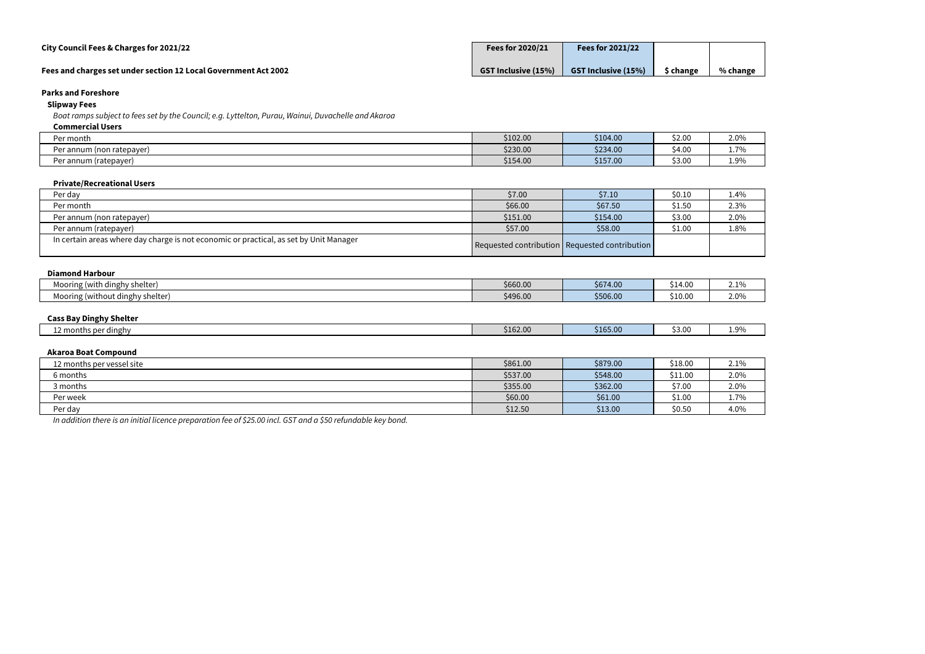| City Council Fees & Charges for 2021/22                         | Fees for 2020/21           | Fees for $2021/22$         |               |          |
|-----------------------------------------------------------------|----------------------------|----------------------------|---------------|----------|
| Fees and charges set under section 12 Local Government Act 2002 | <b>GST Inclusive (15%)</b> | <b>GST Inclusive (15%)</b> | <b>change</b> | % change |

# **Slipway Fees**

*Boat ramps subject to fees set by the Council; e.g. Lyttelton, Purau, Wainui, Duvachelle and Akaroa*

#### **Commercial Users**

# **Diamond Harbour** Mooring (with dinghy shelter) and the second that the second the second the second the second the second the state of the state of the state of the state of the state of the state of the state of the state of the state of Mooring (without dinghy shelter)  $\frac{1}{2}$  \$10.00

| CUIIIIII CLUICI USCI S    |          |          |        |                         |
|---------------------------|----------|----------|--------|-------------------------|
| Per month                 | \$102.00 | \$104.00 | \$2.00 | 2.0%                    |
| Per annum (non ratepayer) | \$230.00 | \$234.00 | \$4.00 | 70/<br><b>1.1</b>       |
| Per annum (ratepayer)     | \$154.00 | \$157.00 | \$3.00 | $\Omega$<br><b>1.</b> J |
|                           |          |          |        |                         |

#### **Private/Recreational Users**

| Per day                                                                                | \$7.00   | \$7.10                                        | \$0.10 | $1.4\%$ |
|----------------------------------------------------------------------------------------|----------|-----------------------------------------------|--------|---------|
| Per month                                                                              | \$66.00  | \$67.50                                       | \$1.50 | 2.3%    |
| Per annum (non ratepayer)                                                              | \$151.00 | \$154.00                                      | \$3.00 | 2.0%    |
| Per annum (ratepayer)                                                                  | \$57.00  | \$58.00                                       | \$1.00 | 1.8%    |
| In certain areas where day charge is not economic or practical, as set by Unit Manager |          | Requested contribution Requested contribution |        |         |

#### **Cass Bay Dinghy Shelter**

| <b>Service Controllers</b><br>er dinghy<br>honti. | \$162.00 | $\mathcal{L}^{\text{max}}_{\text{max}}$ and $\mathcal{L}^{\text{max}}_{\text{max}}$ and $\mathcal{L}^{\text{max}}_{\text{max}}$<br>\$165.00 | 3.00 ډ | $ -$<br>$^{\circ}$ Q <sub>0</sub><br>، ب⊥ |
|---------------------------------------------------|----------|---------------------------------------------------------------------------------------------------------------------------------------------|--------|-------------------------------------------|
|                                                   |          |                                                                                                                                             |        |                                           |

#### **Akaroa Boat Compound**

| 12 months per vessel site | \$861.00 | \$879.00 | \$18.00 | 2.1% |
|---------------------------|----------|----------|---------|------|
| 6 months                  | \$537.00 | \$548.00 | \$11.00 | 2.0% |
| 3 months                  | \$355.00 | \$362.00 | \$7.00  | 2.0% |
| Per week                  | \$60.00  | \$61.00  | \$1.00  | 1.7% |
| Per day                   | \$12.50  | \$13.00  | \$0.50  | 4.0% |

*In addition there is an initial licence preparation fee of \$25.00 incl. GST and a \$50 refundable key bond.*

| 2.0% |
|------|
| 1.7% |
| 1.9% |
|      |

| 1.4% |
|------|
| 2.3% |
| 2.0% |
| 1.8% |
|      |
|      |

| 2.1% |
|------|
| 2.0% |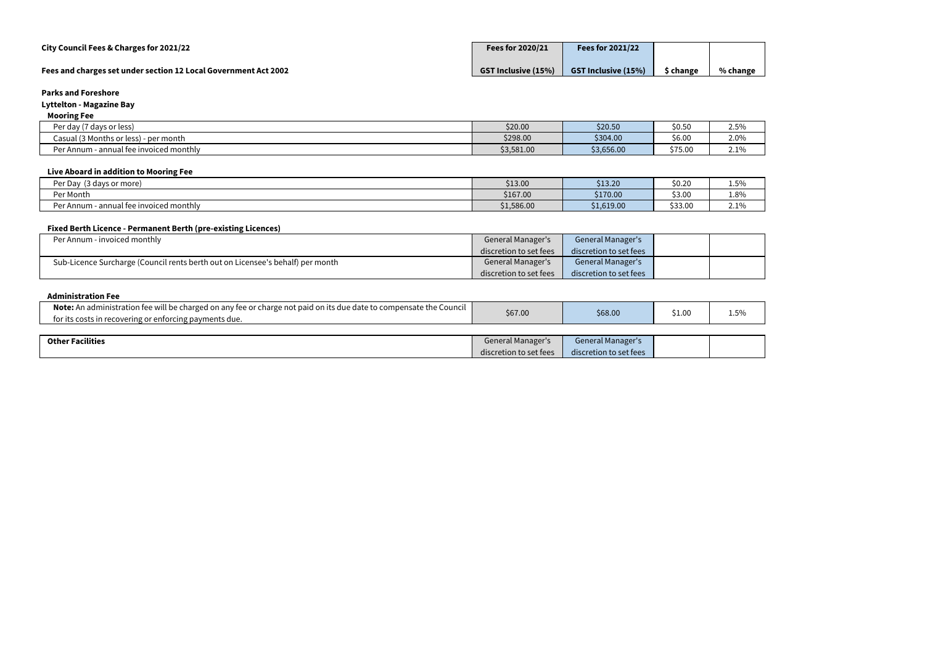| City Council Fees & Charges for 2021/22                         | <b>Fees for 2020/21</b>    | <b>Fees for 2021/22</b>    |                     |          |
|-----------------------------------------------------------------|----------------------------|----------------------------|---------------------|----------|
| Fees and charges set under section 12 Local Government Act 2002 | <b>GST Inclusive (15%)</b> | <b>GST Inclusive (15%)</b> | <sup>t</sup> change | % change |

# **Lyttelton - Magazine Bay**

# **Mooring Fee**

| .                                                                           |            |            |         |              |
|-----------------------------------------------------------------------------|------------|------------|---------|--------------|
| 7 days or less)<br>י הנו<br>day:                                            | \$20.00    | \$20.50    | \$0.50  | 2.5%         |
| $^{\prime}$ (? Months or less) - $\sim$<br>Casual <i>I</i><br>) - per month | \$298.00   | \$304.00   | \$6.00  | 2.0%         |
| Per Annum<br>e invoiced monthly<br>- annual fee                             | \$3,581.00 | \$3,656.00 | \$75.00 | 210/<br>2.1/ |

# **Live Aboard in addition to Mooring Fee**

| --                                          |            |            |         |                                 |
|---------------------------------------------|------------|------------|---------|---------------------------------|
| Per Day<br>(3 days or more)                 | \$13.00    | \$13.20    | \$0.20  | $ \sim$<br>$1.5\%$              |
| Per Month                                   | \$167.00   | \$170.00   | \$3.00  | 1.8%                            |
| l fee invoiced monthly<br>annuar.<br>Annum' | \$1,586.00 | \$1,619.00 | \$33.00 | $\overline{\phantom{a}}$<br>2.1 |

# **Fixed Berth Licence - Permanent Berth (pre-existing Licences)**

| Per Annum - invoiced monthly                                                   | <b>General Manager's</b> | General Manager's      |  |
|--------------------------------------------------------------------------------|--------------------------|------------------------|--|
|                                                                                | discretion to set fees   | discretion to set fees |  |
| Sub-Licence Surcharge (Council rents berth out on Licensee's behalf) per month | General Manager's        | General Manager's      |  |
|                                                                                | discretion to set fees   | discretion to set fees |  |

# **Administration Fee**

| Note: An administration fee will be charged on any fee or charge not paid on its due date to compensate the Council<br>for its costs in recovering or enforcing payments due. | \$67.00                  | \$68.00                  | \$1.00 | 1.5% |
|-------------------------------------------------------------------------------------------------------------------------------------------------------------------------------|--------------------------|--------------------------|--------|------|
|                                                                                                                                                                               |                          |                          |        |      |
| <b>Other Facilities</b>                                                                                                                                                       | <b>General Manager's</b> | <b>General Manager's</b> |        |      |
|                                                                                                                                                                               | discretion to set fees   | discretion to set fees   |        |      |

| % change |
|----------|

| 2.5% |
|------|
| 2.0% |
| 2.1% |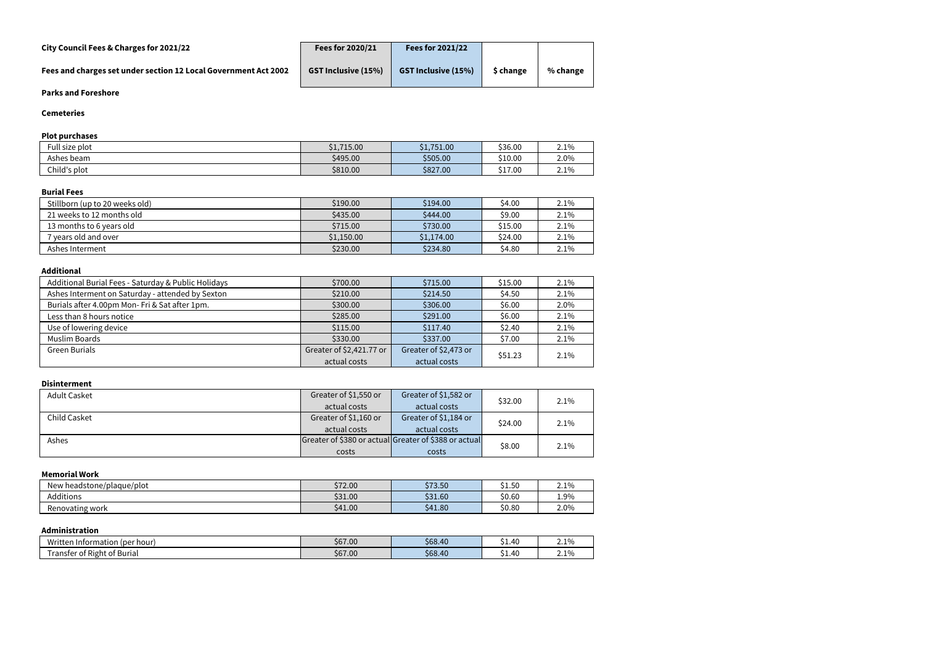| City Council Fees & Charges for 2021/22                         | Fees for 2020/21           | <b>Fees for 2021/22</b>    |           |          |
|-----------------------------------------------------------------|----------------------------|----------------------------|-----------|----------|
| Fees and charges set under section 12 Local Government Act 2002 | <b>GST Inclusive (15%)</b> | <b>GST Inclusive (15%)</b> | \$ change | % change |

#### **Cemeteries**

# **Plot purchases**

| $F$ ull size plot | \$1,715.00 | \$1,751.00 | \$36.00 | 2.1% |
|-------------------|------------|------------|---------|------|
| Ashes beam        | \$495.00   | \$505.00   | \$10.00 | 2.0% |
| Child's plot      | \$810.00   | \$827.00   | \$17.00 | 2.1% |

#### **Burial Fees**

| Stillborn (up to 20 weeks old) | \$190.00   | \$194.00   | \$4.00  | 2.1%    |
|--------------------------------|------------|------------|---------|---------|
| 21 weeks to 12 months old      | \$435.00   | \$444.00   | \$9.00  | 2.1%    |
| 13 months to 6 years old       | \$715.00   | \$730.00   | \$15.00 | $2.1\%$ |
| 7 years old and over           | \$1,150.00 | \$1,174.00 | \$24.00 | $2.1\%$ |
| Ashes Interment                | \$230.00   | \$234.80   | \$4.80  | $2.1\%$ |

#### **Additional**

| Additional Burial Fees - Saturday & Public Holidays | \$700.00                     | \$715.00              | \$15.00 | 2.1% |
|-----------------------------------------------------|------------------------------|-----------------------|---------|------|
| Ashes Interment on Saturday - attended by Sexton    | \$210.00                     | \$214.50              | \$4.50  | 2.1% |
| Burials after 4.00pm Mon-Fri & Sat after 1pm.       | \$300.00                     | \$306.00              | \$6.00  | 2.0% |
| Less than 8 hours notice                            | \$285.00                     | \$291.00              | \$6.00  | 2.1% |
| Use of lowering device                              | \$115.00                     | \$117.40              | \$2.40  | 2.1% |
| Muslim Boards                                       | \$330.00                     | \$337.00              | \$7.00  | 2.1% |
| <b>Green Burials</b>                                | Greater of \$2,421.77 or     | Greater of \$2,473 or |         |      |
|                                                     | actual costs<br>actual costs |                       | \$51.23 | 2.1% |

#### **Disinterment**

| <b>Adult Casket</b> | Greater of \$1,550 or | Greater of \$1,582 or                                 |         | 2.1% |
|---------------------|-----------------------|-------------------------------------------------------|---------|------|
|                     | actual costs          | actual costs                                          | \$32.00 |      |
| Child Casket        | Greater of \$1,160 or | Greater of \$1,184 or                                 | \$24.00 | 2.1% |
|                     | actual costs          | actual costs                                          |         |      |
| Ashes               |                       | Greater of \$380 or actual Greater of \$388 or actual |         |      |
|                     | costs                 | costs                                                 | \$8.00  | 2.1% |

#### **Memorial Work**

| New headstone/<br>plaque/plot/ | \$72.00 | \$73.50 | \$1.50 | 2.1% |
|--------------------------------|---------|---------|--------|------|
| <b>Additions</b>               | \$31.00 | \$31.60 | \$0.60 | 1.9% |
| Renovating work                | \$41.00 | \$41.80 | \$0.80 | 2.0% |

#### **Administration**

| <b>ALL 7.1</b><br>l Information (per hour) ا | \$67.00 | \$68.40 | \$1.40 | $-106$<br><b>4.170</b> |
|----------------------------------------------|---------|---------|--------|------------------------|
| .<br>. .<br>ransfer of<br>: Right of Burial  | \$67.00 | \$68.40 | \$1.40 | 10/2<br><b>4.170</b>   |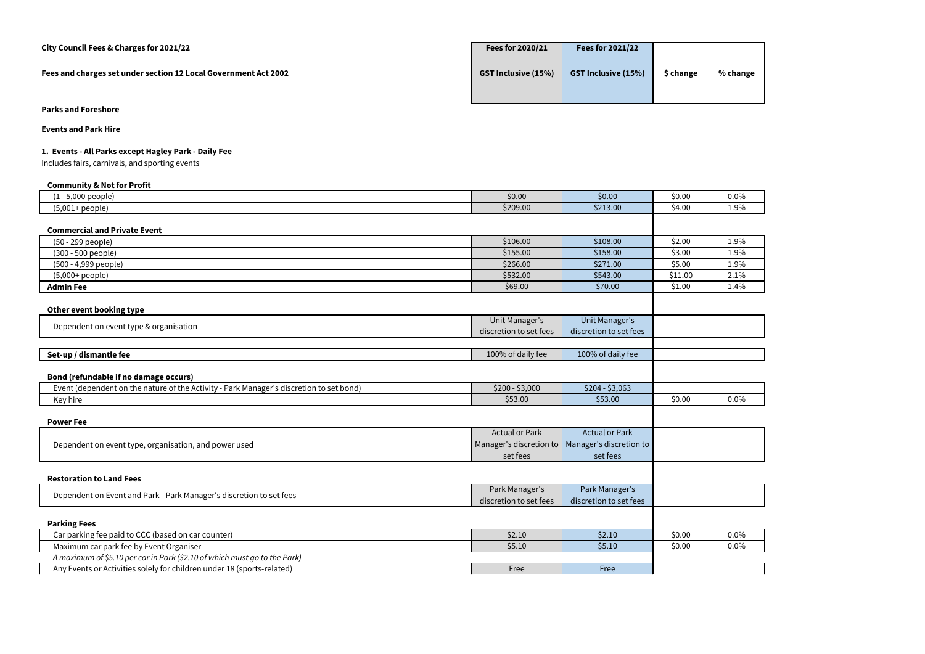| City Council Fees & Charges for 2021/22                         | Fees for 2020/21           | Fees for 2021/22           |           |          |
|-----------------------------------------------------------------|----------------------------|----------------------------|-----------|----------|
| Fees and charges set under section 12 Local Government Act 2002 | <b>GST Inclusive (15%)</b> | <b>GST Inclusive (15%)</b> | \$ change | % change |
|                                                                 |                            |                            |           |          |

**Events and Park Hire**

# **1. Events - All Parks except Hagley Park - Daily Fee**

Includes fairs, carnivals, and sporting events

| <b>Community &amp; Not for Profit</b>                                                   |                        |                                                   |         |         |
|-----------------------------------------------------------------------------------------|------------------------|---------------------------------------------------|---------|---------|
| $(1 - 5,000$ people)                                                                    | \$0.00                 | \$0.00                                            | \$0.00  | $0.0\%$ |
| $(5,001+people)$                                                                        | \$209.00               | \$213.00                                          | \$4.00  | 1.9%    |
|                                                                                         |                        |                                                   |         |         |
| <b>Commercial and Private Event</b>                                                     |                        |                                                   |         |         |
| (50 - 299 people)                                                                       | \$106.00               | \$108.00                                          | \$2.00  | 1.9%    |
| (300 - 500 people)                                                                      | \$155.00               | \$158.00                                          | \$3.00  | 1.9%    |
| (500 - 4,999 people)                                                                    | \$266.00               | \$271.00                                          | \$5.00  | 1.9%    |
| $(5,000+people)$                                                                        | \$532.00               | \$543.00                                          | \$11.00 | 2.1%    |
| <b>Admin Fee</b>                                                                        | \$69.00                | \$70.00                                           | \$1.00  | 1.4%    |
|                                                                                         |                        |                                                   |         |         |
| Other event booking type                                                                |                        |                                                   |         |         |
| Dependent on event type & organisation                                                  | <b>Unit Manager's</b>  | Unit Manager's                                    |         |         |
|                                                                                         | discretion to set fees | discretion to set fees                            |         |         |
|                                                                                         |                        |                                                   |         |         |
| Set-up / dismantle fee                                                                  | 100% of daily fee      | 100% of daily fee                                 |         |         |
|                                                                                         |                        |                                                   |         |         |
| Bond (refundable if no damage occurs)                                                   |                        |                                                   |         |         |
| Event (dependent on the nature of the Activity - Park Manager's discretion to set bond) | $$200 - $3,000$        | $$204 - $3,063$                                   |         |         |
| Key hire                                                                                | \$53.00                | \$53.00                                           | \$0.00  | $0.0\%$ |
|                                                                                         |                        |                                                   |         |         |
| <b>Power Fee</b>                                                                        |                        |                                                   |         |         |
|                                                                                         | <b>Actual or Park</b>  | <b>Actual or Park</b>                             |         |         |
| Dependent on event type, organisation, and power used                                   |                        | Manager's discretion to   Manager's discretion to |         |         |
|                                                                                         | set fees               | set fees                                          |         |         |
|                                                                                         |                        |                                                   |         |         |
| <b>Restoration to Land Fees</b>                                                         |                        |                                                   |         |         |
|                                                                                         | Park Manager's         | Park Manager's                                    |         |         |
| Dependent on Event and Park - Park Manager's discretion to set fees                     | discretion to set fees | discretion to set fees                            |         |         |
|                                                                                         |                        |                                                   |         |         |
| <b>Parking Fees</b>                                                                     |                        |                                                   |         |         |
| Car parking fee paid to CCC (based on car counter)                                      | \$2.10                 | \$2.10                                            | \$0.00  | $0.0\%$ |
| Maximum car park fee by Event Organiser                                                 | \$5.10                 | \$5.10                                            | \$0.00  | 0.0%    |
| A maximum of \$5.10 per car in Park (\$2.10 of which must go to the Park)               |                        |                                                   |         |         |
| Any Events or Activities solely for children under 18 (sports-related)                  | Free                   | Free                                              |         |         |
|                                                                                         |                        |                                                   |         |         |

| $0.0\%$ |
|---------|
| L.9%    |

| 1.9%    |
|---------|
| 1.9%    |
| 1.9%    |
| 2.1%    |
| $1.4\%$ |
|         |



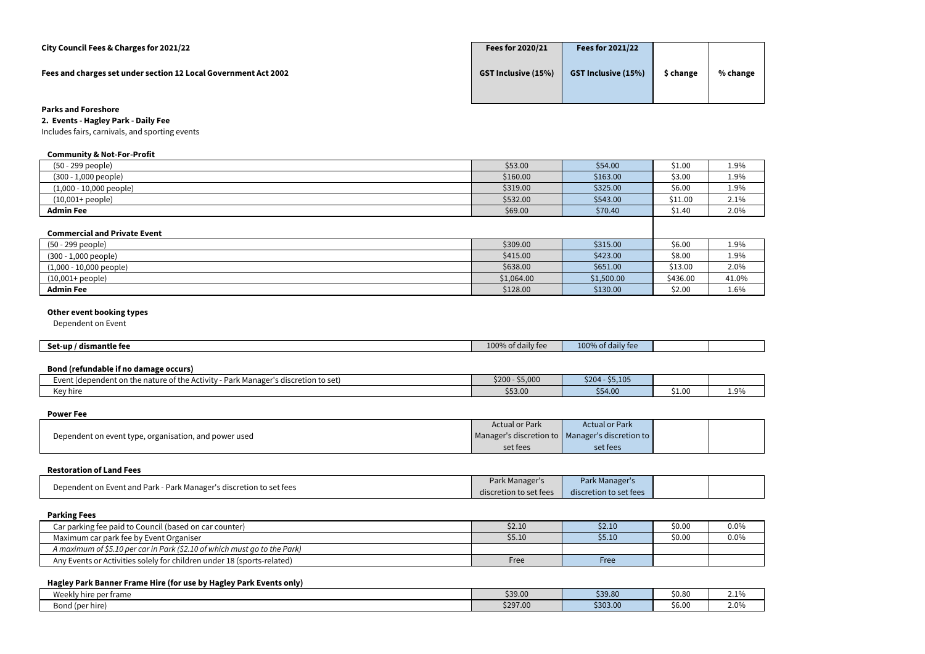| City Council Fees & Charges for 2021/22                         | Fees for 2020/21           | Fees for 2021/22           |           |          |
|-----------------------------------------------------------------|----------------------------|----------------------------|-----------|----------|
| Fees and charges set under section 12 Local Government Act 2002 | <b>GST Inclusive (15%)</b> | <b>GST Inclusive (15%)</b> | \$ change | % change |
| <b>Parks and Foreshore</b>                                      |                            |                            |           |          |

**2. Events - Hagley Park - Daily Fee**

Includes fairs, carnivals, and sporting events

#### **Community & Not-For-Profit**

| (50 - 299 people)         | \$53.00  | \$54.00  | \$1.00  | 1.9% |
|---------------------------|----------|----------|---------|------|
| $(300 - 1,000$ people)    | \$160.00 | \$163.00 | \$3.00  | 1.9% |
| $(1,000 - 10,000$ people) | \$319.00 | \$325.00 | \$6.00  | 1.9% |
| $(10,001 + people)$       | \$532.00 | \$543.00 | \$11.00 | 2.1% |
| <b>Admin Fee</b>          | \$69.00  | \$70.40  | \$1.40  | 2.0% |
|                           |          |          |         |      |

#### **Commercial and Private Event**

| COMMUNICATOR GIRL I HVALC EVENT |            |            |          |       |
|---------------------------------|------------|------------|----------|-------|
| (50 - 299 people)               | \$309.00   | \$315.00   | \$6.00   | 1.9%  |
| $(300 - 1,000$ people)          | \$415.00   | \$423.00   | \$8.00   | 1.9%  |
| $(1,000 - 10,000$ people)       | \$638.00   | \$651.00   | \$13.00  | 2.0%  |
| $(10,001 + people)$             | \$1,064.00 | \$1,500.00 | \$436.00 | 41.0% |
| <b>Admin Fee</b>                | \$128.00   | \$130.00   | \$2.00   | 1.6%  |

# **Other event booking types**

Dependent on Event

| Set-up<br>/ dismantle fee | $\cdot$ .<br>$100^{\circ}$<br>f daily fee | 10001<br>w<br>Tally |  |
|---------------------------|-------------------------------------------|---------------------|--|
|                           |                                           |                     |  |

# **Bond (refundable if no damage occurs)**

| <u> Polis (Folklingwys II IIV amiliago oscalio)</u>                                                                                   |                 |                    |        |      |
|---------------------------------------------------------------------------------------------------------------------------------------|-----------------|--------------------|--------|------|
| - Park Manager'<br>e of the l<br>'s discretion to set)<br>− went<br>Activity<br>: (dependent on <sup>.</sup><br>، the nature<br>- - - | \$200<br>55,000 | \$204<br>$-55,105$ |        |      |
| Key hire                                                                                                                              | \$53.00         | \$54.00            | \$1.00 | 1.9% |
|                                                                                                                                       |                 |                    |        |      |

#### **Power Fee**

| .                                                     |                                                   |                       |  |
|-------------------------------------------------------|---------------------------------------------------|-----------------------|--|
|                                                       | <b>Actual or Park</b>                             | <b>Actual or Park</b> |  |
| Dependent on event type, organisation, and power used | Manager's discretion to   Manager's discretion to |                       |  |
|                                                       | set fees                                          | set fees              |  |
|                                                       |                                                   |                       |  |

#### **Restoration of Land Fees**

| Dependent on Event and Park - Park Manager's discretion to set fees | Park Manager'          | Park Manager's         |  |
|---------------------------------------------------------------------|------------------------|------------------------|--|
|                                                                     | discretion to set fees | discretion to set fees |  |
|                                                                     |                        |                        |  |

# **Parking Fees**

| . <b>.</b>                                                                |        |         |        |      |
|---------------------------------------------------------------------------|--------|---------|--------|------|
| Car parking fee paid to Council (based on car counter)                    | \$2.10 | \$2.10  | \$0.00 | 0.0% |
| Maximum car park fee by Event Organiser                                   | \$5.10 | \$5.10' | \$0.00 | 0.0% |
| A maximum of \$5.10 per car in Park (\$2.10 of which must go to the Park) |        |         |        |      |
| Any Events or Activities solely for children under 18 (sports-related)    | Free   | Free    |        |      |

## **Hagley Park Banner Frame Hire (for use by Hagley Park Events only)**

| Weekly hire per frame  | \$39.00  | \$39.80  | \$0.8 <sub>C</sub> | $\sim$<br>2.17 |
|------------------------|----------|----------|--------------------|----------------|
| . .<br>Bond (per hire) | \$297.00 | \$303.00 | \$6.00             | 2.0%           |

| 1.9% |
|------|
| 1.9% |
| 1.9% |
| 2.1% |
| 2.0% |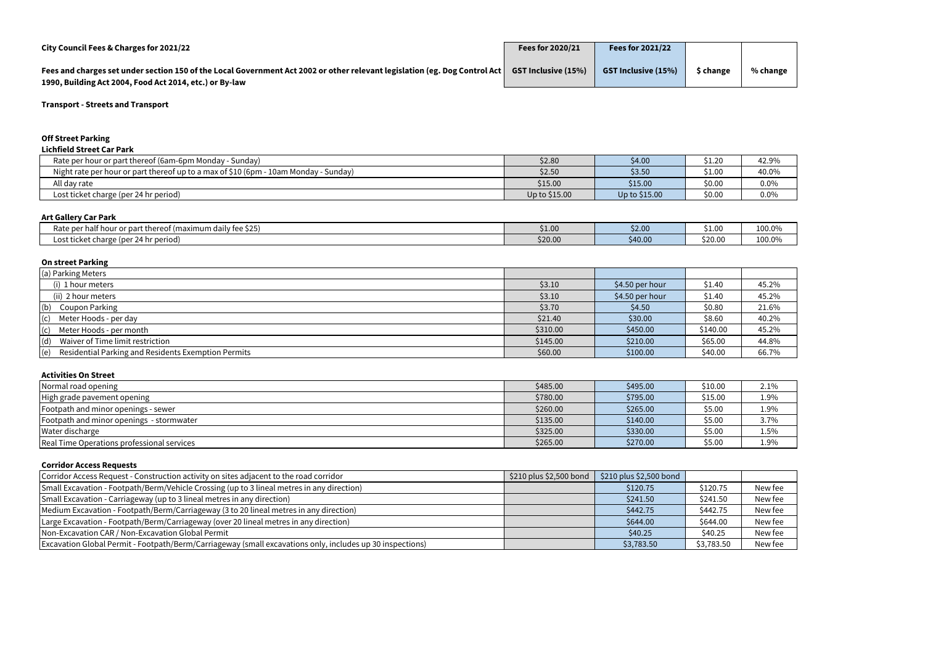| City Council Fees & Charges for 2021/22                                                                                    | <b>Fees for 2020/21</b>    | <b>Fees for 2021/22</b>    |           |          |
|----------------------------------------------------------------------------------------------------------------------------|----------------------------|----------------------------|-----------|----------|
| Fees and charges set under section 150 of the Local Government Act 2002 or other relevant legislation (eg. Dog Control Act | <b>GST Inclusive (15%)</b> | <b>GST Inclusive (15%)</b> | \$ change | % change |
| 1990, Building Act 2004, Food Act 2014, etc.) or By-law                                                                    |                            |                            |           |          |

#### **Off Street Parking**

| <b>Lichfield Street Car Park</b>                                                     |               |               |        |       |
|--------------------------------------------------------------------------------------|---------------|---------------|--------|-------|
| Rate per hour or part thereof (6am-6pm Monday - Sunday)                              | \$2.80        | \$4.00        | \$1.20 | 42.9% |
| Night rate per hour or part thereof up to a max of \$10 (6pm - 10am Monday - Sunday) | \$2.50        | \$3.50        | \$1.00 | 40.0% |
| All day rate                                                                         | \$15.00       | \$15.00       | \$0.00 | 0.0%  |
| Lost ticket charge (per 24 hr period)                                                | Up to \$15.00 | Up to \$15.00 | \$0.00 | 0.0%  |

#### **Art Gallery Car Park**

| ALCOUNCLY CULLUIN                                                                                                          |         |         |                    |        |
|----------------------------------------------------------------------------------------------------------------------------|---------|---------|--------------------|--------|
| . .<br>$\mathbf{A} \mathbf{A} \mathbf{B}$<br>Rate per ha<br>t thereof (maximum daily fee \$25)<br>, or part i<br>nalf hour | \$1.00  | \$2.00  | 0.1.0 <sup>c</sup> | 100.0% |
| . 24 hr period) -<br>c ticket charge (per<br>∟ost t'                                                                       | \$20.00 | \$40.00 | \$20.00            | 100.0% |
|                                                                                                                            |         |         |                    |        |

# **On street Parking**

| <b>PHANGEL</b>                                             |          |                 |          |       |
|------------------------------------------------------------|----------|-----------------|----------|-------|
| (a) Parking Meters                                         |          |                 |          |       |
| (i) 1 hour meters                                          | \$3.10   | \$4.50 per hour | \$1.40   | 45.2% |
| (ii) 2 hour meters                                         | \$3.10   | \$4.50 per hour | \$1.40   | 45.2% |
| (b)<br><b>Coupon Parking</b>                               | \$3.70   | \$4.50          | \$0.80   | 21.6% |
| $\vert$ (c) Meter Hoods - per day                          | \$21.40  | \$30.00         | \$8.60   | 40.2% |
| $\vert$ (c) Meter Hoods - per month                        | \$310.00 | \$450.00        | \$140.00 | 45.2% |
| (d)<br>Waiver of Time limit restriction                    | \$145.00 | \$210.00        | \$65.00  | 44.8% |
| (e)<br>Residential Parking and Residents Exemption Permits | \$60.00  | \$100.00        | \$40.00  | 66.7% |

#### **Activities On Street**

| ACUVILICO VII OLI CCL                      |          |          |         |      |
|--------------------------------------------|----------|----------|---------|------|
| Normal road opening                        | \$485.00 | \$495.00 | \$10.00 | 2.1% |
| High grade pavement opening                | \$780.00 | \$795.00 | \$15.00 | 1.9% |
| Footpath and minor openings - sewer        | \$260.00 | \$265.00 | \$5.00  | 1.9% |
| Footpath and minor openings - stormwater   | \$135.00 | \$140.00 | \$5.00  | 3.7% |
| Water discharge                            | \$325.00 | \$330.00 | \$5.00  | 1.5% |
| Real Time Operations professional services | \$265.00 | \$270.00 | \$5.00  | 1.9% |

## **Corridor Access Requests**

| Corridor Access Request - Construction activity on sites adjacent to the road corridor                    | \$210 plus \$2,500 bond | $$210$ plus $$2,500$ bond |            |         |
|-----------------------------------------------------------------------------------------------------------|-------------------------|---------------------------|------------|---------|
| Small Excavation - Footpath/Berm/Vehicle Crossing (up to 3 lineal metres in any direction)                |                         | \$120.75                  | \$120.75   | New fee |
| Small Excavation - Carriageway (up to 3 lineal metres in any direction)                                   |                         | \$241.50                  | \$241.50   | New fee |
| Medium Excavation - Footpath/Berm/Carriageway (3 to 20 lineal metres in any direction)                    |                         | \$442.75                  | \$442.75   | New fee |
| [Large Excavation - Footpath/Berm/Carriageway (over 20 lineal metres in any direction)                    |                         | \$644.00                  | \$644.00   | New fee |
| Non-Excavation CAR / Non-Excavation Global Permit                                                         |                         | \$40.25                   | \$40.25    | New fee |
| Excavation Global Permit - Footpath/Berm/Carriageway (small excavations only, includes up 30 inspections) |                         | \$3,783.50                | \$3,783.50 | New fee |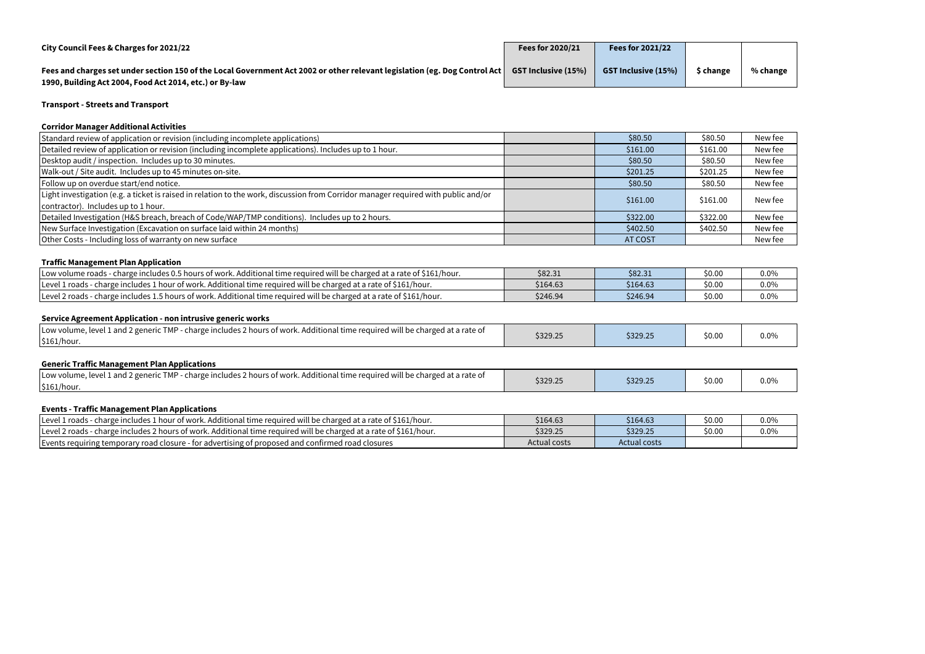| City Council Fees & Charges for 2021/22                                                                                                                                                 | Fees for 2020/21           | <b>Fees for 2021/22</b>    |           |          |
|-----------------------------------------------------------------------------------------------------------------------------------------------------------------------------------------|----------------------------|----------------------------|-----------|----------|
| Fees and charges set under section 150 of the Local Government Act 2002 or other relevant legislation (eg. Dog Control Act  <br>1990, Building Act 2004, Food Act 2014, etc.) or By-law | <b>GST Inclusive (15%)</b> | <b>GST Inclusive (15%)</b> | \$ change | % change |

# **Corridor Manager Additional Activities**

| COLLIGOL MANAGEL AQUILIONAL ACLIVILICS                                                                                                                                    |                |          |         |
|---------------------------------------------------------------------------------------------------------------------------------------------------------------------------|----------------|----------|---------|
| Standard review of application or revision (including incomplete applications)                                                                                            | \$80.50        | \$80.50  | New fee |
| Detailed review of application or revision (including incomplete applications). Includes up to 1 hour.                                                                    | \$161.00       | \$161.00 | New fee |
| Desktop audit / inspection. Includes up to 30 minutes.                                                                                                                    | \$80.50        | \$80.50  | New fee |
| Walk-out / Site audit. Includes up to 45 minutes on-site.                                                                                                                 | \$201.25       | \$201.25 | New fee |
| Follow up on overdue start/end notice.                                                                                                                                    | \$80.50        | \$80.50  | New fee |
| Light investigation (e.g. a ticket is raised in relation to the work, discussion from Corridor manager required with public and/or<br>contractor). Includes up to 1 hour. | \$161.00       | \$161.00 | New fee |
|                                                                                                                                                                           |                |          |         |
| Detailed Investigation (H&S breach, breach of Code/WAP/TMP conditions). Includes up to 2 hours.                                                                           | \$322.00       | \$322.00 | New fee |
| New Surface Investigation (Excavation on surface laid within 24 months)                                                                                                   | \$402.50       | \$402.50 | New fee |
| Other Costs - Including loss of warranty on new surface                                                                                                                   | <b>AT COST</b> |          | New fee |

## **Traffic Management Plan Application**

| <u>HAMIN MANAGEMENT I IAN APPIRATION</u>                                                                                         |          |          |        |         |
|----------------------------------------------------------------------------------------------------------------------------------|----------|----------|--------|---------|
| charge includes 0.5 hours of work. Additional time required will be charged at a rate of \$161/hour.<br><b>ILow volume roads</b> | \$82.31  | \$82.31  | \$0.0C | $0.0\%$ |
| - charge includes 1 hour of work. Additional time required will be charged at a rate of \$161/hour.<br>Level 1 roads -           | \$164.63 | \$164.63 | \$0.00 | 0.0%    |
| Level 2 roads - charge includes 1.5 hours of work. Additional time required will be charged at a rate of \$161/hour.             | \$246.94 | \$246.94 | \$0.00 | 0.0%    |

#### **Service Agreement Application - non intrusive generic works**

| <u>. And they had a supplied the matter of the first and the second the second the second the second the second the second the second the second the second the second the second the second the second the second the second th</u> |          |          |        |         |
|--------------------------------------------------------------------------------------------------------------------------------------------------------------------------------------------------------------------------------------|----------|----------|--------|---------|
| - charge includes 2 hours of work. Additional time required will be charged at a rate of<br>Low volume, level 1 and 2 generic TMP -<br>$\frac{1}{2}$ 161/hour.                                                                       | \$329.25 | \$329.25 | \$0.00 | $0.0\%$ |

### **Generic Traffic Management Plan Applications**

| s 2 hours of work. Additional time required will be charged at a rate of<br>TMP-<br>charge includes<br>\$329.25<br>\$329.25<br>$0.0\%$<br>\$0.U |                                                 |  |  |
|-------------------------------------------------------------------------------------------------------------------------------------------------|-------------------------------------------------|--|--|
|                                                                                                                                                 | Low volume, level 1 and 2 generic<br>\$161/hour |  |  |

# **Events - Traffic Management Plan Applications**

| 1 hour of work. Additional time required will be charged at a rate of \$161/hour.<br>ILevel 1 roads<br>charge includes 1 | \$164.63     | \$164.63     | \$0.00 | 0.0% |
|--------------------------------------------------------------------------------------------------------------------------|--------------|--------------|--------|------|
| charge includes 2 hours of work. Additional time required will be charged at a rate of \$161/hour.<br>Level 2 roads      | \$329.25     | \$329.25     | \$0.00 | 0.0% |
| Events requiring temporary road closure - for<br>- for advertising of proposed and confirmed road closures               | Actual costs | Actual costs |        |      |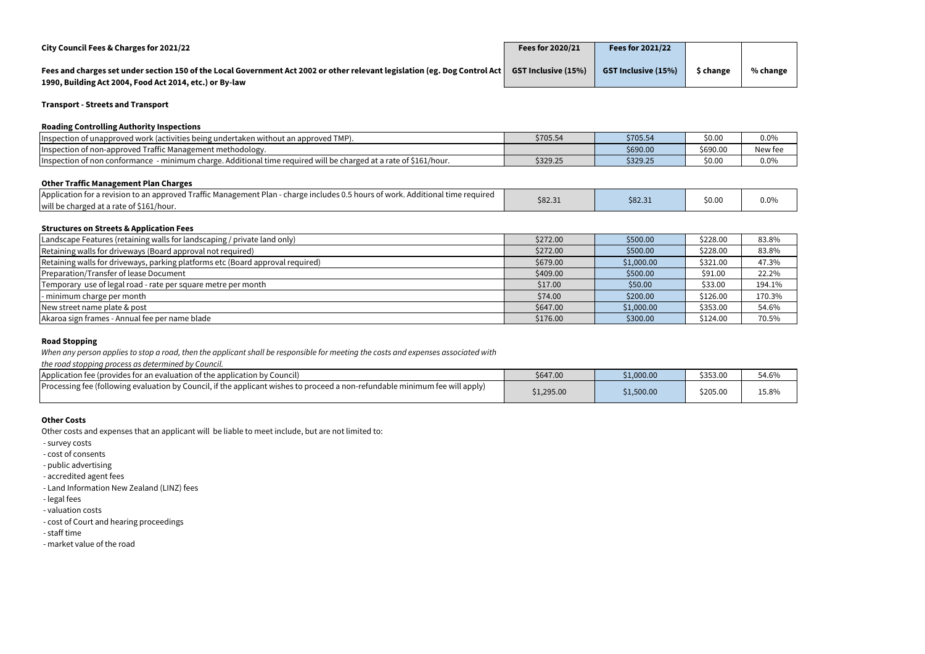| City Council Fees & Charges for 2021/22                                                                                                                                                                   | Fees for 2020/21 | <b>Fees for 2021/22</b>    |           |          |
|-----------------------------------------------------------------------------------------------------------------------------------------------------------------------------------------------------------|------------------|----------------------------|-----------|----------|
| Fees and charges set under section 150 of the Local Government Act 2002 or other relevant legislation (eg. Dog Control Act GST Inclusive (15%)<br>1990, Building Act 2004, Food Act 2014, etc.) or By-law |                  | <b>GST Inclusive (15%)</b> | \$ change | % change |

#### **Roading Controlling Authority Inspections**

| of unapproved work (activities being undertaken without an approved TMP).<br>Hinspection<br>. U I                                     | \$705.54 | \$705.54 | \$0.00   | 0.0%    |
|---------------------------------------------------------------------------------------------------------------------------------------|----------|----------|----------|---------|
| Inspection of non-approved Traffic Management methodology.                                                                            |          | \$690.00 | \$690.00 | New fer |
| . Additional time required will be charged at a rate of \$161/hour.<br>. - minimum<br>charoe<br>i of non conformance i<br>Hinspection | \$329.25 | \$329.25 | \$0.00   | 0.0%    |

## **Other Traffic Management Plan Charges**

| Application for a revision to an approved Traffic Management Plan - charge includes 0.5 hours of work. Additional time required<br>\$82.31<br>will be charged at a rate of \$161/hour. | \$82.31 | \$0.00 | 0.0% |
|----------------------------------------------------------------------------------------------------------------------------------------------------------------------------------------|---------|--------|------|

#### **Structures on Streets & Application Fees**

| Landscape Features (retaining walls for landscaping / private land only)       | \$272.00 | \$500.00   | \$228.00 | 83.8%  |
|--------------------------------------------------------------------------------|----------|------------|----------|--------|
| Retaining walls for driveways (Board approval not required)                    | \$272.00 | \$500.00   | \$228.00 | 83.8%  |
| Retaining walls for driveways, parking platforms etc (Board approval required) | \$679.00 | \$1,000.00 | \$321.00 | 47.3%  |
| Preparation/Transfer of lease Document                                         | \$409.00 | \$500.00   | \$91.00  | 22.2%  |
| Temporary use of legal road - rate per square metre per month                  | \$17.00  | \$50.00    | \$33.00  | 194.1% |
| - minimum charge per month                                                     | \$74.00  | \$200.00   | \$126.00 | 170.3% |
| New street name plate & post                                                   | \$647.00 | \$1,000.00 | \$353.00 | 54.6%  |
| Akaroa sign frames - Annual fee per name blade                                 | \$176.00 | \$300.00   | \$124.00 | 70.5%  |

#### **Road Stopping**

*When any person applies to stop a road, then the applicant shall be responsible for meeting the costs and expenses associated with* 

*the road stopping process as determined by Council.*

| are road stopping process as actermined by council.                                                                           |            |            |          |       |
|-------------------------------------------------------------------------------------------------------------------------------|------------|------------|----------|-------|
| Application fee (provides for an evaluation of the application by Council)                                                    | \$647.00   | \$1,000.00 | \$353.00 | 54.6% |
| [Processing fee (following evaluation by Council, if the applicant wishes to proceed a non-refundable minimum fee will apply) | \$1,295.00 | \$1,500.00 | \$205.00 | 15.8% |

#### **Other Costs**

Other costs and expenses that an applicant will be liable to meet include, but are not limited to:

- survey costs
- cost of consents
- public advertising
- accredited agent fees
- Land Information New Zealand (LINZ) fees
- legal fees
- valuation costs
- cost of Court and hearing proceedings
- staff time
- market value of the road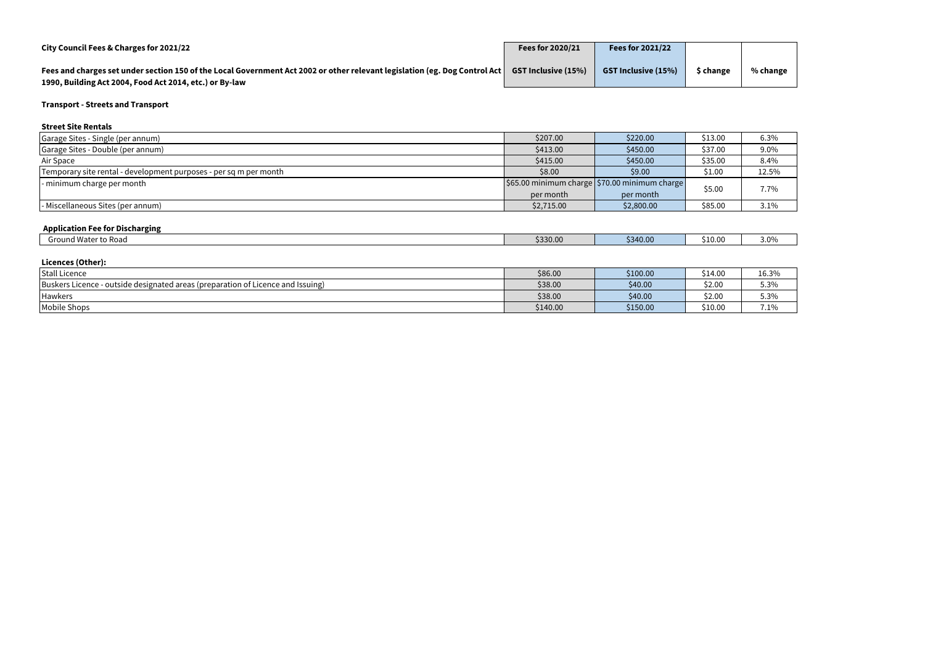| City Council Fees & Charges for 2021/22                                                                                                                                                 | Fees for 2020/21           | <b>Fees for 2021/22</b>    |           |          |
|-----------------------------------------------------------------------------------------------------------------------------------------------------------------------------------------|----------------------------|----------------------------|-----------|----------|
| Fees and charges set under section 150 of the Local Government Act 2002 or other relevant legislation (eg. Dog Control Act  <br>1990, Building Act 2004, Food Act 2014, etc.) or By-law | <b>GST Inclusive (15%)</b> | <b>GST Inclusive (15%)</b> | \$ change | % change |

# **Street Site Rentals**

| \$207.00   | \$220.00   | \$13.00 | 6.3%                                                                                |
|------------|------------|---------|-------------------------------------------------------------------------------------|
| \$413.00   | \$450.00   | \$37.00 | 9.0%                                                                                |
| \$415.00   | \$450.00   | \$35.00 | 8.4%                                                                                |
| \$8.00     | \$9.00     | \$1.00  | 12.5%                                                                               |
|            |            |         | 7.7%                                                                                |
| per month  | per month  |         |                                                                                     |
| \$2,715.00 | \$2,800.00 | \$85.00 | 3.1%                                                                                |
|            |            |         | $\frac{1}{2}$ \$65.00 minimum charge $\frac{1}{2}$ \$70.00 minimum charge<br>\$5.00 |

# **Application Fee for Discharging**

| d Water to Road<br>ound <sup>v</sup><br>٦r٢ | \$330.00 | 40.00<br>9240 S<br>JJ 1 | $\sim$<br>\$10.00 | ∠ ∩r<br>J.V. |
|---------------------------------------------|----------|-------------------------|-------------------|--------------|
|                                             |          |                         |                   |              |

# **Licences (Other):**

| --------------                                                                            |          |          |         |                              |
|-------------------------------------------------------------------------------------------|----------|----------|---------|------------------------------|
| <b>Stall Licence</b>                                                                      | \$86.00  | \$100.00 | \$14.00 | 16.3%                        |
| Buskers L<br>- outside designated areas (preparation of Licence and Issuing)<br>Licence - | \$38.00  | \$40.00  | \$2.00  | . 201<br>5.3%                |
| Hawkers                                                                                   | \$38.00  | \$40.00  | \$2.00  | $\sim$ $\sim$ $\sim$<br>5.3% |
| Mobile Shops                                                                              | \$140.00 | \$150.00 | \$10.00 | 7.1%                         |

| 10<br>. . |  |
|-----------|--|
|           |  |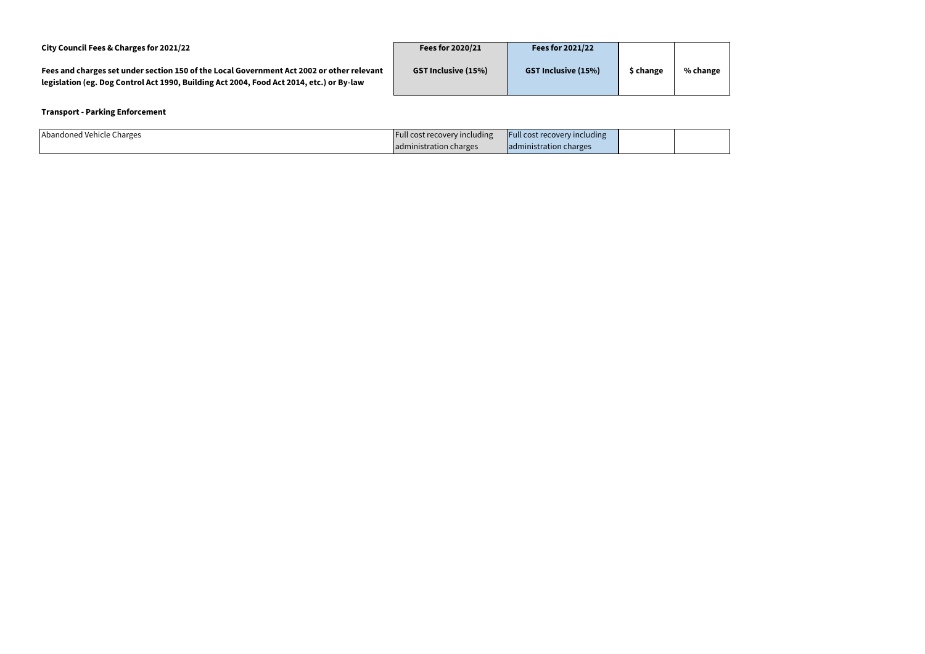| City Council Fees & Charges for 2021/22                                                                                                                                               | Fees for 2020/21           | <b>Fees for 2021/22</b>    |           |          |
|---------------------------------------------------------------------------------------------------------------------------------------------------------------------------------------|----------------------------|----------------------------|-----------|----------|
| Fees and charges set under section 150 of the Local Government Act 2002 or other relevant<br>legislation (eg. Dog Control Act 1990, Building Act 2004, Food Act 2014, etc.) or By-law | <b>GST Inclusive (15%)</b> | <b>GST Inclusive (15%)</b> | \$ change | % change |

# **Transport - Parking Enforcement**

| Abandoned Vehicle<br>Charges | Hull cost recovery including | <b>Full cost recovery including</b> |  |
|------------------------------|------------------------------|-------------------------------------|--|
|                              | dministration charges        | Jadministration charges             |  |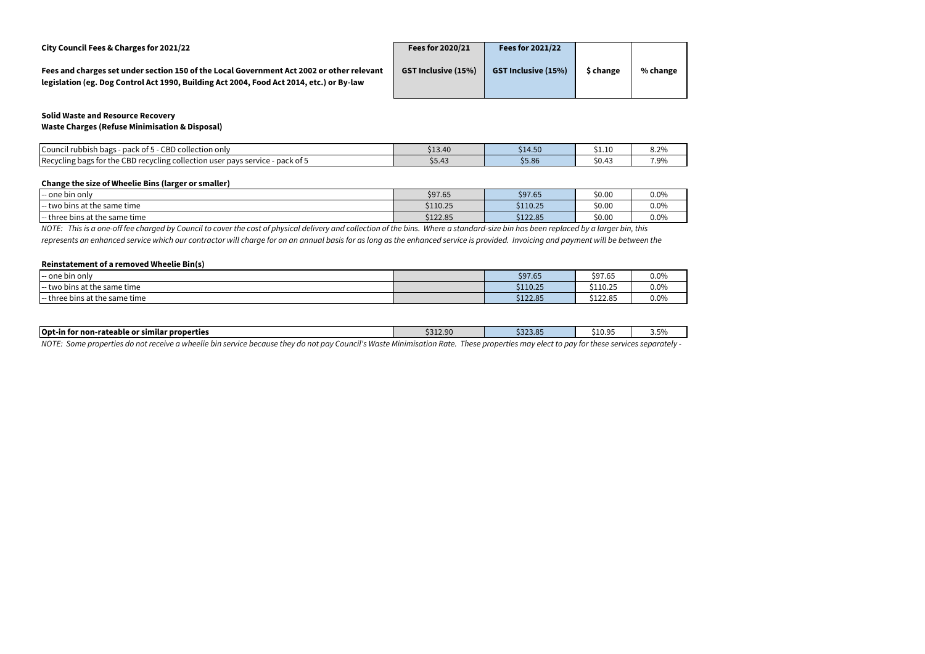| City Council Fees & Charges for 2021/22                                                   |  |
|-------------------------------------------------------------------------------------------|--|
| Fees and charges set under section 150 of the Local Government Act 2002 or other relevant |  |
| legislation (eg. Dog Control Act 1990, Building Act 2004, Food Act 2014, etc.) or By-law  |  |

| Fees for 2020/21           | <b>Fees for 2021/22</b>    |           |          |
|----------------------------|----------------------------|-----------|----------|
| <b>GST Inclusive (15%)</b> | <b>GST Inclusive (15%)</b> | \$ change | % change |
|                            |                            |           |          |

#### **Solid Waste and Resource Recovery Waste Charges (Refuse Minimisation & Disposal)**

| con<br><b>Council</b><br>collection only (<br>n n n l <i>i</i><br>. rubbish bags<br>-pack of<br>cdu                                     | .<br>$\sim$<br>こエフ・マレ          | ⊢ г∩<br>∼ -<br><b>214.50</b> | 51.IC                 | $\sim$ $\sim$<br>0.Z <sub>70</sub> |
|-----------------------------------------------------------------------------------------------------------------------------------------|--------------------------------|------------------------------|-----------------------|------------------------------------|
| Recycling bags for the<br>CBD<br>pack of 5<br>cycling collection user <b>r</b> .<br>service<br>$\cdot$ ror<br><b>pavs</b><br>1 <b>.</b> | $\overline{ }$<br><b>29.49</b> | CE OC<br>22.80               | $\sim$ $\sim$<br>טד.∪ | 7.9%                               |

#### **Change the size of Wheelie Bins (larger or smaller)**

| .<br>I-- one bin only                     | \$97.65  | \$97.65  | \$0.00 | 0.0%    |
|-------------------------------------------|----------|----------|--------|---------|
| o bins at the same time (<br>two<br>$- -$ | \$110.25 | \$110.25 | \$0.00 | $0.0\%$ |
| - three bins at the same time .           | \$122.85 | \$122.85 | \$0.00 | $0.0\%$ |

#### **Reinstatement of a removed Wheelie Bin(s)**

| I-- one bin only                       | \$97.65  | \$97.65  | $0.0\%$ |
|----------------------------------------|----------|----------|---------|
| I-- two bins at the same time          | \$110.25 | \$110.25 | 0.0%    |
| - three bins at the same time<br>$- -$ | \$122.85 | \$122.85 | 0.0%    |

| Opt-in for |  |  | tor non-rateable or similar properties |  |  |        | \$312.90 |  | \$323.85 | S10.9<br>. | $ \sim$<br>50<br><b>J.J</b> |
|------------|--|--|----------------------------------------|--|--|--------|----------|--|----------|------------|-----------------------------|
|            |  |  |                                        |  |  | .<br>. | - - -    |  |          |            |                             |

*NOTE: This is a one-off fee charged by Council to cover the cost of physical delivery and collection of the bins. Where a standard-size bin has been replaced by a larger bin, this represents an enhanced service which our contractor will charge for on an annual basis for as long as the enhanced service is provided. Invoicing and payment will be between the* 

*NOTE: Some properties do not receive a wheelie bin service because they do not pay Council's Waste Minimisation Rate. These properties may elect to pay for these services separately -*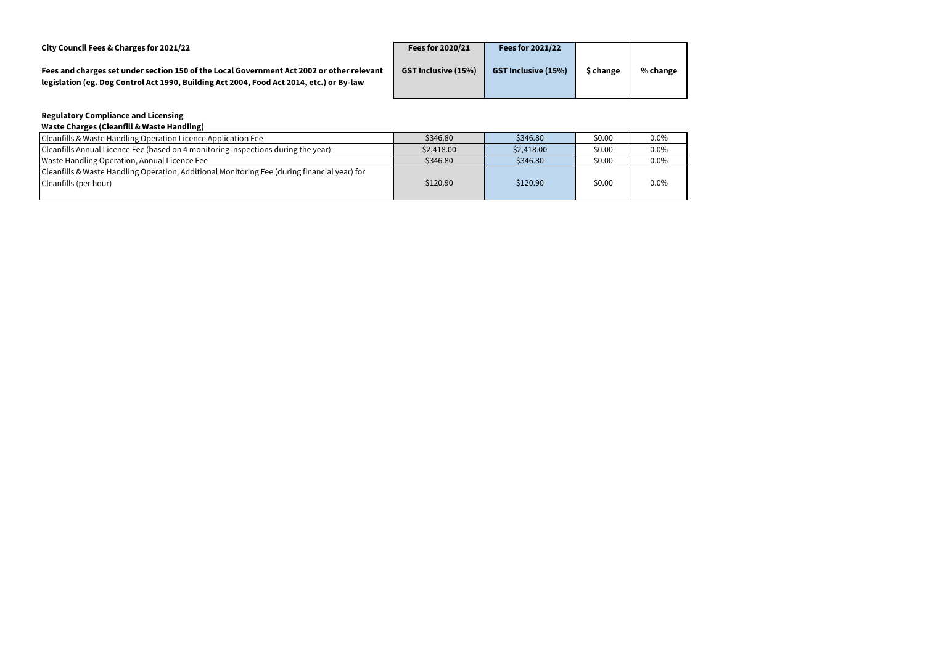| City Council Fees & Charges for 2021/22                                                                                                                                               | Fees for 2020/21           | <b>Fees for 2021/22</b>    |           |          |
|---------------------------------------------------------------------------------------------------------------------------------------------------------------------------------------|----------------------------|----------------------------|-----------|----------|
| Fees and charges set under section 150 of the Local Government Act 2002 or other relevant<br>legislation (eg. Dog Control Act 1990, Building Act 2004, Food Act 2014, etc.) or By-law | <b>GST Inclusive (15%)</b> | <b>GST Inclusive (15%)</b> | \$ change | % change |

# **Regulatory Compliance and Licensing**

| <b>Waste Charges (Cleanfill &amp; Waste Handling)</b>                                        |            |            |        |         |
|----------------------------------------------------------------------------------------------|------------|------------|--------|---------|
| Cleanfills & Waste Handling Operation Licence Application Fee                                | \$346.80   | \$346.80   | \$0.00 | $0.0\%$ |
| Cleanfills Annual Licence Fee (based on 4 monitoring inspections during the year).           | \$2,418.00 | \$2,418.00 | \$0.00 | $0.0\%$ |
| Waste Handling Operation, Annual Licence Fee                                                 | \$346.80   | \$346.80   | \$0.00 | $0.0\%$ |
| Cleanfills & Waste Handling Operation, Additional Monitoring Fee (during financial year) for |            |            |        |         |
| Cleanfills (per hour)                                                                        | \$120.90   | \$120.90   | \$0.00 | 0.0%    |
|                                                                                              |            |            |        |         |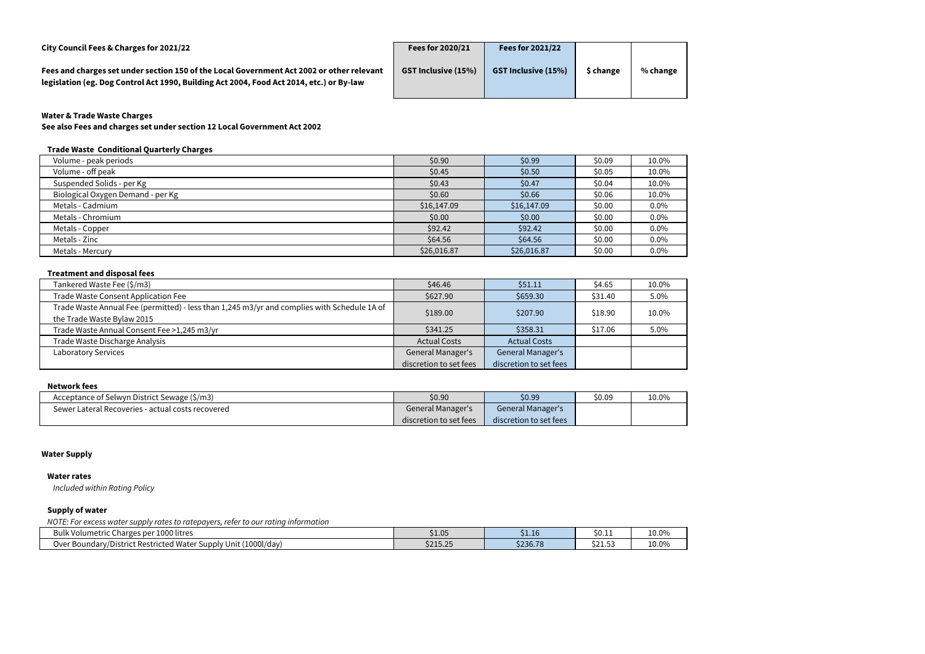**City Council Fees & Charges for 2021/22 Fees for 2020/21 Fees for 2021/22**

**Fees and charges set under section 150 of the Local Government Act 2002 or other relevant legislation (eg. Dog Control Act 1990, Building Act 2004, Food Act 2014, etc.) or By-law**

| Fees for 2020/21           | <b>Fees for 2021/22</b>    |           |          |
|----------------------------|----------------------------|-----------|----------|
| <b>GST Inclusive (15%)</b> | <b>GST Inclusive (15%)</b> | \$ change | % change |
|                            |                            |           |          |

# **Water & Trade Waste Charges**

**See also Fees and charges set under section 12 Local Government Act 2002**

# **Trade Waste Conditional Quarterly Charges**

| Volume - peak periods             | \$0.90      | \$0.99      | \$0.09 | 10.0%   |
|-----------------------------------|-------------|-------------|--------|---------|
| Volume - off peak                 | \$0.45      | \$0.50      | \$0.05 | 10.0%   |
| Suspended Solids - per Kg         | \$0.43      | \$0.47      | \$0.04 | 10.0%   |
| Biological Oxygen Demand - per Kg | \$0.60      | \$0.66      | \$0.06 | 10.0%   |
| Metals - Cadmium                  | \$16,147.09 | \$16,147.09 | \$0.00 | $0.0\%$ |
| Metals - Chromium                 | \$0.00      | \$0.00      | \$0.00 | $0.0\%$ |
| Metals - Copper                   | \$92.42     | \$92.42     | \$0.00 | $0.0\%$ |
| Metals - Zinc                     | \$64.56     | \$64.56     | \$0.00 | $0.0\%$ |
| Metals - Mercury                  | \$26,016.87 | \$26,016.87 | \$0.00 | $0.0\%$ |

#### **Treatment and disposal fees**

| Tankered Waste Fee (\$/m3)                                                                  | \$46.46                  | \$51.11                  | \$4.65  | 10.0% |
|---------------------------------------------------------------------------------------------|--------------------------|--------------------------|---------|-------|
| Trade Waste Consent Application Fee                                                         | \$627.90                 | \$659.30                 | \$31.40 | 5.0%  |
| Trade Waste Annual Fee (permitted) - less than 1,245 m3/yr and complies with Schedule 1A of | \$189.00                 | \$207.90                 | \$18.90 | 10.0% |
| the Trade Waste Bylaw 2015                                                                  |                          |                          |         |       |
| Trade Waste Annual Consent Fee >1,245 m3/yr                                                 | \$341.25                 | \$358.31                 | \$17.06 | 5.0%  |
| Trade Waste Discharge Analysis                                                              | <b>Actual Costs</b>      | <b>Actual Costs</b>      |         |       |
| <b>Laboratory Services</b>                                                                  | <b>General Manager's</b> | <b>General Manager's</b> |         |       |
|                                                                                             | discretion to set fees   | discretion to set fees   |         |       |

#### **Network fees**

| Acceptance of Selwyn District Sewage (\$/m3)      | \$0.90                 | \$0.99                   | \$0.09 | 10.0% |
|---------------------------------------------------|------------------------|--------------------------|--------|-------|
| Sewer Lateral Recoveries - actual costs recovered | General Manager's      | <b>General Manager's</b> |        |       |
|                                                   | discretion to set fees | discretion to set fees   |        |       |

#### **Water Supply**

#### **Water rates**

*Included within Rating Policy*

#### **Supply of water**

*NOTE: For excess water supply rates to ratepayers, refer to our rating information*

| $1000$ litres<br>Bulk<br>. Charges per 1<br>^ Volum ا ۸.<br>netric <i>'</i>                                   | \$1.05               | 51.I6                                 | S0.11      | 10.0% |
|---------------------------------------------------------------------------------------------------------------|----------------------|---------------------------------------|------------|-------|
| (1000l/day)<br>l Water :<br>⊃ver ⊺<br>District Restricted i<br>Unit<br>. Jupply ! '<br>Boundary/I<br>77 DI J. | 621525<br>ب ے بارے ک | $\lambda$ 000 $\lambda$ 0<br>\$236.78 | <br>.C.L.Z | 10.0% |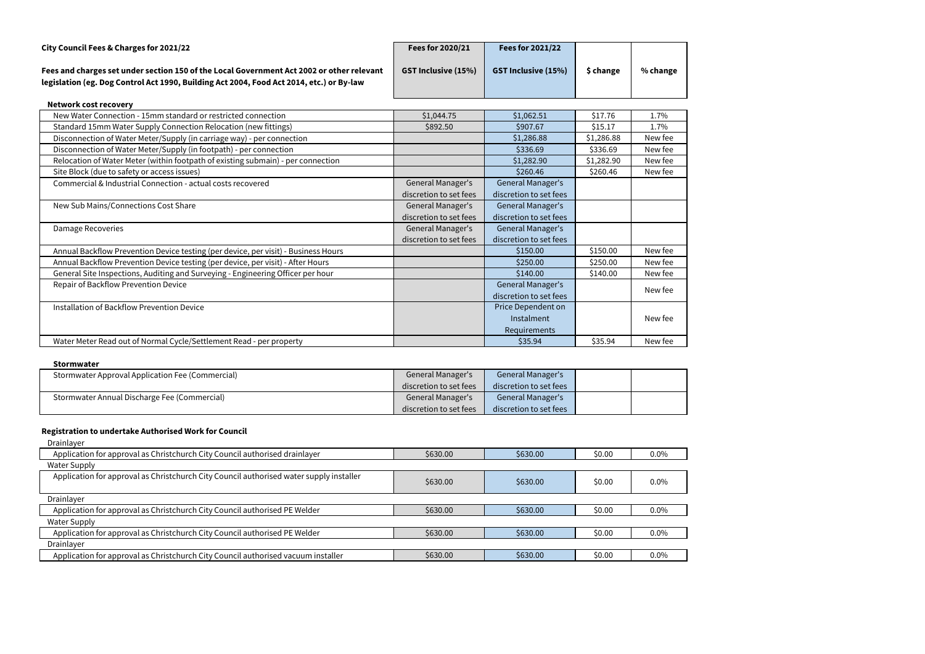| City Council Fees & Charges for 2021/22                                                                                                                                               | Fees for 2020/21           | Fees for 2021/22           |           |          |
|---------------------------------------------------------------------------------------------------------------------------------------------------------------------------------------|----------------------------|----------------------------|-----------|----------|
| Fees and charges set under section 150 of the Local Government Act 2002 or other relevant<br>legislation (eg. Dog Control Act 1990, Building Act 2004, Food Act 2014, etc.) or By-law | <b>GST Inclusive (15%)</b> | <b>GST Inclusive (15%)</b> | \$ change | % change |

| <b>Network cost recovery</b>                                                       |                        |                        |            |         |
|------------------------------------------------------------------------------------|------------------------|------------------------|------------|---------|
| New Water Connection - 15mm standard or restricted connection                      | \$1,044.75             | \$1,062.51             | \$17.76    | 1.7%    |
| Standard 15mm Water Supply Connection Relocation (new fittings)                    | \$892.50               | \$907.67               | \$15.17    | 1.7%    |
| Disconnection of Water Meter/Supply (in carriage way) - per connection             |                        | \$1,286.88             | \$1,286.88 | New fee |
| Disconnection of Water Meter/Supply (in footpath) - per connection                 |                        | \$336.69               | \$336.69   | New fee |
| Relocation of Water Meter (within footpath of existing submain) - per connection   |                        | \$1,282.90             | \$1,282.90 | New fee |
| Site Block (due to safety or access issues)                                        |                        | \$260.46               | \$260.46   | New fee |
| Commercial & Industrial Connection - actual costs recovered                        | General Manager's      | General Manager's      |            |         |
|                                                                                    | discretion to set fees | discretion to set fees |            |         |
| New Sub Mains/Connections Cost Share                                               | General Manager's      | General Manager's      |            |         |
|                                                                                    | discretion to set fees | discretion to set fees |            |         |
| Damage Recoveries                                                                  | General Manager's      | General Manager's      |            |         |
|                                                                                    | discretion to set fees | discretion to set fees |            |         |
| Annual Backflow Prevention Device testing (per device, per visit) - Business Hours |                        | \$150.00               | \$150.00   | New fee |
| Annual Backflow Prevention Device testing (per device, per visit) - After Hours    |                        | \$250.00               | \$250.00   | New fee |
| General Site Inspections, Auditing and Surveying - Engineering Officer per hour    |                        | \$140.00               | \$140.00   | New fee |
| Repair of Backflow Prevention Device                                               |                        | General Manager's      |            | New fee |
|                                                                                    |                        | discretion to set fees |            |         |
| <b>Installation of Backflow Prevention Device</b>                                  |                        | Price Dependent on     |            |         |
|                                                                                    |                        | Instalment             |            | New fee |
|                                                                                    |                        | Requirements           |            |         |
| Water Meter Read out of Normal Cycle/Settlement Read - per property                |                        | \$35.94                | \$35.94    | New fee |

#### **Stormwater**

| Stormwater Approval Application Fee (Commercial) | <b>General Manager's</b> | <b>General Manager's</b> |  |
|--------------------------------------------------|--------------------------|--------------------------|--|
|                                                  | discretion to set fees   | discretion to set fees   |  |
| Stormwater Annual Discharge Fee (Commercial)     | <b>General Manager's</b> | <b>General Manager's</b> |  |
|                                                  | discretion to set fees   | discretion to set fees   |  |

# **Registration to undertake Authorised Work for Council**

| Drainlayer                                                                              |          |          |        |         |
|-----------------------------------------------------------------------------------------|----------|----------|--------|---------|
| Application for approval as Christchurch City Council authorised drainlayer             | \$630.00 | \$630.00 | \$0.00 | $0.0\%$ |
| <b>Water Supply</b>                                                                     |          |          |        |         |
| Application for approval as Christchurch City Council authorised water supply installer | \$630.00 | \$630.00 | \$0.00 | $0.0\%$ |
| Drainlayer                                                                              |          |          |        |         |
| Application for approval as Christchurch City Council authorised PE Welder              | \$630.00 | \$630.00 | \$0.00 | $0.0\%$ |
| <b>Water Supply</b>                                                                     |          |          |        |         |
| Application for approval as Christchurch City Council authorised PE Welder              | \$630.00 | \$630.00 | \$0.00 | 0.0%    |
| Drainlayer                                                                              |          |          |        |         |
| Application for approval as Christchurch City Council authorised vacuum installer       | \$630.00 | \$630.00 | \$0.00 | 0.0%    |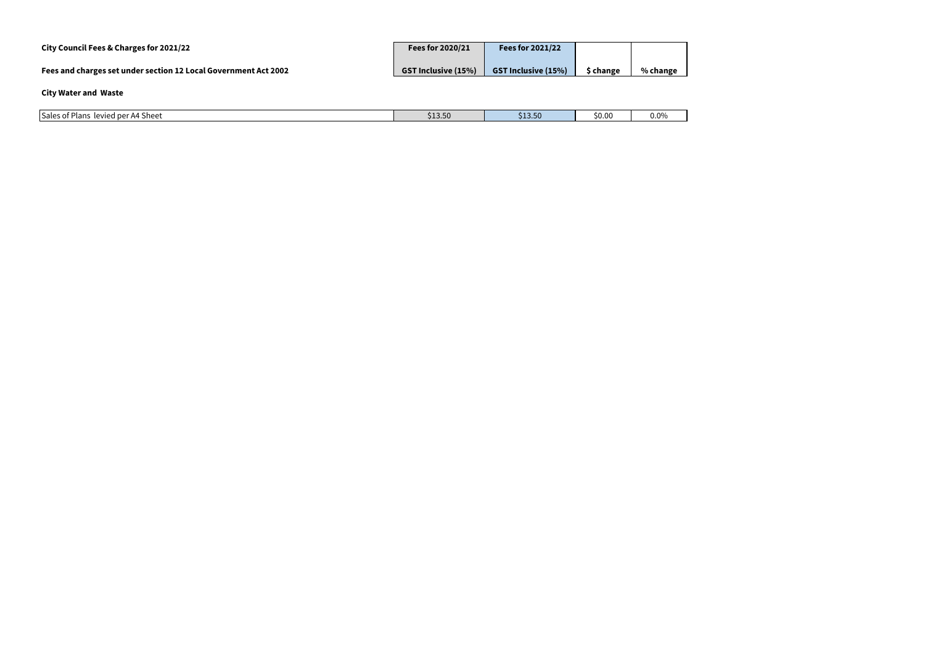| City Council Fees & Charges for 2021/22                         | <b>Fees for 2020/21</b>    | Fees for 2021/22           |           |          |
|-----------------------------------------------------------------|----------------------------|----------------------------|-----------|----------|
| Fees and charges set under section 12 Local Government Act 2002 | <b>GST Inclusive (15%)</b> | <b>GST Inclusive (15%)</b> | \$ change | % change |
| <b>City Water and Waste</b>                                     |                            |                            |           |          |
| Sales of Plans levied per A4 Sheet                              | \$13.50                    | \$13.50                    | \$0.00    | 0.0%     |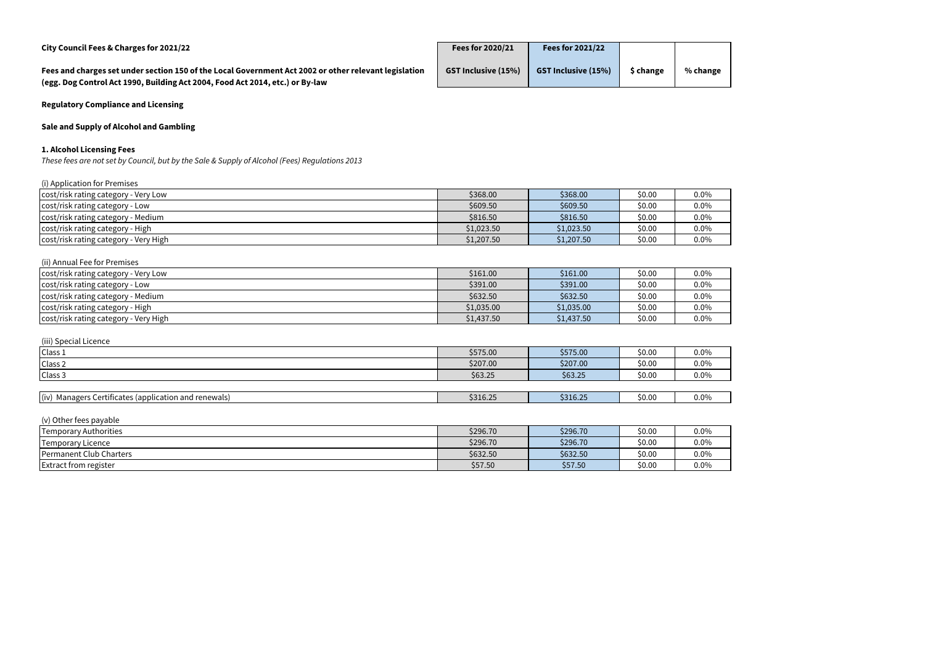| City Council Fees & Charges for 2021/22                                                                                                                                                | Fees for 2020/21           | <b>Fees for 2021/22</b>    |           |          |
|----------------------------------------------------------------------------------------------------------------------------------------------------------------------------------------|----------------------------|----------------------------|-----------|----------|
| Fees and charges set under section 150 of the Local Government Act 2002 or other relevant legislation<br>(egg. Dog Control Act 1990, Building Act 2004, Food Act 2014, etc.) or By-law | <b>GST Inclusive (15%)</b> | <b>GST Inclusive (15%)</b> | \$ change | % change |

**Regulatory Compliance and Licensing**

# **Sale and Supply of Alcohol and Gambling**

# **1. Alcohol Licensing Fees**

*These fees are not set by Council, but by the Sale & Supply of Alcohol (Fees) Regulations 2013*

| (i) Application for Premises          |            |            |        |      |
|---------------------------------------|------------|------------|--------|------|
| cost/risk rating category - Very Low  | \$368.00   | \$368.00   | \$0.00 | 0.0% |
| cost/risk rating category - Low       | \$609.50   | \$609.50   | \$0.00 | 0.0% |
| cost/risk rating category - Medium    | \$816.50   | \$816.50   | \$0.00 | 0.0% |
| cost/risk rating category - High      | \$1,023.50 | \$1,023.50 | \$0.00 | 0.0% |
| cost/risk rating category - Very High | \$1,207.50 | \$1,207.50 | \$0.00 | 0.0% |
|                                       |            |            |        |      |

| (ii) Annual Fee for Premises          |            |            |        |      |
|---------------------------------------|------------|------------|--------|------|
| cost/risk rating category - Very Low  | \$161.00   | \$161.00   | \$0.00 | 0.0% |
| cost/risk rating category - Low       | \$391.00   | \$391.00   | \$0.00 | 0.0% |
| cost/risk rating category - Medium    | \$632.50   | \$632.50   | \$0.00 | 0.0% |
| cost/risk rating category - High      | \$1,035.00 | \$1,035.00 | \$0.00 | 0.0% |
| cost/risk rating category - Very High | \$1,437.50 | \$1,437.50 | \$0.00 | 0.0% |

| (iii) Special Licence                                 |          |          |        |      |
|-------------------------------------------------------|----------|----------|--------|------|
| Class 1                                               | \$575.00 | \$575.00 | \$0.00 | 0.0% |
| Class <sub>2</sub>                                    | \$207.00 | \$207.00 | \$0.00 | 0.0% |
| Class 3                                               | \$63.25  | \$63.25  | \$0.00 | 0.0% |
|                                                       |          |          |        |      |
| (iv) Managers Certificates (application and renewals) | \$316.25 | \$316.25 | \$0.00 | 0.0% |

| (v) Other fees payable          |          |          |        |      |
|---------------------------------|----------|----------|--------|------|
| Temporary Authorities           | \$296.70 | \$296.70 | \$0.00 | 0.0% |
| Temporary Licence               | \$296.70 | \$296.70 | \$0.00 | 0.0% |
| <b>IPermanent Club Charters</b> | \$632.50 | \$632.50 | \$0.00 | 0.0% |
| <b>Extract from register</b>    | \$57.50  | \$57.50  | \$0.00 | 0.0% |

| .0% |  |
|-----|--|
| 0%  |  |
| .0% |  |
|     |  |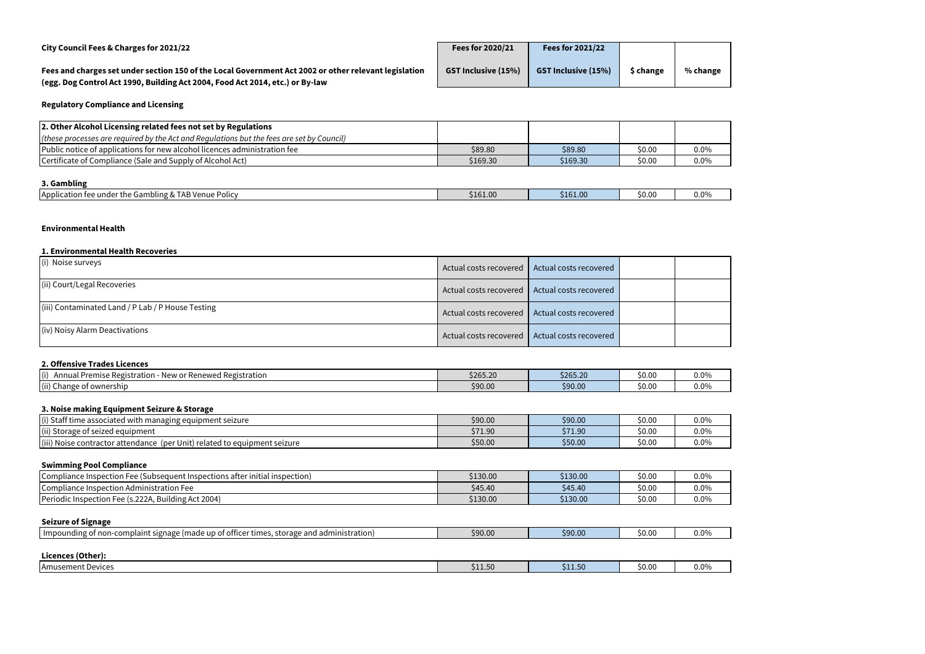| City Council Fees & Charges for 2021/22                                                                                                                                                | Fees for 2020/21           | <b>Fees for 2021/22</b>    |           |          |
|----------------------------------------------------------------------------------------------------------------------------------------------------------------------------------------|----------------------------|----------------------------|-----------|----------|
| Fees and charges set under section 150 of the Local Government Act 2002 or other relevant legislation<br>(egg. Dog Control Act 1990, Building Act 2004, Food Act 2014, etc.) or By-law | <b>GST Inclusive (15%)</b> | <b>GST Inclusive (15%)</b> | \$ change | % change |
| <b>Regulatory Compliance and Licensing</b>                                                                                                                                             |                            |                            |           |          |
| 2. Other Alcohol Licensing related fees not set by Regulations                                                                                                                         |                            |                            |           |          |
| (these processes are required by the Act and Regulations but the fees are set by Council)                                                                                              |                            |                            |           |          |
| Public notice of applications for new alcohol licences administration fee                                                                                                              | \$89.80                    | \$89.80                    | \$0.00    | $0.0\%$  |
| Certificate of Compliance (Sale and Supply of Alcohol Act)                                                                                                                             | \$169.30                   | \$169.30                   | \$0.00    | $0.0\%$  |

| City Council Fees & Charges for 2021/22                                                                                                                                                | <b>LEES IN ZUZUIZI</b>     | <b>FEES IVE ZUZITZZ</b>    |           |          |
|----------------------------------------------------------------------------------------------------------------------------------------------------------------------------------------|----------------------------|----------------------------|-----------|----------|
| Fees and charges set under section 150 of the Local Government Act 2002 or other relevant legislation<br>(egg. Dog Control Act 1990, Building Act 2004, Food Act 2014, etc.) or By-law | <b>GST Inclusive (15%)</b> | <b>GST Inclusive (15%)</b> | \$ change | % change |
| <b>Regulatory Compliance and Licensing</b>                                                                                                                                             |                            |                            |           |          |
| 2. Other Alcohol Licensing related fees not set by Regulations                                                                                                                         |                            |                            |           |          |
| (these processes are required by the Act and Regulations but the fees are set by Council)                                                                                              |                            |                            |           |          |
| Public notice of applications for new alcohol licences administration fee                                                                                                              | \$89.80                    | \$89.80                    | \$0.00    | $0.0\%$  |
| Certificate of Compliance (Sale and Supply of Alcohol Act)                                                                                                                             | \$169.30                   | \$169.30                   | \$0.00    | $0.0\%$  |
|                                                                                                                                                                                        |                            |                            |           |          |

# **3. Gambling**

| . AB Venue '<br><b>IApplication</b><br>Policy<br>Gamr<br>$n$ ton<br>ا under the !<br>$\cdots$<br>`&∨ | \$161.00 | \$161.00 | $\overline{\phantom{0}}$<br><b>SU.UC</b> | $0.0^{\circ}$ |
|------------------------------------------------------------------------------------------------------|----------|----------|------------------------------------------|---------------|
|                                                                                                      |          |          |                                          |               |

### **Environmental Health**

#### **1. Environmental Health Recoveries**

| (i) Noise surveys                                 | Actual costs recovered   Actual costs recovered |                                                 |  |
|---------------------------------------------------|-------------------------------------------------|-------------------------------------------------|--|
| (ii) Court/Legal Recoveries                       |                                                 | Actual costs recovered   Actual costs recovered |  |
| (iii) Contaminated Land / P Lab / P House Testing |                                                 | Actual costs recovered   Actual costs recovered |  |
| (iv) Noisy Alarm Deactivations                    | Actual costs recovered   Actual costs recovered |                                                 |  |

### **2. Offensive Trades Licences**

| (i)<br>istration<br>. Premise Registration.<br>. Renewed Regr<br>new or<br><b>Ann</b> | \$265.20 | \$265.20 | \$0.00 | $0.0\%$ |
|---------------------------------------------------------------------------------------|----------|----------|--------|---------|
| $\left  \left( ii \right) C \right $<br>of ownership ؛<br>Change                      | \$90.0   | \$90.00  | \$0.00 | $0.0\%$ |

# **3. Noise making Equipment Seizure & Storage**

| $\cdots$<br>(i) Staf<br>e associated with<br>uipment seizure<br>ı managıng equi        | \$90.00 | \$90.00 | \$0.00 | 0.0% |
|----------------------------------------------------------------------------------------|---------|---------|--------|------|
| (ii) Stor<br>orage of seized equipment l                                               | \$71.90 | \$71.90 | \$0.00 | 0.0% |
| $(iii)$ No<br>e contractor attendance<br>r Unit) related to equipment seizure.<br>(per | \$50.00 | \$50.00 | \$0.00 | 0.0% |

# **Swimming Pool Compliance**

| Compliance Inspection Fee (Subsequent Inspections after initial inspection) | \$130.00 | \$130.00 | \$0.00 | 0.0%    |
|-----------------------------------------------------------------------------|----------|----------|--------|---------|
| $\sim$<br><b>ICompliance Inspection Administration Fee</b>                  | \$45.40  | \$45.40  | \$0.00 | 0.0%    |
| uilding Act 2004)<br>5.222A<br><b>Periodic Inspection F</b><br>ے امط۔       | \$130.00 | \$130.00 | \$0.00 | $0.0\%$ |

#### **Seizure of Signage**

| $\sim$<br>$\sim$                                                                                        |         |         |        |         |
|---------------------------------------------------------------------------------------------------------|---------|---------|--------|---------|
| --<br>storage<br>and<br>administration)<br>officer times.<br>complaint.<br>ugnage (m<br>ade<br>Ωt<br>up | \$90.00 | \$90.00 | \$0.00 | $0.0\%$ |
|                                                                                                         |         |         |        |         |

# **Licences (Other):**

| TAmusement Devices | 50<br><u>JII.J</u> | \$11.50 | \$0.00 | $0.0^{\circ}$ |
|--------------------|--------------------|---------|--------|---------------|
|                    |                    |         |        |               |

| 0%<br>l |  |
|---------|--|
| 0%      |  |
|         |  |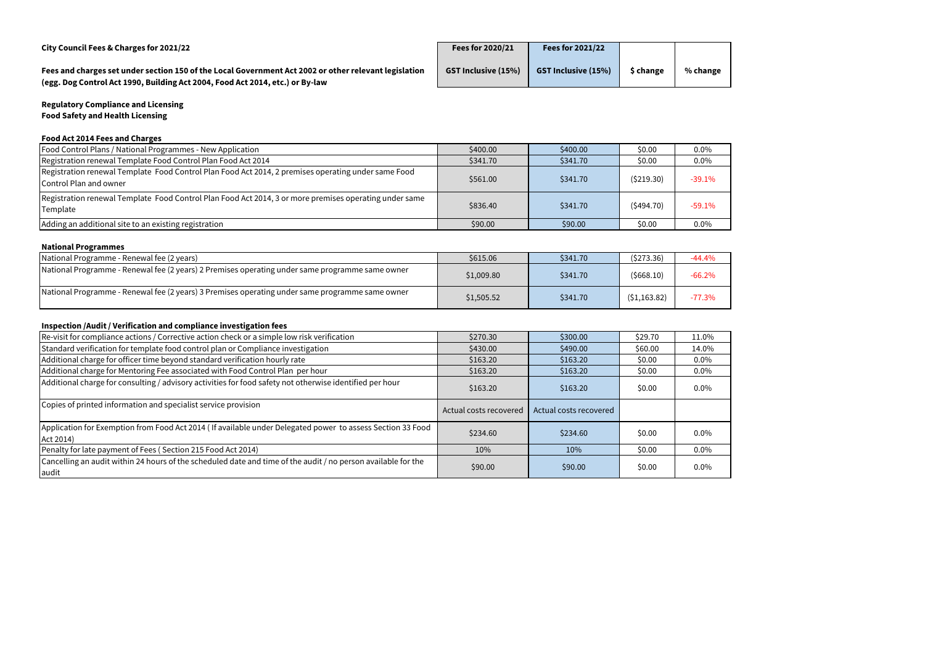| City Council Fees & Charges for 2021/22                                                                                                                                                | <b>Fees for 2020/21</b>    | <b>Fees for 2021/22</b>    |           |          |
|----------------------------------------------------------------------------------------------------------------------------------------------------------------------------------------|----------------------------|----------------------------|-----------|----------|
| Fees and charges set under section 150 of the Local Government Act 2002 or other relevant legislation<br>(egg. Dog Control Act 1990, Building Act 2004, Food Act 2014, etc.) or By-law | <b>GST Inclusive (15%)</b> | <b>GST Inclusive (15%)</b> | \$ change | % change |

# **Regulatory Compliance and Licensing Food Safety and Health Licensing**

# **Food Act 2014 Fees and Charges**

| Food Control Plans / National Programmes - New Application                                                                    | \$400.00 | \$400.00 | \$0.00    | $0.0\%$  |
|-------------------------------------------------------------------------------------------------------------------------------|----------|----------|-----------|----------|
| Registration renewal Template Food Control Plan Food Act 2014                                                                 | \$341.70 | \$341.70 | \$0.00    | $0.0\%$  |
| Registration renewal Template Food Control Plan Food Act 2014, 2 premises operating under same Food<br>Control Plan and owner | \$561.00 | \$341.70 | (5219.30) | $-39.1%$ |
| Registration renewal Template Food Control Plan Food Act 2014, 3 or more premises operating under same<br>Template            | \$836.40 | \$341.70 | (5494.70) | $-59.1%$ |
| Adding an additional site to an existing registration                                                                         | \$90.00  | \$90.00  | \$0.00    | $0.0\%$  |

# **National Programmes**

| National Programme - Renewal fee (2 years)                                                      | \$615.06   | \$341.70 | (5273.36)    | $-44.4%$ |
|-------------------------------------------------------------------------------------------------|------------|----------|--------------|----------|
| National Programme - Renewal fee (2 years) 2 Premises operating under same programme same owner | \$1,009.80 | \$341.70 | (5668.10)    | $-66.2%$ |
| National Programme - Renewal fee (2 years) 3 Premises operating under same programme same owner | \$1,505.52 | \$341.70 | (51, 163.82) | $-77.3%$ |

# **Inspection /Audit / Verification and compliance investigation fees**

| Re-visit for compliance actions / Corrective action check or a simple low risk verification                             | \$270.30               | \$300.00               | \$29.70 | 11.0%   |
|-------------------------------------------------------------------------------------------------------------------------|------------------------|------------------------|---------|---------|
| Standard verification for template food control plan or Compliance investigation                                        | \$430.00               | \$490.00               | \$60.00 | 14.0%   |
| Additional charge for officer time beyond standard verification hourly rate                                             | \$163.20               | \$163.20               | \$0.00  | $0.0\%$ |
| Additional charge for Mentoring Fee associated with Food Control Plan per hour                                          | \$163.20               | \$163.20               | \$0.00  | $0.0\%$ |
| Additional charge for consulting / advisory activities for food safety not otherwise identified per hour                | \$163.20               | \$163.20               | \$0.00  | $0.0\%$ |
| Copies of printed information and specialist service provision                                                          | Actual costs recovered | Actual costs recovered |         |         |
| Application for Exemption from Food Act 2014 (If available under Delegated power to assess Section 33 Food<br>Act 2014) | \$234.60               | \$234.60               | \$0.00  | $0.0\%$ |
| Penalty for late payment of Fees (Section 215 Food Act 2014)                                                            | 10%                    | 10%                    | \$0.00  | $0.0\%$ |
| Cancelling an audit within 24 hours of the scheduled date and time of the audit / no person available for the<br>audit  | \$90.00                | \$90.00                | \$0.00  | $0.0\%$ |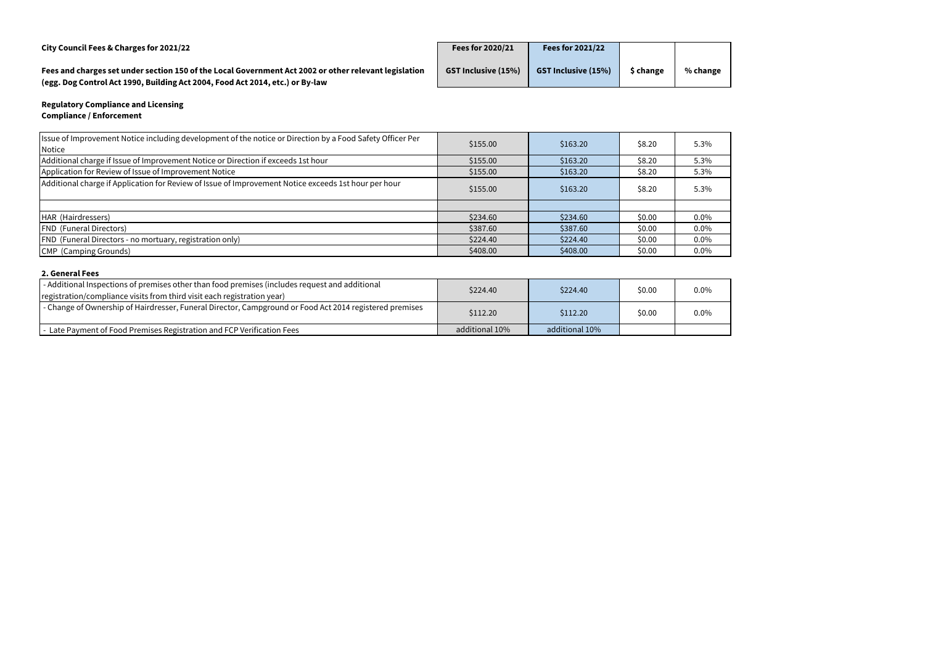| City Council Fees & Charges for 2021/22                                                                                                                                                | <b>Fees for 2020/21</b>    | <b>Fees for 2021/22</b>    |           |          |
|----------------------------------------------------------------------------------------------------------------------------------------------------------------------------------------|----------------------------|----------------------------|-----------|----------|
| Fees and charges set under section 150 of the Local Government Act 2002 or other relevant legislation<br>(egg. Dog Control Act 1990, Building Act 2004, Food Act 2014, etc.) or By-law | <b>GST Inclusive (15%)</b> | <b>GST Inclusive (15%)</b> | \$ change | % change |

# **Regulatory Compliance and Licensing Compliance / Enforcement**

| Issue of Improvement Notice including development of the notice or Direction by a Food Safety Officer Per | \$155.00 | \$163.20 | \$8.20 | 5.3% |
|-----------------------------------------------------------------------------------------------------------|----------|----------|--------|------|
| Notice                                                                                                    |          |          |        |      |
| Additional charge if Issue of Improvement Notice or Direction if exceeds 1st hour                         | \$155.00 | \$163.20 | \$8.20 | 5.3% |
| Application for Review of Issue of Improvement Notice                                                     | \$155.00 | \$163.20 | \$8.20 | 5.3% |
| Additional charge if Application for Review of Issue of Improvement Notice exceeds 1st hour per hour      | \$155.00 | \$163.20 | \$8.20 | 5.3% |
|                                                                                                           |          |          |        |      |
| HAR (Hairdressers)                                                                                        | \$234.60 | \$234.60 | \$0.00 | 0.0% |
| <b>FND (Funeral Directors)</b>                                                                            | \$387.60 | \$387.60 | \$0.00 | 0.0% |
| <b>FND</b> (Funeral Directors - no mortuary, registration only)                                           | \$224.40 | \$224.40 | \$0.00 | 0.0% |
| CMP (Camping Grounds)                                                                                     | \$408.00 | \$408.00 | \$0.00 | 0.0% |

# **2. General Fees**

| - Additional Inspections of premises other than food premises (includes request and additional          | \$224.40       | \$224.40       | \$0.00 | $0.0\%$ |
|---------------------------------------------------------------------------------------------------------|----------------|----------------|--------|---------|
| registration/compliance visits from third visit each registration year)                                 |                |                |        |         |
| - Change of Ownership of Hairdresser, Funeral Director, Campground or Food Act 2014 registered premises | \$112.20       | \$112.20       | \$0.00 | 0.0%    |
| - Late Payment of Food Premises Registration and FCP Verification Fees                                  | additional 10% | additional 10% |        |         |

| .3%              |
|------------------|
| $.3\%$           |
| $.3\%$           |
| .3%              |
|                  |
| $.0\%$           |
| $.0\%$           |
|                  |
|                  |
| $.0\%$<br>$.0\%$ |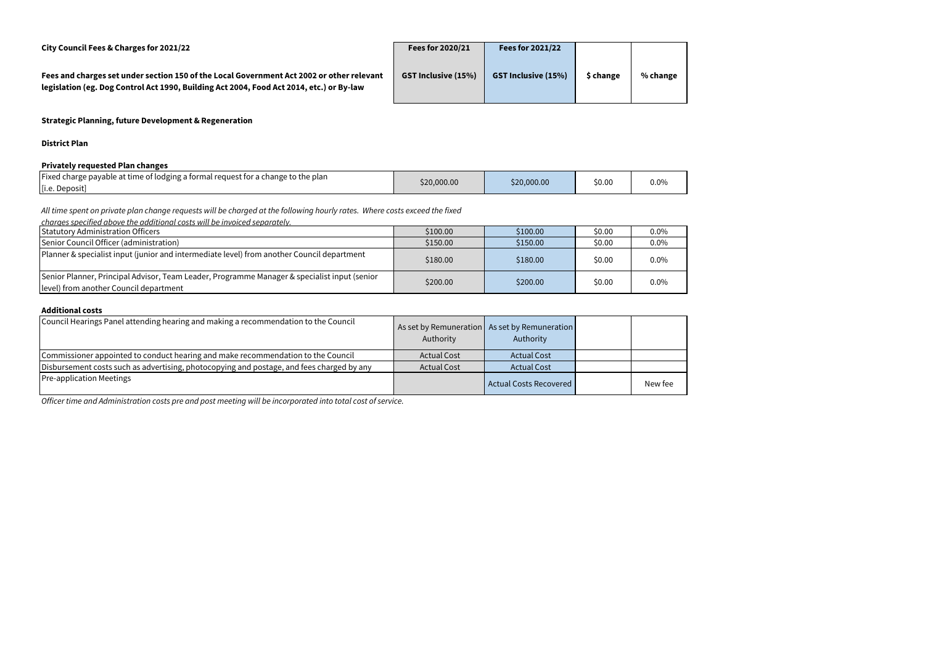**City Council Fees & Charges for 2021/22 Fees for 2020/21 Fees for 2021/22**

**Fees and charges set under section 150 of the Local Government Act 2002 or other relevant legislation (eg. Dog Control Act 1990, Building Act 2004, Food Act 2014, etc.) or By-law**

| Fees for 2020/21           | <b>Fees for 2021/22</b>    |           |          |
|----------------------------|----------------------------|-----------|----------|
| <b>GST Inclusive (15%)</b> | <b>GST Inclusive (15%)</b> | \$ change | % change |
|                            |                            |           |          |

**Strategic Planning, future Development & Regeneration**

**District Plan**

#### **Privately requested Plan changes**

| Fixed charge payable at time of lodging a formal request for a change to the plan | \$20,000.00 | \$20,000.00 | \$0.00 | $0.0\%$ |
|-----------------------------------------------------------------------------------|-------------|-------------|--------|---------|
| [i.e. Deposit]                                                                    |             |             |        |         |

#### **Additional costs**

| charges specified above the additional costs will be invoiced separately.                                                              |          |          |        |         |
|----------------------------------------------------------------------------------------------------------------------------------------|----------|----------|--------|---------|
| <b>Statutory Administration Officers</b>                                                                                               | \$100.00 | \$100.00 | \$0.00 | $0.0\%$ |
| Senior Council Officer (administration)                                                                                                | \$150.00 | \$150.00 | \$0.00 | $0.0\%$ |
| Planner & specialist input (junior and intermediate level) from another Council department                                             | \$180.00 | \$180.00 | \$0.00 | $0.0\%$ |
| Senior Planner, Principal Advisor, Team Leader, Programme Manager & specialist input (senior<br>level) from another Council department | \$200.00 | \$200.00 | \$0.00 | $0.0\%$ |

| Council Hearings Panel attending hearing and making a recommendation to the Council       | Authority          | As set by Remuneration   As set by Remuneration<br>Authority |         |
|-------------------------------------------------------------------------------------------|--------------------|--------------------------------------------------------------|---------|
| Commissioner appointed to conduct hearing and make recommendation to the Council          | <b>Actual Cost</b> | <b>Actual Cost</b>                                           |         |
| Disbursement costs such as advertising, photocopying and postage, and fees charged by any | <b>Actual Cost</b> | <b>Actual Cost</b>                                           |         |
| <b>Pre-application Meetings</b>                                                           |                    | Actual Costs Recovered                                       | New fee |

*All time spent on private plan change requests will be charged at the following hourly rates. Where costs exceed the fixed* 

*Officer time and Administration costs pre and post meeting will be incorporated into total cost of service.*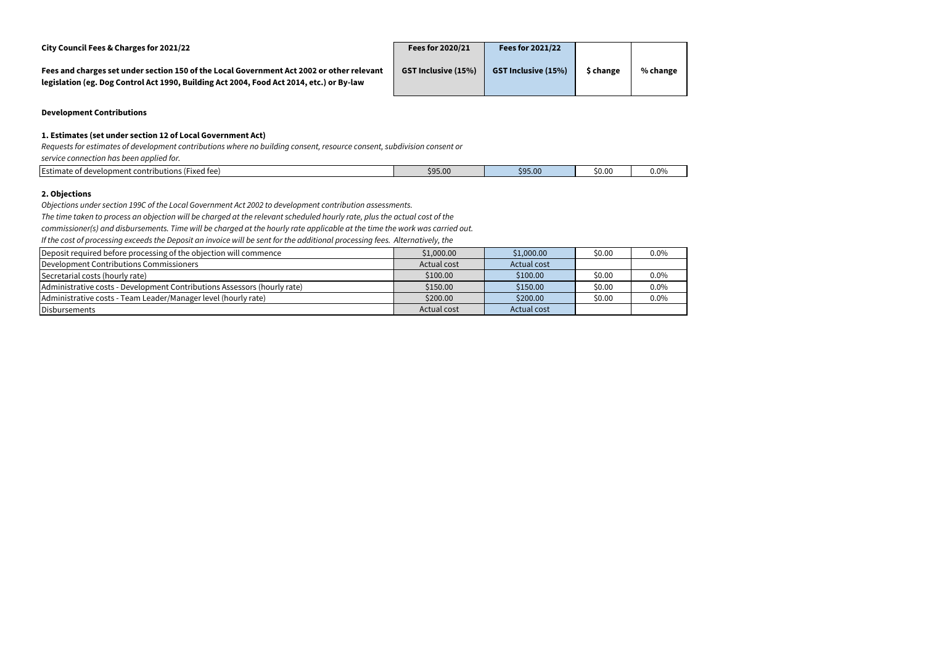**City Council Fees & Charges for 2021/22 Fees for 2020/21 Fees for 2021/22**

**Fees and charges set under section 150 of the Local Government Act 2002 or other relevant legislation (eg. Dog Control Act 1990, Building Act 2004, Food Act 2014, etc.) or By-law**

| Fees for 2020/21           | <b>Fees for 2021/22</b>    |           |          |
|----------------------------|----------------------------|-----------|----------|
| <b>GST Inclusive (15%)</b> | <b>GST Inclusive (15%)</b> | \$ change | % change |
|                            |                            |           |          |

### **Development Contributions**

### **1. Estimates (set under section 12 of Local Government Act)**

| Estimate<br>$\overline{\phantom{a}}$<br>ent contributions (Fixed fee).<br>: of developme<br>ent<br>nate | \$95.00 | $\mathcal{L}^{\text{max}}_{\text{max}}$ and $\mathcal{L}^{\text{max}}_{\text{max}}$ and $\mathcal{L}^{\text{max}}_{\text{max}}$ and $\mathcal{L}^{\text{max}}_{\text{max}}$<br>995 NN<br><b>JYJ.UU</b> | \$0.00 | - -<br>u.u% |
|---------------------------------------------------------------------------------------------------------|---------|--------------------------------------------------------------------------------------------------------------------------------------------------------------------------------------------------------|--------|-------------|
|                                                                                                         |         |                                                                                                                                                                                                        |        |             |

### **2. Objections**

*Requests for estimates of development contributions where no building consent, resource consent, subdivision consent or service connection has been applied for.*

| Deposit required before processing of the objection will commence        | \$1,000.00  | \$1,000.00  | \$0.00 | $0.0\%$ |
|--------------------------------------------------------------------------|-------------|-------------|--------|---------|
| Development Contributions Commissioners                                  | Actual cost | Actual cost |        |         |
| Secretarial costs (hourly rate)                                          | \$100.00    | \$100.00    | \$0.00 | $0.0\%$ |
| Administrative costs - Development Contributions Assessors (hourly rate) | \$150.00    | \$150.00    | \$0.00 | $0.0\%$ |
| Administrative costs - Team Leader/Manager level (hourly rate)           | \$200.00    | \$200.00    | \$0.00 | $0.0\%$ |
| Disbursements                                                            | Actual cost | Actual cost |        |         |

*Objections under section 199C of the Local Government Act 2002 to development contribution assessments.*

*The time taken to process an objection will be charged at the relevant scheduled hourly rate, plus the actual cost of the* 

*commissioner(s) and disbursements. Time will be charged at the hourly rate applicable at the time the work was carried out.*

*If the cost of processing exceeds the Deposit an invoice will be sent for the additional processing fees. Alternatively, the*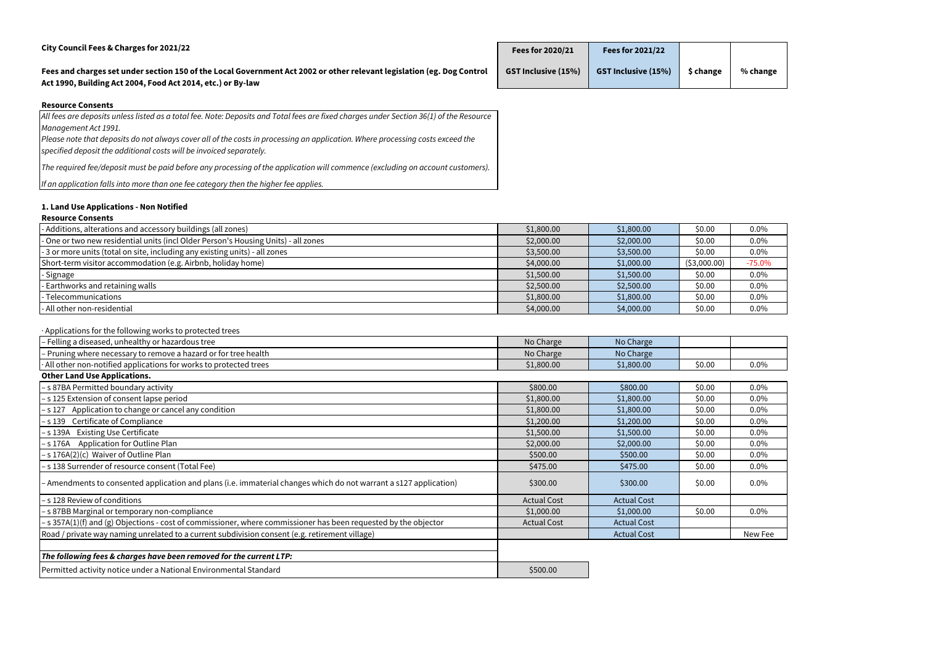| City Council Fees & Charges for 2021/22                                                                                                                                               | Fees for 2020/21           | <b>Fees for 2021/22</b>    |           |          |
|---------------------------------------------------------------------------------------------------------------------------------------------------------------------------------------|----------------------------|----------------------------|-----------|----------|
| Fees and charges set under section 150 of the Local Government Act 2002 or other relevant legislation (eg. Dog Control<br>Act 1990, Building Act 2004, Food Act 2014, etc.) or By-law | <b>GST Inclusive (15%)</b> | <b>GST Inclusive (15%)</b> | \$ change | % change |
| <b>Resource Consents</b>                                                                                                                                                              |                            |                            |           |          |
| All fees are deposits unless listed as a total fee. Note: Deposits and Total fees are fixed charges under Section 36(1) of the Resource                                               |                            |                            |           |          |

*Management Act 1991.*

*Please note that deposits do not always cover all of the costs in processing an application. Where processing costs exceed the* 

*specified deposit the additional costs will be invoiced separately.*

*The required fee/deposit must be paid before any processing of the application will commence (excluding on account customers).*

# *If an application falls into more than one fee category then the higher fee applies.*

# **1. Land Use Applications - Non Notified**

# **Resource Consents**

| - Additions, alterations and accessory buildings (all zones)                       | \$1,800.00 | \$1,800.00 | \$0.00        | $0.0\%$  |
|------------------------------------------------------------------------------------|------------|------------|---------------|----------|
| - One or two new residential units (incl Older Person's Housing Units) - all zones | \$2,000.00 | \$2,000.00 | \$0.00        | 0.0%     |
| - 3 or more units (total on site, including any existing units) - all zones        | \$3,500.00 | \$3,500.00 | \$0.00        | 0.0%     |
| Short-term visitor accommodation (e.g. Airbnb, holiday home)                       | \$4,000.00 | \$1,000.00 | ( \$3,000.00) | $-75.0%$ |
| - Signage                                                                          | \$1,500.00 | \$1,500.00 | \$0.00        | $0.0\%$  |
| - Earthworks and retaining walls                                                   | \$2,500.00 | \$2,500.00 | \$0.00        | $0.0\%$  |
| - Telecommunications                                                               | \$1,800.00 | \$1,800.00 | \$0.00        | $0.0\%$  |
| - All other non-residential                                                        | \$4,000.00 | \$4,000.00 | \$0.00        | $0.0\%$  |

# · Applications for the following works to protected trees

| $\frac{1}{2}$ . Production of the contenting the state processes at see                                           |                    |                    |        |         |
|-------------------------------------------------------------------------------------------------------------------|--------------------|--------------------|--------|---------|
| - Felling a diseased, unhealthy or hazardous tree                                                                 | No Charge          | No Charge          |        |         |
| Pruning where necessary to remove a hazard or for tree health                                                     | No Charge          | No Charge          |        |         |
| All other non-notified applications for works to protected trees                                                  | \$1,800.00         | \$1,800.00         | \$0.00 | $0.0\%$ |
| <b>Other Land Use Applications.</b>                                                                               |                    |                    |        |         |
| -s 87BA Permitted boundary activity                                                                               | \$800.00           | \$800.00           | \$0.00 | $0.0\%$ |
| -s 125 Extension of consent lapse period                                                                          | \$1,800.00         | \$1,800.00         | \$0.00 | $0.0\%$ |
| -s 127 Application to change or cancel any condition                                                              | \$1,800.00         | \$1,800.00         | \$0.00 | $0.0\%$ |
| -s 139 Certificate of Compliance                                                                                  | \$1,200.00         | \$1,200.00         | \$0.00 | 0.0%    |
| -s 139A Existing Use Certificate                                                                                  | \$1,500.00         | \$1,500.00         | \$0.00 | $0.0\%$ |
| -s 176A Application for Outline Plan                                                                              | \$2,000.00         | \$2,000.00         | \$0.00 | $0.0\%$ |
| -s 176A(2)(c) Waiver of Outline Plan                                                                              | \$500.00           | \$500.00           | \$0.00 | $0.0\%$ |
| -s 138 Surrender of resource consent (Total Fee)                                                                  | \$475.00           | \$475.00           | \$0.00 | $0.0\%$ |
| - Amendments to consented application and plans (i.e. immaterial changes which do not warrant a s127 application) | \$300.00           | \$300.00           | \$0.00 | $0.0\%$ |
| -s 128 Review of conditions                                                                                       | <b>Actual Cost</b> | <b>Actual Cost</b> |        |         |
| -s 87BB Marginal or temporary non-compliance                                                                      | \$1,000.00         | \$1,000.00         | \$0.00 | $0.0\%$ |
| - s 357A(1)(f) and (g) Objections - cost of commissioner, where commissioner has been requested by the objector   | <b>Actual Cost</b> | <b>Actual Cost</b> |        |         |
| Road / private way naming unrelated to a current subdivision consent (e.g. retirement village)                    |                    | <b>Actual Cost</b> |        | New Fee |
|                                                                                                                   |                    |                    |        |         |
| The following fees & charges have been removed for the current LTP:                                               |                    |                    |        |         |
| Permitted activity notice under a National Environmental Standard                                                 | \$500.00           |                    |        |         |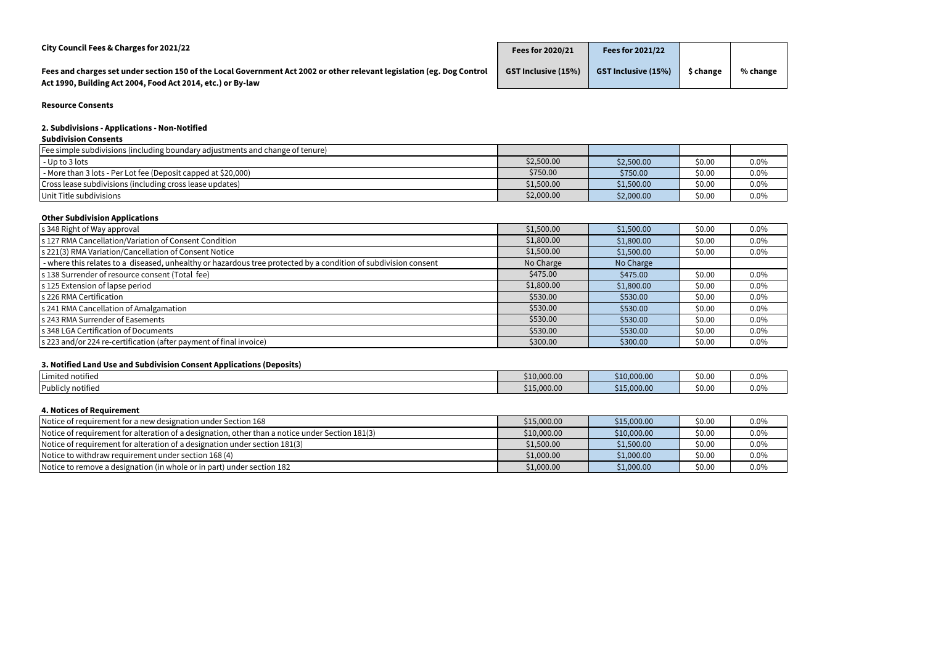| City Council Fees & Charges for 2021/22                                                                                                                                               | Fees for 2020/21           | <b>Fees for 2021/22</b>    |           |          |
|---------------------------------------------------------------------------------------------------------------------------------------------------------------------------------------|----------------------------|----------------------------|-----------|----------|
| Fees and charges set under section 150 of the Local Government Act 2002 or other relevant legislation (eg. Dog Control<br>Act 1990, Building Act 2004, Food Act 2014, etc.) or By-law | <b>GST Inclusive (15%)</b> | <b>GST Inclusive (15%)</b> | \$ change | % change |

**Resource Consents**

# **2. Subdivisions - Applications - Non-Notified**

# **Subdivision Consents**

| [Fee simple subdivisions (including boundary adjustments and change of tenure)] |            |            |        |         |
|---------------------------------------------------------------------------------|------------|------------|--------|---------|
| $-$ Up to 3 lots                                                                | \$2,500.00 | \$2,500.00 | \$0.00 | 0.0%    |
| - More than 3 lots - Per Lot fee (Deposit capped at \$20,000)                   | \$750.00   | \$750.00   | \$0.00 | 0.0%    |
| Cross lease subdivisions (including cross lease updates)                        | \$1,500.00 | \$1,500.00 | \$0.00 | 0.0%    |
| Unit Title subdivisions                                                         | \$2,000.00 | \$2,000.00 | \$0.00 | $0.0\%$ |

# **Other Subdivision Applications**

| s 348 Right of Way approval                                                                                     | \$1,500.00 | \$1,500.00 | \$0.00 | $0.0\%$ |
|-----------------------------------------------------------------------------------------------------------------|------------|------------|--------|---------|
| s 127 RMA Cancellation/Variation of Consent Condition                                                           | \$1,800.00 | \$1,800.00 | \$0.00 | $0.0\%$ |
| s 221(3) RMA Variation/Cancellation of Consent Notice                                                           | \$1,500.00 | \$1,500.00 | \$0.00 | $0.0\%$ |
| - where this relates to a diseased, unhealthy or hazardous tree protected by a condition of subdivision consent | No Charge  | No Charge  |        |         |
| s 138 Surrender of resource consent (Total fee)                                                                 | \$475.00   | \$475.00   | \$0.00 | $0.0\%$ |
| s 125 Extension of lapse period                                                                                 | \$1,800.00 | \$1,800.00 | \$0.00 | $0.0\%$ |
| s 226 RMA Certification                                                                                         | \$530.00   | \$530.00   | \$0.00 | $0.0\%$ |
| s 241 RMA Cancellation of Amalgamation                                                                          | \$530.00   | \$530.00   | \$0.00 | $0.0\%$ |
| s 243 RMA Surrender of Easements                                                                                | \$530.00   | \$530.00   | \$0.00 | $0.0\%$ |
| s 348 LGA Certification of Documents                                                                            | \$530.00   | \$530.00   | \$0.00 | $0.0\%$ |
| s 223 and/or 224 re-certification (after payment of final invoice)                                              | \$300.00   | \$300.00   | \$0.00 | $0.0\%$ |

# **3. Notified Land Use and Subdivision Consent Applications (Deposits)**

| _ _ _<br>_______<br>.<br>____ |             |             |        |      |
|-------------------------------|-------------|-------------|--------|------|
| Limited notified              | \$10,000.00 | \$10,000.00 | \$0.0  | 0.0% |
| Publicly notified             | \$15,000.00 | 5,000.00    | \$0.00 | 0.0% |

#### **4. Notices of Requirement**

| .                                                                                               |             |             |        |         |
|-------------------------------------------------------------------------------------------------|-------------|-------------|--------|---------|
| Notice of requirement for a new designation under Section 168                                   | \$15,000.00 | \$15,000.00 | \$0.00 | 0.0%    |
| Notice of requirement for alteration of a designation, other than a notice under Section 181(3) | \$10,000.00 | \$10,000.00 | \$0.00 | $0.0\%$ |
| Notice of requirement for alteration of a designation under section 181(3)                      | \$1,500.00  | \$1,500.00  | \$0.00 | 0.0%    |
| Notice to withdraw requirement under section 168 (4)                                            | \$1,000.00  | \$1,000.00  | \$0.00 | 0.0%    |
| Notice to remove a designation (in whole or in part) under section 182                          | \$1,000.00  | \$1,000.00  | \$0.00 | $0.0\%$ |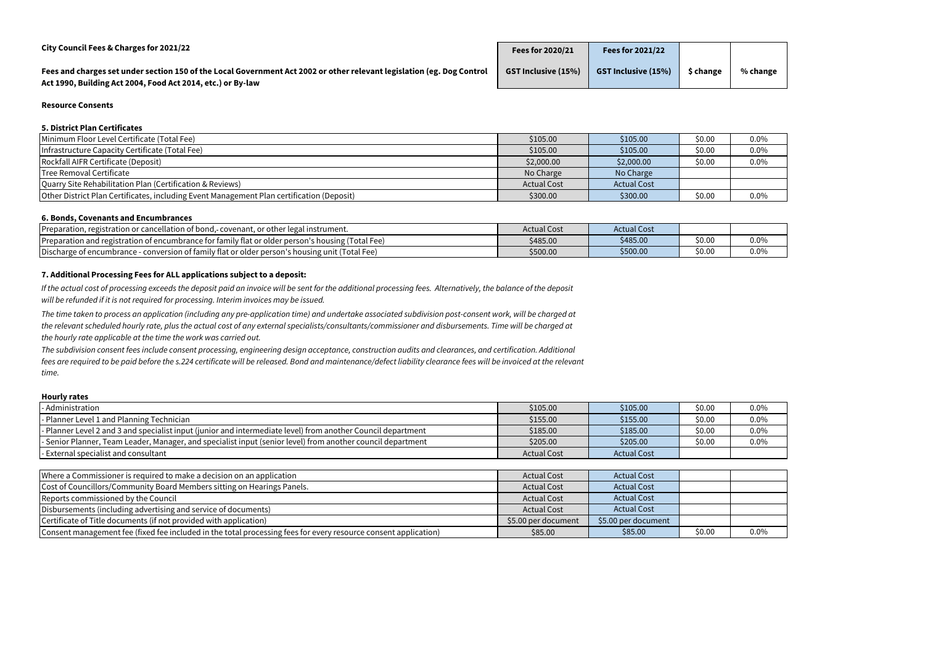| City Council Fees & Charges for 2021/22                                                                                                                                               | <b>Fees for 2020/21</b>    | <b>Fees for 2021/22</b>    |           |          |
|---------------------------------------------------------------------------------------------------------------------------------------------------------------------------------------|----------------------------|----------------------------|-----------|----------|
| Fees and charges set under section 150 of the Local Government Act 2002 or other relevant legislation (eg. Dog Control<br>Act 1990, Building Act 2004, Food Act 2014, etc.) or By-law | <b>GST Inclusive (15%)</b> | <b>GST Inclusive (15%)</b> | \$ change | % change |

#### **Resource Consents**

#### **5. District Plan Certificates**

| \$105.00           | \$105.00           | \$0.00 | $0.0\%$ |
|--------------------|--------------------|--------|---------|
| \$105.00           | \$105.00           | \$0.00 | $0.0\%$ |
| \$2,000.00         | \$2,000.00         | \$0.00 | $0.0\%$ |
| No Charge          | No Charge          |        |         |
| <b>Actual Cost</b> | <b>Actual Cost</b> |        |         |
| \$300.00           | \$300.00           | \$0.00 | $0.0\%$ |
|                    |                    |        |         |

#### **6. Bonds, Covenants and Encumbrances**

| Preparation<br>n. registration or cancellation of bond.-<br>',- covenant, or other legal instrument.           | Actual Cost | ual Cos  |        |      |
|----------------------------------------------------------------------------------------------------------------|-------------|----------|--------|------|
| <b>Preparation and registration of encumbrance for</b><br>or family flat or older person's housing (Total Fee) | \$485.00    | \$485.00 | \$0.00 | 0.0% |
| Discharge of encumbrance -<br>'Total Fee)<br>Conversion of family flat or older person's housing unit ( '      | \$500.00    | \$500.00 | \$0.00 | 0.0% |

#### **7. Additional Processing Fees for ALL applications subject to a deposit:**

#### **Hourly rates**

| - Administration                                                                                                | \$105.00            | \$105.00            | \$0.00 | $0.0\%$ |
|-----------------------------------------------------------------------------------------------------------------|---------------------|---------------------|--------|---------|
| - Planner Level 1 and Planning Technician                                                                       | \$155.00            | \$155.00            | \$0.00 | $0.0\%$ |
| - Planner Level 2 and 3 and specialist input (junior and intermediate level) from another Council department    | \$185.00            | \$185.00            | \$0.00 | $0.0\%$ |
| - Senior Planner, Team Leader, Manager, and specialist input (senior level) from another council department     | \$205.00            | \$205.00            | \$0.00 | $0.0\%$ |
| - External specialist and consultant                                                                            | <b>Actual Cost</b>  | <b>Actual Cost</b>  |        |         |
|                                                                                                                 |                     |                     |        |         |
| Where a Commissioner is required to make a decision on an application                                           | <b>Actual Cost</b>  | <b>Actual Cost</b>  |        |         |
| Cost of Councillors/Community Board Members sitting on Hearings Panels.                                         | <b>Actual Cost</b>  | <b>Actual Cost</b>  |        |         |
| Reports commissioned by the Council                                                                             | <b>Actual Cost</b>  | <b>Actual Cost</b>  |        |         |
| Disbursements (including advertising and service of documents)                                                  | <b>Actual Cost</b>  | <b>Actual Cost</b>  |        |         |
| Certificate of Title documents (if not provided with application)                                               | \$5.00 per document | \$5.00 per document |        |         |
| Consent management fee (fixed fee included in the total processing fees for every resource consent application) | \$85.00             | \$85.00             | \$0.00 | $0.0\%$ |

*If the actual cost of processing exceeds the deposit paid an invoice will be sent for the additional processing fees. Alternatively, the balance of the deposit will be refunded if it is not required for processing. Interim invoices may be issued.*

*The time taken to process an application (including any pre-application time) and undertake associated subdivision post-consent work, will be charged at the relevant scheduled hourly rate, plus the actual cost of any external specialists/consultants/commissioner and disbursements. Time will be charged at the hourly rate applicable at the time the work was carried out.* 

*The subdivision consent fees include consent processing, engineering design acceptance, construction audits and clearances, and certification. Additional fees are required to be paid before the s.224 certificate will be released. Bond and maintenance/defect liability clearance fees will be invoiced at the relevant time.*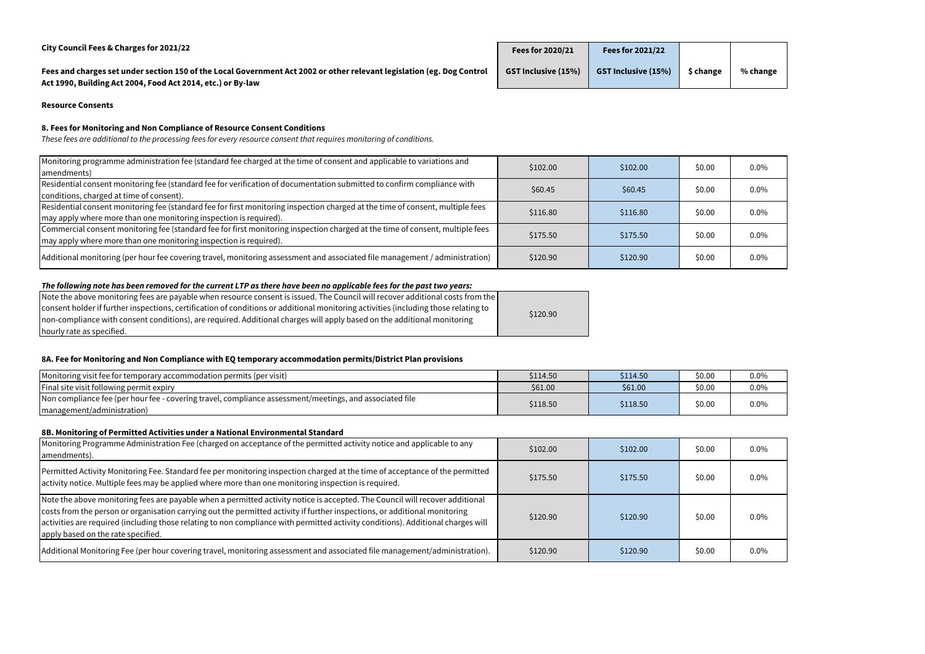| City Council Fees & Charges for 2021/22                                                                                                                                               | Fees for 2020/21           | <b>Fees for 2021/22</b>    |           |          |
|---------------------------------------------------------------------------------------------------------------------------------------------------------------------------------------|----------------------------|----------------------------|-----------|----------|
| Fees and charges set under section 150 of the Local Government Act 2002 or other relevant legislation (eg. Dog Control<br>Act 1990, Building Act 2004, Food Act 2014, etc.) or By-law | <b>GST Inclusive (15%)</b> | <b>GST Inclusive (15%)</b> | \$ change | % change |

**Resource Consents**

# **8. Fees for Monitoring and Non Compliance of Resource Consent Conditions**

| Monitoring programme administration fee (standard fee charged at the time of consent and applicable to variations and<br>amendments)                                                                | \$102.00 | \$102.00 | \$0.00 | $0.0\%$ |
|-----------------------------------------------------------------------------------------------------------------------------------------------------------------------------------------------------|----------|----------|--------|---------|
| Residential consent monitoring fee (standard fee for verification of documentation submitted to confirm compliance with<br>conditions, charged at time of consent).                                 | \$60.45  | \$60.45  | \$0.00 | $0.0\%$ |
| Residential consent monitoring fee (standard fee for first monitoring inspection charged at the time of consent, multiple fees<br>may apply where more than one monitoring inspection is required). | \$116.80 | \$116.80 | \$0.00 | $0.0\%$ |
| Commercial consent monitoring fee (standard fee for first monitoring inspection charged at the time of consent, multiple fees<br>may apply where more than one monitoring inspection is required).  | \$175.50 | \$175.50 | \$0.00 | $0.0\%$ |
| Additional monitoring (per hour fee covering travel, monitoring assessment and associated file management / administration)                                                                         | \$120.90 | \$120.90 | \$0.00 | $0.0\%$ |

# *The following note has been removed for the current LTP as there have been no applicable fees for the past two years:*

| Note the above monitoring fees are payable when resource consent is issued. The Council will recover additional costs from the $ \; $ |          |
|---------------------------------------------------------------------------------------------------------------------------------------|----------|
| consent holder if further inspections, certification of conditions or additional monitoring activities (including those relating to   | \$120.90 |
| non-compliance with consent conditions), are required. Additional charges will apply based on the additional monitoring               |          |
| hourly rate as specified.                                                                                                             |          |

# **8A. Fee for Monitoring and Non Compliance with EQ temporary accommodation permits/District Plan provisions**

| Monitoring visit fee for temporary accommodation permits (per visit)                                    | \$114.50 | \$114.50 | \$0.00 | 0.0% |
|---------------------------------------------------------------------------------------------------------|----------|----------|--------|------|
| <b>Final site visit following permit expiry</b>                                                         | \$61.00  | \$61.00  | \$0.00 | 0.0% |
| Non compliance fee (per hour fee - covering travel, compliance assessment/meetings, and associated file | \$118.50 | \$118.50 | \$0.00 | 0.0% |
| (management/administration)                                                                             |          |          |        |      |

### **8B. Monitoring of Permitted Activities under a National Environmental Standard**

| Monitoring Programme Administration Fee (charged on acceptance of the permitted activity notice and applicable to any<br>amendments).                                                                                                                                                                                                                                                                                                | \$102.00 | \$102.00 | \$0.00 | $0.0\%$ |
|--------------------------------------------------------------------------------------------------------------------------------------------------------------------------------------------------------------------------------------------------------------------------------------------------------------------------------------------------------------------------------------------------------------------------------------|----------|----------|--------|---------|
| Permitted Activity Monitoring Fee. Standard fee per monitoring inspection charged at the time of acceptance of the permitted<br>activity notice. Multiple fees may be applied where more than one monitoring inspection is required.                                                                                                                                                                                                 | \$175.50 | \$175.50 | \$0.00 | $0.0\%$ |
| Note the above monitoring fees are payable when a permitted activity notice is accepted. The Council will recover additional<br>costs from the person or organisation carrying out the permitted activity if further inspections, or additional monitoring<br>activities are required (including those relating to non compliance with permitted activity conditions). Additional charges will<br>apply based on the rate specified. | \$120.90 | \$120.90 | \$0.00 | $0.0\%$ |
| Additional Monitoring Fee (per hour covering travel, monitoring assessment and associated file management/administration).                                                                                                                                                                                                                                                                                                           | \$120.90 | \$120.90 | \$0.00 | $0.0\%$ |

*These fees are additional to the processing fees for every resource consent that requires monitoring of conditions.*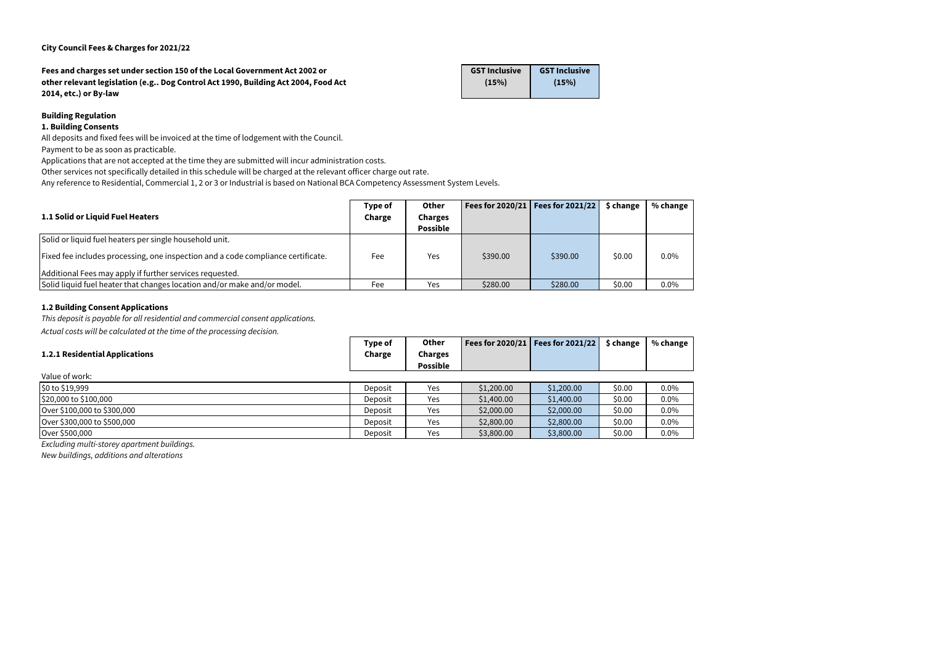**Fees and charges set under section 150 of the Local Government Act 2002 or other relevant legislation (e.g.. Dog Control Act 1990, Building Act 2004, Food Act 2014, etc.) or By-law**

| <b>GST Inclusive</b> | <b>GST Inclusive</b> |
|----------------------|----------------------|
| (15%)                | (15%)                |
|                      |                      |

# **Building Regulation**

# **1. Building Consents**

All deposits and fixed fees will be invoiced at the time of lodgement with the Council.

Payment to be as soon as practicable.

Applications that are not accepted at the time they are submitted will incur administration costs.

Other services not specifically detailed in this schedule will be charged at the relevant officer charge out rate.

Any reference to Residential, Commercial 1, 2 or 3 or Industrial is based on National BCA Competency Assessment System Levels.

#### **1.2 Building Consent Applications**

*This deposit is payable for all residential and commercial consent applications.*

*Actual costs will be calculated at the time of the processing decision.* 

| 1.1 Solid or Liquid Fuel Heaters                                                 | Type of<br>Charge | <b>Other</b><br><b>Charges</b><br><b>Possible</b> |          | Fees for 2020/21   Fees for 2021/22 | \$ change | % change |
|----------------------------------------------------------------------------------|-------------------|---------------------------------------------------|----------|-------------------------------------|-----------|----------|
| Solid or liquid fuel heaters per single household unit.                          |                   |                                                   |          |                                     |           |          |
| Fixed fee includes processing, one inspection and a code compliance certificate. | Fee               | Yes                                               | \$390.00 | \$390.00                            | \$0.00    | 0.0%     |
| Additional Fees may apply if further services requested.                         |                   |                                                   |          |                                     |           |          |
| Solid liquid fuel heater that changes location and/or make and/or model.         | Fee               | Yes                                               | \$280.00 | \$280.00                            | \$0.00    | 0.0%     |

| <b>1.2.1 Residential Applications</b> | Type of<br>Charge | <b>Other</b><br><b>Charges</b><br><b>Possible</b> |            | Fees for $2020/21$ Fees for $2021/22$ | \$ change | % change |
|---------------------------------------|-------------------|---------------------------------------------------|------------|---------------------------------------|-----------|----------|
| Value of work:                        |                   |                                                   |            |                                       |           |          |
| \$0 to \$19,999                       | Deposit           | Yes                                               | \$1,200.00 | \$1,200.00                            | \$0.00    | $0.0\%$  |
| \$20,000 to \$100,000                 | Deposit           | Yes                                               | \$1,400.00 | \$1,400.00                            | \$0.00    | $0.0\%$  |
| Over \$100,000 to \$300,000           | Deposit           | Yes                                               | \$2,000.00 | \$2,000.00                            | \$0.00    | $0.0\%$  |
| Over \$300,000 to \$500,000           | Deposit           | Yes                                               | \$2,800.00 | \$2,800.00                            | \$0.00    | $0.0\%$  |
| Over \$500,000                        | Deposit           | Yes                                               | \$3,800.00 | \$3,800.00                            | \$0.00    | $0.0\%$  |

*Excluding multi-storey apartment buildings.*

*New buildings, additions and alterations*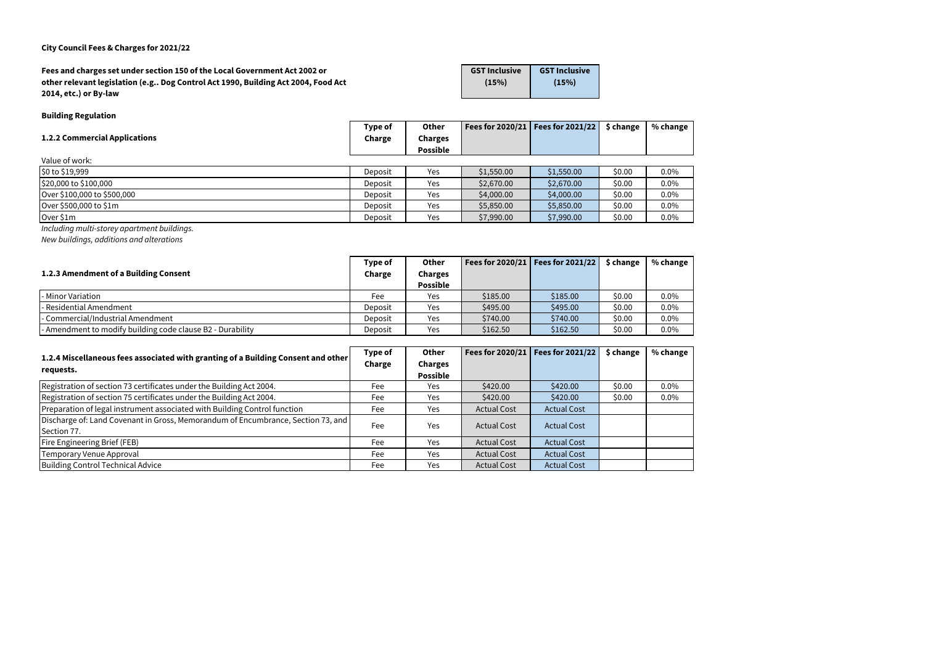| Fees and charges set under section 150 of the Local Government Act 2002 or        | <b>GST Inclusive</b> | <b>GST Inclusive</b> |
|-----------------------------------------------------------------------------------|----------------------|----------------------|
| other relevant legislation (e.g Dog Control Act 1990, Building Act 2004, Food Act | (15%)                | (15%)                |
| 2014, etc.) or By-law                                                             |                      |                      |

## **Building Regulation**

| <b>1.2.2 Commercial Applications</b> | Type of<br>Charge | <b>Other</b><br><b>Charges</b><br><b>Possible</b> |            | Fees for 2020/21   Fees for 2021/22 | \$ change | % change |
|--------------------------------------|-------------------|---------------------------------------------------|------------|-------------------------------------|-----------|----------|
| Value of work:                       |                   |                                                   |            |                                     |           |          |
| $\frac{1}{2}0$ to \$19,999           | Deposit           | Yes                                               | \$1,550.00 | \$1,550.00                          | \$0.00    | $0.0\%$  |
| $$20,000$ to $$100,000$              | Deposit           | Yes                                               | \$2,670.00 | \$2,670.00                          | \$0.00    | $0.0\%$  |
| Over \$100,000 to \$500,000          | Deposit           | Yes                                               | \$4,000.00 | \$4,000.00                          | \$0.00    | $0.0\%$  |
| Over \$500,000 to \$1m               | Deposit           | Yes                                               | \$5,850.00 | \$5,850.00                          | \$0.00    | $0.0\%$  |
| Over \$1m                            | Deposit           | Yes                                               | \$7,990.00 | \$7,990.00                          | \$0.00    | $0.0\%$  |
| $\sim$ $\sim$ $\sim$ $\sim$          |                   |                                                   |            |                                     |           |          |

*Including multi-storey apartment buildings.*

*New buildings, additions and alterations* 

|                                                            | Type of | Other           |          | Fees for 2020/21   Fees for 2021/22 | \$ change | % change |
|------------------------------------------------------------|---------|-----------------|----------|-------------------------------------|-----------|----------|
| 1.2.3 Amendment of a Building Consent                      | Charge  | Charges         |          |                                     |           |          |
|                                                            |         | <b>Possible</b> |          |                                     |           |          |
| l- Minor Variation                                         | Fee     | Yes             | \$185.00 | \$185.00                            | \$0.00    | $0.0\%$  |
| - Residential Amendment                                    | Deposit | Yes             | \$495.00 | \$495.00                            | \$0.00    | $0.0\%$  |
| - Commercial/Industrial Amendment                          | Deposit | Yes             | \$740.00 | \$740.00                            | \$0.00    | $0.0\%$  |
| - Amendment to modify building code clause B2 - Durability | Deposit | Yes             | \$162.50 | \$162.50                            | \$0.00    | $0.0\%$  |

| 1.2.4 Miscellaneous fees associated with granting of a Building Consent and other |        | <b>Other</b>    |                    | Fees for $2020/21$ Fees for $2021/22$ | \$ change | % change |
|-----------------------------------------------------------------------------------|--------|-----------------|--------------------|---------------------------------------|-----------|----------|
| requests.                                                                         | Charge | <b>Charges</b>  |                    |                                       |           |          |
|                                                                                   |        | <b>Possible</b> |                    |                                       |           |          |
| Registration of section 73 certificates under the Building Act 2004.              | Fee    | Yes             | \$420.00           | \$420.00                              | \$0.00    | $0.0\%$  |
| Registration of section 75 certificates under the Building Act 2004.              | Fee    | Yes             | \$420.00           | \$420.00                              | \$0.00    | $0.0\%$  |
| Preparation of legal instrument associated with Building Control function         | Fee    | Yes             | <b>Actual Cost</b> | <b>Actual Cost</b>                    |           |          |
| Discharge of: Land Covenant in Gross, Memorandum of Encumbrance, Section 73, and  | Fee    | Yes             | <b>Actual Cost</b> | <b>Actual Cost</b>                    |           |          |
| Section 77.                                                                       |        |                 |                    |                                       |           |          |
| <b>Fire Engineering Brief (FEB)</b>                                               | Fee    | Yes             | <b>Actual Cost</b> | <b>Actual Cost</b>                    |           |          |
| Temporary Venue Approval                                                          | Fee    | Yes             | <b>Actual Cost</b> | <b>Actual Cost</b>                    |           |          |
| Building Control Technical Advice                                                 | Fee    | Yes             | <b>Actual Cost</b> | <b>Actual Cost</b>                    |           |          |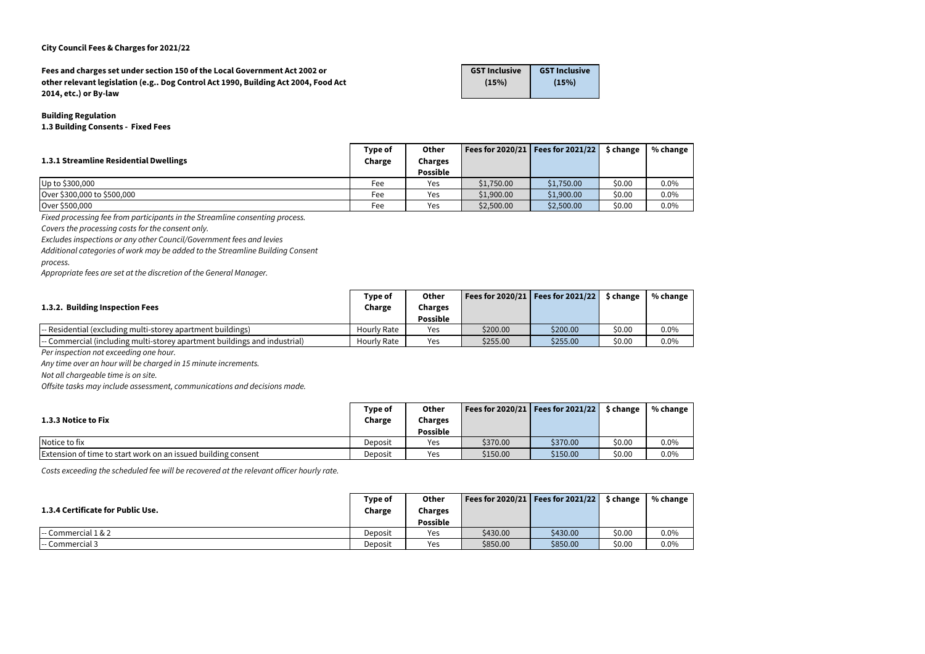**Fees and charges set under section 150 of the Local Government Act 2002 or other relevant legislation (e.g.. Dog Control Act 1990, Building Act 2004, Food Act 2014, etc.) or By-law**

**GST Inclusive (15%)**

**GST Inclusive (15%)**

### **Building Regulation**

**1.3 Building Consents - Fixed Fees**

|                                        | Type of | Other           |            | Fees for 2020/21   Fees for 2021/22 | \$ change | % change |
|----------------------------------------|---------|-----------------|------------|-------------------------------------|-----------|----------|
| 1.3.1 Streamline Residential Dwellings | Charge  | <b>Charges</b>  |            |                                     |           |          |
|                                        |         | <b>Possible</b> |            |                                     |           |          |
| Up to \$300,000                        | Fee     | Yes             | \$1,750.00 | \$1,750.00                          | \$0.00    | $0.0\%$  |
| Over \$300,000 to \$500,000            | Fee     | Yes             | \$1,900.00 | \$1,900.00                          | \$0.00    | $0.0\%$  |
| Over \$500,000                         | Fee     | Yes             | \$2,500.00 | \$2,500.00                          | \$0.00    | 0.0%     |

*Fixed processing fee from participants in the Streamline consenting process.*

*Covers the processing costs for the consent only.*

*Excludes inspections or any other Council/Government fees and levies*

*Additional categories of work may be added to the Streamline Building Consent* 

*process.*

|                                                                                                 | Type of            | Other           |          | Fees for 2020/21   Fees for 2021/22 | \$ change | % change |
|-------------------------------------------------------------------------------------------------|--------------------|-----------------|----------|-------------------------------------|-----------|----------|
| 1.3.2. Building Inspection Fees                                                                 | Charge             | <b>Charges</b>  |          |                                     |           |          |
|                                                                                                 |                    | <b>Possible</b> |          |                                     |           |          |
| -- Residential (excluding multi-storey apartment buildings)                                     | Hourly Rate        | Yes             | \$200.00 | \$200.00                            | \$0.00    | $0.0\%$  |
| $\left  \cdot \right $ - Commercial (including multi-storey apartment buildings and industrial) | <b>Hourly Rate</b> | Yes             | \$255.00 | \$255.00                            | \$0.00    | $0.0\%$  |

*Per inspection not exceeding one hour.*

*Any time over an hour will be charged in 15 minute increments.*

*Not all chargeable time is on site.*

*Offsite tasks may include assessment, communications and decisions made.*

|                                                                      | Type of | <b>Other</b>    |          | Fees for 2020/21   Fees for 2021/22 | \$ change | % change |
|----------------------------------------------------------------------|---------|-----------------|----------|-------------------------------------|-----------|----------|
| 1.3.3 Notice to Fix                                                  | Charge  | Charges         |          |                                     |           |          |
|                                                                      |         | <b>Possible</b> |          |                                     |           |          |
| Notice to fix                                                        | Deposit | Yes             | \$370.00 | \$370.00                            | \$0.00    | 0.0%     |
| <b>Extension of time to start work on an issued building consent</b> | Deposit | Yes             | \$150.00 | \$150.00                            | \$0.00    | 0.0%     |

*Costs exceeding the scheduled fee will be recovered at the relevant officer hourly rate.*

| 1.3.4 Certificate for Public Use.       | Type of<br>Charge | <b>Other</b><br>Charges<br><b>Possible</b> |          | Fees for 2020/21   Fees for 2021/22 | \$ change | % change |
|-----------------------------------------|-------------------|--------------------------------------------|----------|-------------------------------------|-----------|----------|
| $\left  \cdot \right $ Commercial 1 & 2 | Deposit           | Yes                                        | \$430.00 | \$430.00                            | \$0.00    | 0.0%     |
| -- Commercial 3                         | Deposit           | Yes                                        | \$850.00 | \$850.00                            | \$0.00    | 0.0%     |

*Appropriate fees are set at the discretion of the General Manager.*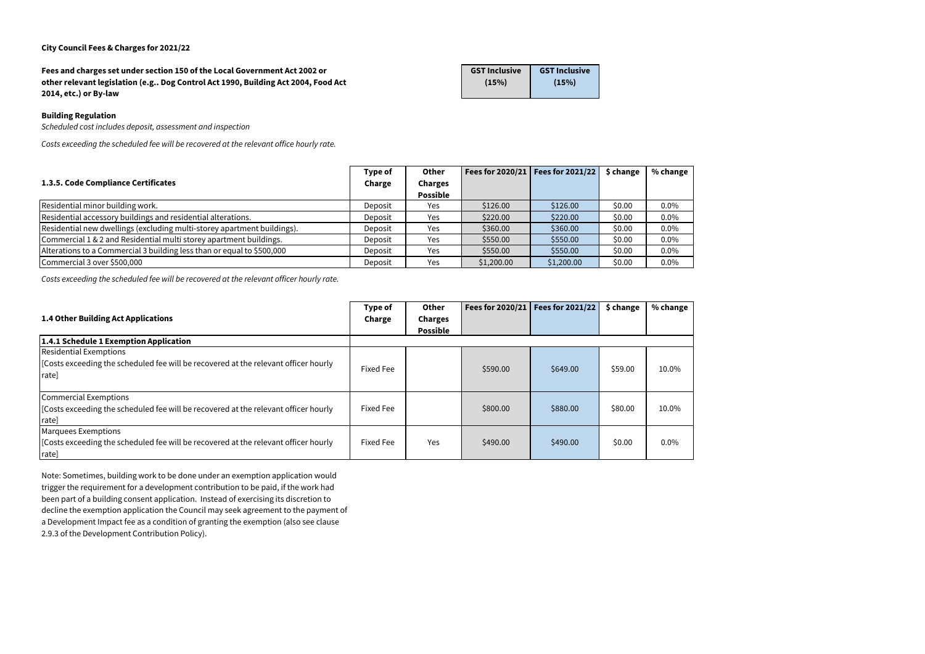**Fees and charges set under section 150 of the Local Government Act 2002 or other relevant legislation (e.g.. Dog Control Act 1990, Building Act 2004, Food Act 2014, etc.) or By-law**

| <b>GST Inclusive</b> | <b>GST Inclusive</b> |
|----------------------|----------------------|
| (15%)                | (15%)                |
|                      |                      |

### **Building Regulation**

*Scheduled cost includes deposit, assessment and inspection*

*Costs exceeding the scheduled fee will be recovered at the relevant office hourly rate.*

|                                                                         | Type of | <b>Other</b>                      |            | Fees for $2020/21$   Fees for $2021/22$ | \$ change | % change |
|-------------------------------------------------------------------------|---------|-----------------------------------|------------|-----------------------------------------|-----------|----------|
| 1.3.5. Code Compliance Certificates                                     | Charge  | <b>Charges</b><br><b>Possible</b> |            |                                         |           |          |
| Residential minor building work.                                        | Deposit | <b>Yes</b>                        | \$126.00   | \$126.00                                | \$0.00    | $0.0\%$  |
| Residential accessory buildings and residential alterations.            | Deposit | Yes                               | \$220.00   | \$220.00                                | \$0.00    | 0.0%     |
| Residential new dwellings (excluding multi-storey apartment buildings). | Deposit | Yes                               | \$360.00   | \$360.00                                | \$0.00    | $0.0\%$  |
| Commercial 1 & 2 and Residential multi storey apartment buildings.      | Deposit | Yes                               | \$550.00   | \$550.00                                | \$0.00    | $0.0\%$  |
| Alterations to a Commercial 3 building less than or equal to \$500,000  | Deposit | Yes                               | \$550.00   | \$550.00                                | \$0.00    | $0.0\%$  |
| Commercial 3 over \$500,000                                             | Deposit | Yes                               | \$1,200.00 | \$1,200.00                              | \$0.00    | $0.0\%$  |

*Costs exceeding the scheduled fee will be recovered at the relevant officer hourly rate.*

| <b>1.4 Other Building Act Applications</b>                                                                                    | Type of<br>Charge | <b>Other</b><br><b>Charges</b><br><b>Possible</b> | Fees for 2020/21 | <b>Fees for 2021/22</b> | \$ change | % change |
|-------------------------------------------------------------------------------------------------------------------------------|-------------------|---------------------------------------------------|------------------|-------------------------|-----------|----------|
| 1.4.1 Schedule 1 Exemption Application                                                                                        |                   |                                                   |                  |                         |           |          |
| <b>Residential Exemptions</b><br>[Costs exceeding the scheduled fee will be recovered at the relevant officer hourly<br>rate] | Fixed Fee         |                                                   | \$590.00         | \$649.00                | \$59.00   | 10.0%    |
| Commercial Exemptions<br>[Costs exceeding the scheduled fee will be recovered at the relevant officer hourly<br>rate]         | Fixed Fee         |                                                   | \$800.00         | \$880.00                | \$80.00   | 10.0%    |
| <b>Marquees Exemptions</b><br>[Costs exceeding the scheduled fee will be recovered at the relevant officer hourly<br>rate]    | Fixed Fee         | <b>Yes</b>                                        | \$490.00         | \$490.00                | \$0.00    | $0.0\%$  |

Note: Sometimes, building work to be done under an exemption application would trigger the requirement for a development contribution to be paid, if the work had been part of a building consent application. Instead of exercising its discretion to decline the exemption application the Council may seek agreement to the payment of a Development Impact fee as a condition of granting the exemption (also see clause 2.9.3 of the Development Contribution Policy).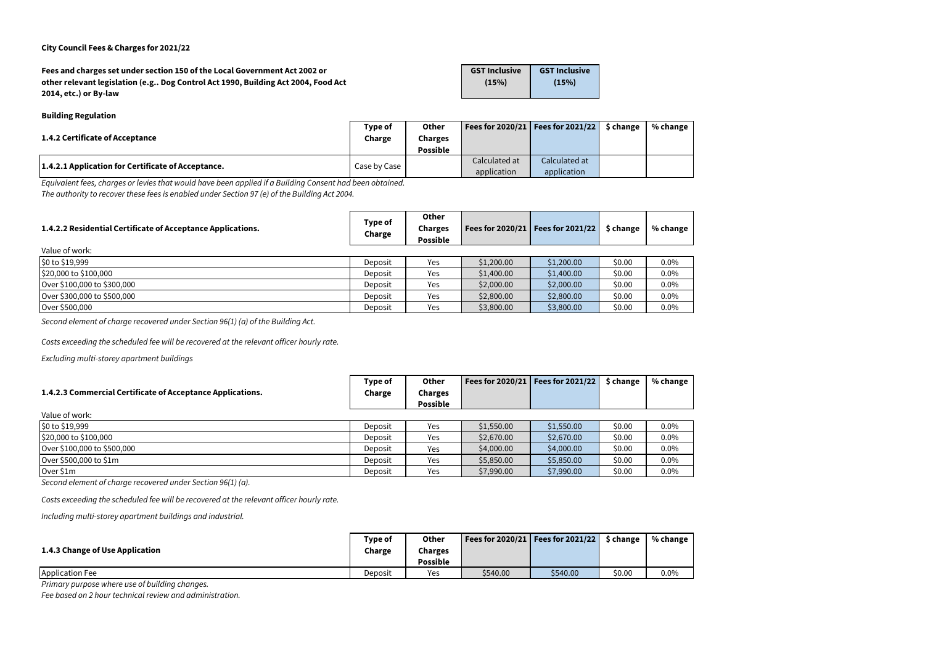| Fees and charges set under section 150 of the Local Government Act 2002 or        | <b>GST Inclusive</b> | <b>GST Inclusive</b> |
|-----------------------------------------------------------------------------------|----------------------|----------------------|
| other relevant legislation (e.g Dog Control Act 1990, Building Act 2004, Food Act | (15%)                | (15%)                |
| 2014, etc.) or By-law                                                             |                      |                      |

#### **Building Regulation**

| 1.4.2 Certificate of Acceptance                    | Type of      | <b>Other</b>    |               | Fees for 2020/21   Fees for 2021/22   $\,$ \$ change | % change |
|----------------------------------------------------|--------------|-----------------|---------------|------------------------------------------------------|----------|
|                                                    | Charge       | Charges         |               |                                                      |          |
|                                                    |              | <b>Possible</b> |               |                                                      |          |
| 1.4.2.1 Application for Certificate of Acceptance. | Case by Case |                 | Calculated at | Calculated at                                        |          |
|                                                    |              |                 | application   | application                                          |          |

| 1.4.2.2 Residential Certificate of Acceptance Applications. | Type of<br>Charge | <b>Other</b><br><b>Charges</b><br><b>Possible</b> |            | Fees for 2020/21   Fees for 2021/22 | \$ change | % change |
|-------------------------------------------------------------|-------------------|---------------------------------------------------|------------|-------------------------------------|-----------|----------|
| Value of work:                                              |                   |                                                   |            |                                     |           |          |
| $\frac{1}{20}$ to \$19,999                                  | Deposit           | Yes                                               | \$1,200.00 | \$1,200.00                          | \$0.00    | $0.0\%$  |
| $\frac{1520,000 \text{ to } $100,000}$                      | Deposit           | Yes                                               | \$1,400.00 | \$1,400.00                          | \$0.00    | $0.0\%$  |
| Over \$100,000 to \$300,000                                 | Deposit           | Yes                                               | \$2,000.00 | \$2,000.00                          | \$0.00    | $0.0\%$  |
| Over \$300,000 to \$500,000                                 | Deposit           | Yes                                               | \$2,800.00 | \$2,800.00                          | \$0.00    | $0.0\%$  |
| Over \$500,000                                              | Deposit           | Yes                                               | \$3,800.00 | \$3,800.00                          | \$0.00    | $0.0\%$  |

*Second element of charge recovered under Section 96(1) (a) of the Building Act.*

*Costs exceeding the scheduled fee will be recovered at the relevant officer hourly rate.*

*Excluding multi-storey apartment buildings*

*Equivalent fees, charges or levies that would have been applied if a Building Consent had been obtained. The authority to recover these fees is enabled under Section 97 (e) of the Building Act 2004.*

| 1.4.2.3 Commercial Certificate of Acceptance Applications. | Type of<br>Charge | <b>Other</b><br><b>Charges</b><br><b>Possible</b> |            | Fees for 2020/21   Fees for 2021/22 | \$ change | % change |
|------------------------------------------------------------|-------------------|---------------------------------------------------|------------|-------------------------------------|-----------|----------|
| Value of work:                                             |                   |                                                   |            |                                     |           |          |
| $\frac{1}{20}$ to \$19,999                                 | Deposit           | Yes                                               | \$1,550.00 | \$1,550.00                          | \$0.00    | $0.0\%$  |
| \$20,000 to \$100,000                                      | Deposit           | Yes                                               | \$2,670.00 | \$2,670.00                          | \$0.00    | $0.0\%$  |
| Over \$100,000 to \$500,000                                | Deposit           | Yes                                               | \$4,000.00 | \$4,000.00                          | \$0.00    | $0.0\%$  |
| Over \$500,000 to \$1m                                     | Deposit           | Yes                                               | \$5,850.00 | \$5,850.00                          | \$0.00    | $0.0\%$  |
| Over $$1m$                                                 | Deposit           | Yes                                               | \$7,990.00 | \$7,990.00                          | \$0.00    | $0.0\%$  |

*Second element of charge recovered under Section 96(1) (a).*

*Costs exceeding the scheduled fee will be recovered at the relevant officer hourly rate.*

*Including multi-storey apartment buildings and industrial.*

| 1.4.3 Change of Use Application | Type of<br>Charge | <b>Other</b><br>Charges<br><b>Possible</b> |          | Fees for 2020/21   Fees for 2021/22 | \$ change | % change |
|---------------------------------|-------------------|--------------------------------------------|----------|-------------------------------------|-----------|----------|
| Application Fee                 | Deposit           | Yes                                        | \$540.00 | \$540.00                            | \$0.00    | 0.0%     |

*Primary purpose where use of building changes.*

*Fee based on 2 hour technical review and administration.*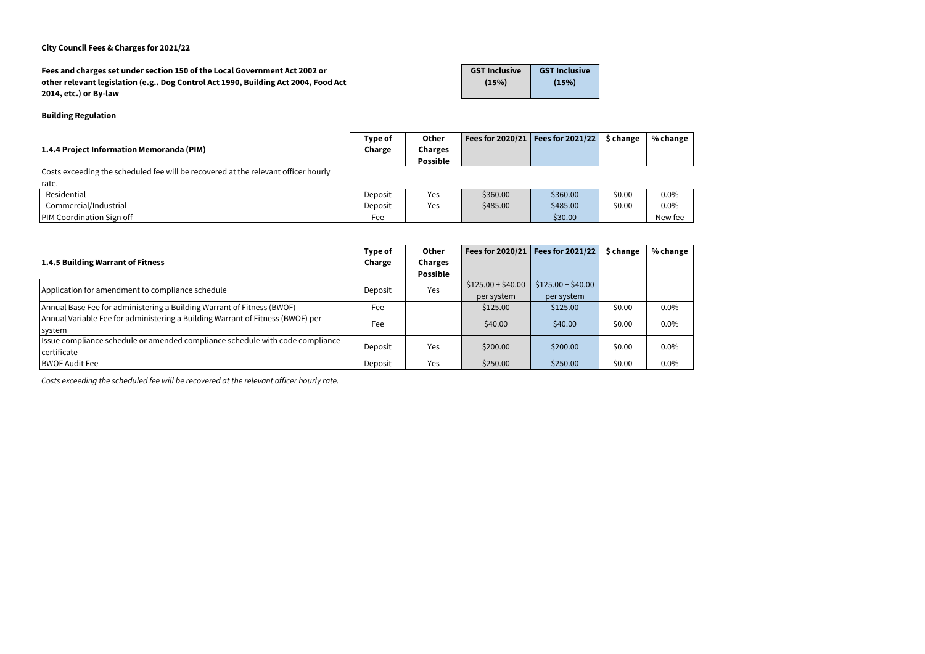**Fees and charges set under section 150 of the Local Government Act 2002 or other relevant legislation (e.g.. Dog Control Act 1990, Building Act 2004, Food Act 2014, etc.) or By-law GST Inclusive (15%) GST Inclusive (15%)**

#### **Building Regulation**

|                                           | Type of | <b>Other</b>    | Fees for 2020/21   Fees for 2021/22 | \$ change | % change |
|-------------------------------------------|---------|-----------------|-------------------------------------|-----------|----------|
| 1.4.4 Project Information Memoranda (PIM) | Charge  | Charges         |                                     |           |          |
|                                           |         | <b>Possible</b> |                                     |           |          |

Costs exceeding the scheduled fee will be recovered at the relevant officer hourly

| - Residential                    | Deposit | <b>YAS</b><br>ັບ | \$360.00 | \$360.00 | \$0.00 | 0.0%    |
|----------------------------------|---------|------------------|----------|----------|--------|---------|
| Commercial/Industrial            | Deposit | Yes              | \$485.00 | \$485.00 | \$0.00 | 0.0%    |
| <b>PIM Coordination Sign off</b> | Fee     |                  |          | \$30.00  |        | New fee |

|                                                                                | Type of | <b>Other</b>    |                    | Fees for $2020/21$ Fees for $2021/22$ | \$ change | % change |
|--------------------------------------------------------------------------------|---------|-----------------|--------------------|---------------------------------------|-----------|----------|
| 1.4.5 Building Warrant of Fitness                                              | Charge  | <b>Charges</b>  |                    |                                       |           |          |
|                                                                                |         | <b>Possible</b> |                    |                                       |           |          |
| Application for amendment to compliance schedule                               |         | Yes<br>Deposit  | $$125.00 + $40.00$ | $$125.00 + $40.00$                    |           |          |
|                                                                                |         |                 | per system         | per system                            |           |          |
| Annual Base Fee for administering a Building Warrant of Fitness (BWOF)         | Fee     |                 | \$125.00           | \$125.00                              | \$0.00    | $0.0\%$  |
| Annual Variable Fee for administering a Building Warrant of Fitness (BWOF) per | Fee     |                 | \$40.00            | \$40.00                               | \$0.00    | 0.0%     |
| system                                                                         |         |                 |                    |                                       |           |          |
| Issue compliance schedule or amended compliance schedule with code compliance  |         |                 | \$200.00           | \$200.00                              | \$0.00    | $0.0\%$  |
| certificate                                                                    | Deposit | Yes             |                    |                                       |           |          |
| <b>BWOF Audit Fee</b>                                                          | Deposit | Yes             | \$250.00           | \$250.00                              | \$0.00    | $0.0\%$  |

*Costs exceeding the scheduled fee will be recovered at the relevant officer hourly rate.*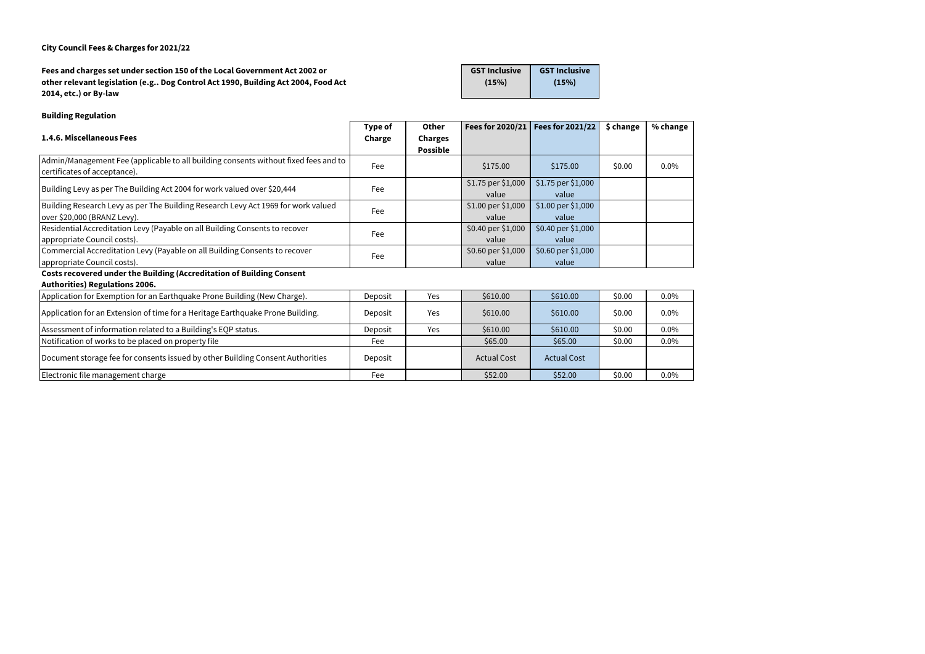**Fees and charges set under section 150 of the Local Government Act 2002 or other relevant legislation (e.g.. Dog Control Act 1990, Building Act 2004, Food Act 2014, etc.) or By-law GST Inclusive (15%) GST Inclusive (15%)**

## **Building Regulation**

|                                                                                                                     | Type of | <b>Other</b>                      |                             | Fees for $2020/21$   Fees for $2021/22$ | \$ change | % change |
|---------------------------------------------------------------------------------------------------------------------|---------|-----------------------------------|-----------------------------|-----------------------------------------|-----------|----------|
| 1.4.6. Miscellaneous Fees                                                                                           | Charge  | <b>Charges</b><br><b>Possible</b> |                             |                                         |           |          |
| Admin/Management Fee (applicable to all building consents without fixed fees and to<br>certificates of acceptance). | Fee     |                                   | \$175.00                    | \$175.00                                | \$0.00    | $0.0\%$  |
| Building Levy as per The Building Act 2004 for work valued over \$20,444                                            | Fee     |                                   | \$1.75 per \$1,000<br>value | \$1.75 per \$1,000<br>value             |           |          |
| Building Research Levy as per The Building Research Levy Act 1969 for work valued<br>over \$20,000 (BRANZ Levy).    | Fee     |                                   | \$1.00 per \$1,000<br>value | \$1.00 per \$1,000<br>value             |           |          |
| Residential Accreditation Levy (Payable on all Building Consents to recover<br>appropriate Council costs).          | Fee     |                                   | \$0.40 per \$1,000<br>value | \$0.40 per \$1,000<br>value             |           |          |
| Commercial Accreditation Levy (Payable on all Building Consents to recover<br>appropriate Council costs).           | Fee     |                                   | \$0.60 per \$1,000<br>value | \$0.60 per \$1,000<br>value             |           |          |
| Costs recovered under the Building (Accreditation of Building Consent<br><b>Authorities) Regulations 2006.</b>      |         |                                   |                             |                                         |           |          |
| Application for Exemption for an Earthquake Prone Building (New Charge).                                            | Deposit | Yes                               | \$610.00                    | \$610.00                                | \$0.00    | $0.0\%$  |
| Application for an Extension of time for a Heritage Earthquake Prone Building.                                      | Deposit | Yes                               | \$610.00                    | \$610.00                                | \$0.00    | $0.0\%$  |
| Assessment of information related to a Building's EQP status.                                                       | Deposit | Yes                               | \$610.00                    | \$610.00                                | \$0.00    | $0.0\%$  |
| Notification of works to be placed on property file                                                                 | Fee     |                                   | \$65.00                     | \$65.00                                 | \$0.00    | $0.0\%$  |
| Document storage fee for consents issued by other Building Consent Authorities                                      | Deposit |                                   | <b>Actual Cost</b>          | <b>Actual Cost</b>                      |           |          |
| Electronic file management charge                                                                                   | Fee     |                                   | \$52.00                     | \$52.00                                 | \$0.00    | $0.0\%$  |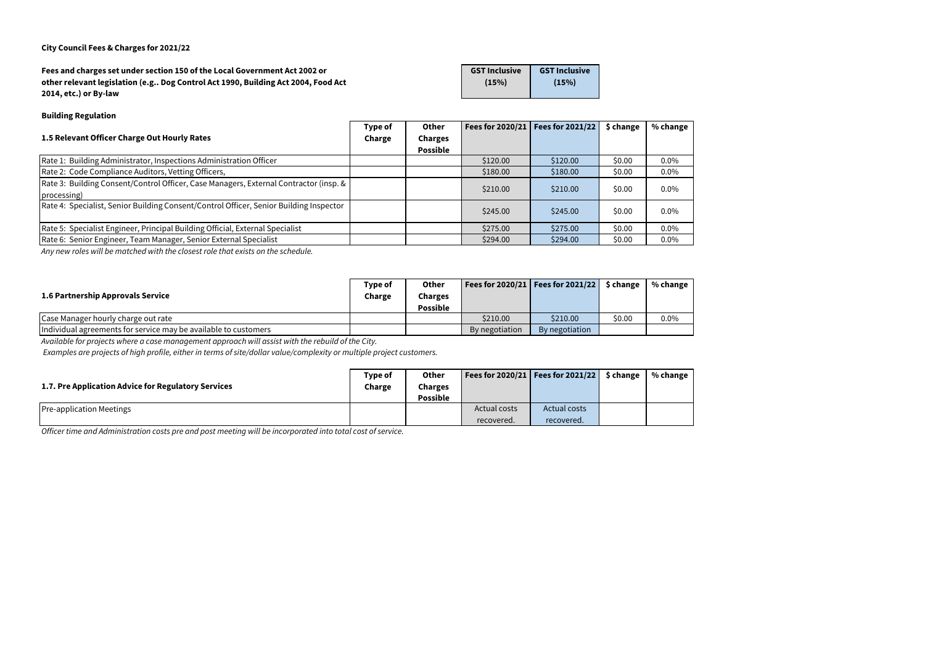| Fees and charges set under section 150 of the Local Government Act 2002 or        | <b>GST Inclusive</b> | <b>GST Inclusive</b> |
|-----------------------------------------------------------------------------------|----------------------|----------------------|
| other relevant legislation (e.g Dog Control Act 1990, Building Act 2004, Food Act | (15%)                | (15%)                |
| 2014, etc.) or By-law                                                             |                      |                      |

#### **Building Regulation**

| 1.5 Relevant Officer Charge Out Hourly Rates                                                         | Type of<br>Charge | <b>Other</b><br><b>Charges</b><br><b>Possible</b> |          | Fees for 2020/21   Fees for 2021/22 | \$ change | % change |
|------------------------------------------------------------------------------------------------------|-------------------|---------------------------------------------------|----------|-------------------------------------|-----------|----------|
| Rate 1: Building Administrator, Inspections Administration Officer                                   |                   |                                                   | \$120.00 | \$120.00                            | \$0.00    | $0.0\%$  |
| Rate 2: Code Compliance Auditors, Vetting Officers,                                                  |                   |                                                   | \$180.00 | \$180.00                            | \$0.00    | $0.0\%$  |
| Rate 3: Building Consent/Control Officer, Case Managers, External Contractor (insp. &<br>processing) |                   |                                                   | \$210.00 | \$210.00                            | \$0.00    | $0.0\%$  |
| Rate 4: Specialist, Senior Building Consent/Control Officer, Senior Building Inspector               |                   |                                                   | \$245.00 | \$245.00                            | \$0.00    | $0.0\%$  |
| Rate 5: Specialist Engineer, Principal Building Official, External Specialist                        |                   |                                                   | \$275.00 | \$275.00                            | \$0.00    | $0.0\%$  |
| Rate 6: Senior Engineer, Team Manager, Senior External Specialist                                    |                   |                                                   | \$294.00 | \$294.00                            | \$0.00    | $0.0\%$  |

*Any new roles will be matched with the closest role that exists on the schedule.*

| 1.6 Partnership Approvals Service                               | Type of<br>Charge | <b>Other</b><br>Charges<br><b>Possible</b> |                | Fees for 2020/21   Fees for 2021/22 | \$ change | % change |
|-----------------------------------------------------------------|-------------------|--------------------------------------------|----------------|-------------------------------------|-----------|----------|
| Case Manager hourly charge out rate                             |                   |                                            | \$210.00       | \$210.00                            | \$0.00    | 0.0%     |
| Individual agreements for service may be available to customers |                   |                                            | By negotiation | By negotiation                      |           |          |

*Available for projects where a case management approach will assist with the rebuild of the City.* 

 *Examples are projects of high profile, either in terms of site/dollar value/complexity or multiple project customers.* 

| 1.7. Pre Application Advice for Regulatory Services | Type of<br>Charge | <b>Other</b><br>Charges<br><b>Possible</b> |              | Fees for 2020/21   Fees for 2021/22 | \$ change | % change |
|-----------------------------------------------------|-------------------|--------------------------------------------|--------------|-------------------------------------|-----------|----------|
| <b>Pre-application Meetings</b>                     |                   |                                            | Actual costs | <b>Actual costs</b>                 |           |          |
|                                                     |                   |                                            | recovered.   | recovered.                          |           |          |

*Officer time and Administration costs pre and post meeting will be incorporated into total cost of service.*